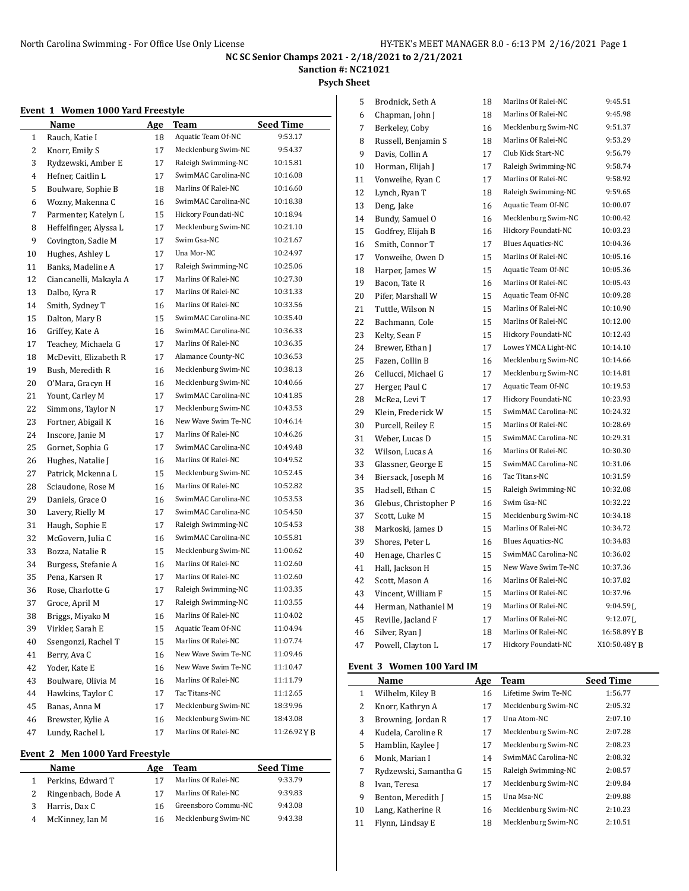**Sanction #: NC21021**

**Psych Sheet**

## **Event 1 Women 1000 Yard Freestyle**

|    | Name                   | <b>Age</b> | Team                | <b>Seed Time</b> |
|----|------------------------|------------|---------------------|------------------|
| 1  | Rauch, Katie I         | 18         | Aquatic Team Of-NC  | 9:53.17          |
| 2  | Knorr, Emily S         | 17         | Mecklenburg Swim-NC | 9:54.37          |
| 3  | Rydzewski, Amber E     | 17         | Raleigh Swimming-NC | 10:15.81         |
| 4  | Hefner, Caitlin L      | 17         | SwimMAC Carolina-NC | 10:16.08         |
| 5  | Boulware, Sophie B     | 18         | Marlins Of Ralei-NC | 10:16.60         |
| 6  | Wozny, Makenna C       | 16         | SwimMAC Carolina-NC | 10:18.38         |
| 7  | Parmenter, Katelyn L   | 15         | Hickory Foundati-NC | 10:18.94         |
| 8  | Heffelfinger, Alyssa L | 17         | Mecklenburg Swim-NC | 10:21.10         |
| 9  | Covington, Sadie M     | 17         | Swim Gsa-NC         | 10:21.67         |
| 10 | Hughes, Ashlev L       | 17         | Una Mor-NC          | 10:24.97         |
| 11 | Banks, Madeline A      | 17         | Raleigh Swimming-NC | 10:25.06         |
| 12 | Ciancanelli, Makayla A | 17         | Marlins Of Ralei-NC | 10:27.30         |
| 13 | Dalbo, Kyra R          | 17         | Marlins Of Ralei-NC | 10:31.33         |
| 14 | Smith, Sydney T        | 16         | Marlins Of Ralei-NC | 10:33.56         |
| 15 | Dalton, Mary B         | 15         | SwimMAC Carolina-NC | 10:35.40         |
| 16 | Griffey, Kate A        | 16         | SwimMAC Carolina-NC | 10:36.33         |
| 17 | Teachey, Michaela G    | 17         | Marlins Of Ralei-NC | 10:36.35         |
| 18 | McDevitt, Elizabeth R  | 17         | Alamance County-NC  | 10:36.53         |
| 19 | Bush, Meredith R       | 16         | Mecklenburg Swim-NC | 10:38.13         |
| 20 | O'Mara, Gracyn H       | 16         | Mecklenburg Swim-NC | 10:40.66         |
| 21 | Yount, Carley M        | 17         | SwimMAC Carolina-NC | 10:41.85         |
| 22 | Simmons, Taylor N      | 17         | Mecklenburg Swim-NC | 10:43.53         |
| 23 | Fortner, Abigail K     | 16         | New Wave Swim Te-NC | 10:46.14         |
| 24 | Inscore, Janie M       | 17         | Marlins Of Ralei-NC | 10:46.26         |
| 25 | Gornet, Sophia G       | 17         | SwimMAC Carolina-NC | 10:49.48         |
| 26 | Hughes, Natalie J      | 16         | Marlins Of Ralei-NC | 10:49.52         |
| 27 | Patrick, Mckenna L     | 15         | Mecklenburg Swim-NC | 10:52.45         |
| 28 | Sciaudone, Rose M      | 16         | Marlins Of Ralei-NC | 10:52.82         |
| 29 | Daniels, Grace O       | 16         | SwimMAC Carolina-NC | 10:53.53         |
| 30 | Lavery, Rielly M       | 17         | SwimMAC Carolina-NC | 10:54.50         |
| 31 | Haugh, Sophie E        | 17         | Raleigh Swimming-NC | 10:54.53         |
| 32 | McGovern, Julia C      | 16         | SwimMAC Carolina-NC | 10:55.81         |
| 33 | Bozza, Natalie R       | 15         | Mecklenburg Swim-NC | 11:00.62         |
| 34 | Burgess, Stefanie A    | 16         | Marlins Of Ralei-NC | 11:02.60         |
| 35 | Pena, Karsen R         | 17         | Marlins Of Ralei-NC | 11:02.60         |
| 36 | Rose, Charlotte G      | 17         | Raleigh Swimming-NC | 11:03.35         |
| 37 | Groce, April M         | 17         | Raleigh Swimming-NC | 11:03.55         |
| 38 | Briggs, Miyako M       | 16         | Marlins Of Ralei-NC | 11:04.02         |
| 39 | Virkler, Sarah E       | 15         | Aquatic Team Of-NC  | 11:04.94         |
| 40 | Ssengonzi, Rachel T    | 15         | Marlins Of Ralei-NC | 11:07.74         |
| 41 | Berry, Ava C           | 16         | New Wave Swim Te-NC | 11:09.46         |
| 42 | Yoder, Kate E          | 16         | New Wave Swim Te-NC | 11:10.47         |
| 43 | Boulware, Olivia M     | 16         | Marlins Of Ralei-NC | 11:11.79         |
| 44 | Hawkins, Taylor C      | 17         | Tac Titans-NC       | 11:12.65         |
| 45 | Banas, Anna M          | 17         | Mecklenburg Swim-NC | 18:39.96         |
| 46 | Brewster, Kylie A      | 16         | Mecklenburg Swim-NC | 18:43.08         |
| 47 | Lundy, Rachel L        | 17         | Marlins Of Ralei-NC | 11:26.92YB       |
|    |                        |            |                     |                  |

#### **Event 2 Men 1000 Yard Freestyle**

|   | Name               | Age | Team                | <b>Seed Time</b> |
|---|--------------------|-----|---------------------|------------------|
|   | Perkins, Edward T  |     | Marlins Of Ralei-NC | 9:33.79          |
|   | Ringenbach, Bode A | 17  | Marlins Of Ralei-NC | 9:39.83          |
|   | Harris, Dax C      | 16  | Greensboro Commu-NC | 9:43.08          |
| 4 | McKinney, Ian M    | 16  | Mecklenburg Swim-NC | 9:43.38          |
|   |                    |     |                     |                  |

| Marlins Of Ralei-NC<br>9:45.51<br>5<br>Brodnick, Seth A<br>18<br>Marlins Of Ralei-NC<br>6<br>Chapman, John J<br>18<br>9:45.98<br>Mecklenburg Swim-NC<br>9:51.37<br>7<br>Berkeley, Coby<br>16<br>Russell, Benjamin S<br>Marlins Of Ralei-NC<br>9:53.29<br>8<br>18<br>Club Kick Start-NC<br>9:56.79<br>9<br>Davis, Collin A<br>17<br>Horman, Elijah J<br>Raleigh Swimming-NC<br>9:58.74<br>17<br>10<br>Marlins Of Ralei-NC<br>Vonweihe, Ryan C<br>9:58.92<br>11<br>17<br>Raleigh Swimming-NC<br>9:59.65<br>12<br>Lynch, Ryan T<br>18<br>Aquatic Team Of-NC<br>10:00.07<br>Deng, Jake<br>16<br>13<br>Mecklenburg Swim-NC<br>10:00.42<br>Bundy, Samuel O<br>14<br>16<br>Hickory Foundati-NC<br>10:03.23<br>Godfrey, Elijah B<br>15<br>16<br><b>Blues Aquatics-NC</b><br>10:04.36<br>Smith, Connor T<br>17<br>16<br>Marlins Of Ralei-NC<br>10:05.16<br>Vonweihe, Owen D<br>15<br>17<br>Aquatic Team Of-NC<br>10:05.36<br>15<br>18<br>Harper, James W<br>Marlins Of Ralei-NC<br>10:05.43<br>Bacon. Tate R<br>19<br>16<br>Pifer, Marshall W<br>Aquatic Team Of-NC<br>10:09.28<br>20<br>15<br>Marlins Of Ralei-NC<br>10:10.90<br>21<br>Tuttle, Wilson N<br>15<br>Marlins Of Ralei-NC<br>10:12.00<br>22<br>Bachmann, Cole<br>15<br>Hickory Foundati-NC<br>10:12.43<br>23<br>Kelty, Sean F<br>15<br>Lowes YMCA Light-NC<br>10:14.10<br>Brewer, Ethan J<br>17<br>24<br>Mecklenburg Swim-NC<br>Fazen, Collin B<br>10:14.66<br>25<br>16<br>Mecklenburg Swim-NC<br>Cellucci, Michael G<br>10:14.81<br>26<br>17<br>Aquatic Team Of-NC<br>10:19.53<br>17<br>27<br>Herger, Paul C<br>Hickory Foundati-NC<br>10:23.93<br>McRea, Levi T<br>28<br>17<br>SwimMAC Carolina-NC<br>Klein, Frederick W<br>10:24.32<br>29<br>15 |            |
|-------------------------------------------------------------------------------------------------------------------------------------------------------------------------------------------------------------------------------------------------------------------------------------------------------------------------------------------------------------------------------------------------------------------------------------------------------------------------------------------------------------------------------------------------------------------------------------------------------------------------------------------------------------------------------------------------------------------------------------------------------------------------------------------------------------------------------------------------------------------------------------------------------------------------------------------------------------------------------------------------------------------------------------------------------------------------------------------------------------------------------------------------------------------------------------------------------------------------------------------------------------------------------------------------------------------------------------------------------------------------------------------------------------------------------------------------------------------------------------------------------------------------------------------------------------------------------------------------------------------------------------------------------------------------------------------------------|------------|
|                                                                                                                                                                                                                                                                                                                                                                                                                                                                                                                                                                                                                                                                                                                                                                                                                                                                                                                                                                                                                                                                                                                                                                                                                                                                                                                                                                                                                                                                                                                                                                                                                                                                                                       |            |
|                                                                                                                                                                                                                                                                                                                                                                                                                                                                                                                                                                                                                                                                                                                                                                                                                                                                                                                                                                                                                                                                                                                                                                                                                                                                                                                                                                                                                                                                                                                                                                                                                                                                                                       |            |
|                                                                                                                                                                                                                                                                                                                                                                                                                                                                                                                                                                                                                                                                                                                                                                                                                                                                                                                                                                                                                                                                                                                                                                                                                                                                                                                                                                                                                                                                                                                                                                                                                                                                                                       |            |
|                                                                                                                                                                                                                                                                                                                                                                                                                                                                                                                                                                                                                                                                                                                                                                                                                                                                                                                                                                                                                                                                                                                                                                                                                                                                                                                                                                                                                                                                                                                                                                                                                                                                                                       |            |
|                                                                                                                                                                                                                                                                                                                                                                                                                                                                                                                                                                                                                                                                                                                                                                                                                                                                                                                                                                                                                                                                                                                                                                                                                                                                                                                                                                                                                                                                                                                                                                                                                                                                                                       |            |
|                                                                                                                                                                                                                                                                                                                                                                                                                                                                                                                                                                                                                                                                                                                                                                                                                                                                                                                                                                                                                                                                                                                                                                                                                                                                                                                                                                                                                                                                                                                                                                                                                                                                                                       |            |
|                                                                                                                                                                                                                                                                                                                                                                                                                                                                                                                                                                                                                                                                                                                                                                                                                                                                                                                                                                                                                                                                                                                                                                                                                                                                                                                                                                                                                                                                                                                                                                                                                                                                                                       |            |
|                                                                                                                                                                                                                                                                                                                                                                                                                                                                                                                                                                                                                                                                                                                                                                                                                                                                                                                                                                                                                                                                                                                                                                                                                                                                                                                                                                                                                                                                                                                                                                                                                                                                                                       |            |
|                                                                                                                                                                                                                                                                                                                                                                                                                                                                                                                                                                                                                                                                                                                                                                                                                                                                                                                                                                                                                                                                                                                                                                                                                                                                                                                                                                                                                                                                                                                                                                                                                                                                                                       |            |
|                                                                                                                                                                                                                                                                                                                                                                                                                                                                                                                                                                                                                                                                                                                                                                                                                                                                                                                                                                                                                                                                                                                                                                                                                                                                                                                                                                                                                                                                                                                                                                                                                                                                                                       |            |
|                                                                                                                                                                                                                                                                                                                                                                                                                                                                                                                                                                                                                                                                                                                                                                                                                                                                                                                                                                                                                                                                                                                                                                                                                                                                                                                                                                                                                                                                                                                                                                                                                                                                                                       |            |
|                                                                                                                                                                                                                                                                                                                                                                                                                                                                                                                                                                                                                                                                                                                                                                                                                                                                                                                                                                                                                                                                                                                                                                                                                                                                                                                                                                                                                                                                                                                                                                                                                                                                                                       |            |
|                                                                                                                                                                                                                                                                                                                                                                                                                                                                                                                                                                                                                                                                                                                                                                                                                                                                                                                                                                                                                                                                                                                                                                                                                                                                                                                                                                                                                                                                                                                                                                                                                                                                                                       |            |
|                                                                                                                                                                                                                                                                                                                                                                                                                                                                                                                                                                                                                                                                                                                                                                                                                                                                                                                                                                                                                                                                                                                                                                                                                                                                                                                                                                                                                                                                                                                                                                                                                                                                                                       |            |
|                                                                                                                                                                                                                                                                                                                                                                                                                                                                                                                                                                                                                                                                                                                                                                                                                                                                                                                                                                                                                                                                                                                                                                                                                                                                                                                                                                                                                                                                                                                                                                                                                                                                                                       |            |
|                                                                                                                                                                                                                                                                                                                                                                                                                                                                                                                                                                                                                                                                                                                                                                                                                                                                                                                                                                                                                                                                                                                                                                                                                                                                                                                                                                                                                                                                                                                                                                                                                                                                                                       |            |
|                                                                                                                                                                                                                                                                                                                                                                                                                                                                                                                                                                                                                                                                                                                                                                                                                                                                                                                                                                                                                                                                                                                                                                                                                                                                                                                                                                                                                                                                                                                                                                                                                                                                                                       |            |
|                                                                                                                                                                                                                                                                                                                                                                                                                                                                                                                                                                                                                                                                                                                                                                                                                                                                                                                                                                                                                                                                                                                                                                                                                                                                                                                                                                                                                                                                                                                                                                                                                                                                                                       |            |
|                                                                                                                                                                                                                                                                                                                                                                                                                                                                                                                                                                                                                                                                                                                                                                                                                                                                                                                                                                                                                                                                                                                                                                                                                                                                                                                                                                                                                                                                                                                                                                                                                                                                                                       |            |
|                                                                                                                                                                                                                                                                                                                                                                                                                                                                                                                                                                                                                                                                                                                                                                                                                                                                                                                                                                                                                                                                                                                                                                                                                                                                                                                                                                                                                                                                                                                                                                                                                                                                                                       |            |
|                                                                                                                                                                                                                                                                                                                                                                                                                                                                                                                                                                                                                                                                                                                                                                                                                                                                                                                                                                                                                                                                                                                                                                                                                                                                                                                                                                                                                                                                                                                                                                                                                                                                                                       |            |
|                                                                                                                                                                                                                                                                                                                                                                                                                                                                                                                                                                                                                                                                                                                                                                                                                                                                                                                                                                                                                                                                                                                                                                                                                                                                                                                                                                                                                                                                                                                                                                                                                                                                                                       |            |
|                                                                                                                                                                                                                                                                                                                                                                                                                                                                                                                                                                                                                                                                                                                                                                                                                                                                                                                                                                                                                                                                                                                                                                                                                                                                                                                                                                                                                                                                                                                                                                                                                                                                                                       |            |
|                                                                                                                                                                                                                                                                                                                                                                                                                                                                                                                                                                                                                                                                                                                                                                                                                                                                                                                                                                                                                                                                                                                                                                                                                                                                                                                                                                                                                                                                                                                                                                                                                                                                                                       |            |
|                                                                                                                                                                                                                                                                                                                                                                                                                                                                                                                                                                                                                                                                                                                                                                                                                                                                                                                                                                                                                                                                                                                                                                                                                                                                                                                                                                                                                                                                                                                                                                                                                                                                                                       |            |
| Marlins Of Ralei-NC<br>10:28.69<br>30<br>Purcell, Reiley E<br>15                                                                                                                                                                                                                                                                                                                                                                                                                                                                                                                                                                                                                                                                                                                                                                                                                                                                                                                                                                                                                                                                                                                                                                                                                                                                                                                                                                                                                                                                                                                                                                                                                                      |            |
| SwimMAC Carolina-NC<br>10:29.31<br>Weber, Lucas D<br>15<br>31                                                                                                                                                                                                                                                                                                                                                                                                                                                                                                                                                                                                                                                                                                                                                                                                                                                                                                                                                                                                                                                                                                                                                                                                                                                                                                                                                                                                                                                                                                                                                                                                                                         |            |
| Marlins Of Ralei-NC<br>10:30.30<br>32<br>Wilson, Lucas A<br>16                                                                                                                                                                                                                                                                                                                                                                                                                                                                                                                                                                                                                                                                                                                                                                                                                                                                                                                                                                                                                                                                                                                                                                                                                                                                                                                                                                                                                                                                                                                                                                                                                                        |            |
| SwimMAC Carolina-NC<br>10:31.06<br>33<br>Glassner, George E<br>15                                                                                                                                                                                                                                                                                                                                                                                                                                                                                                                                                                                                                                                                                                                                                                                                                                                                                                                                                                                                                                                                                                                                                                                                                                                                                                                                                                                                                                                                                                                                                                                                                                     |            |
| Tac Titans-NC<br>10:31.59<br>Biersack, Joseph M<br>16<br>34                                                                                                                                                                                                                                                                                                                                                                                                                                                                                                                                                                                                                                                                                                                                                                                                                                                                                                                                                                                                                                                                                                                                                                                                                                                                                                                                                                                                                                                                                                                                                                                                                                           |            |
| Raleigh Swimming-NC<br>10:32.08<br>35<br>Hadsell, Ethan C<br>15                                                                                                                                                                                                                                                                                                                                                                                                                                                                                                                                                                                                                                                                                                                                                                                                                                                                                                                                                                                                                                                                                                                                                                                                                                                                                                                                                                                                                                                                                                                                                                                                                                       |            |
| Swim Gsa-NC<br>10:32.22<br>Glebus, Christopher P<br>36<br>16                                                                                                                                                                                                                                                                                                                                                                                                                                                                                                                                                                                                                                                                                                                                                                                                                                                                                                                                                                                                                                                                                                                                                                                                                                                                                                                                                                                                                                                                                                                                                                                                                                          |            |
| Mecklenburg Swim-NC<br>10:34.18<br>37<br>Scott, Luke M<br>15                                                                                                                                                                                                                                                                                                                                                                                                                                                                                                                                                                                                                                                                                                                                                                                                                                                                                                                                                                                                                                                                                                                                                                                                                                                                                                                                                                                                                                                                                                                                                                                                                                          |            |
| Marlins Of Ralei-NC<br>10:34.72<br>15<br>38<br>Markoski, James D                                                                                                                                                                                                                                                                                                                                                                                                                                                                                                                                                                                                                                                                                                                                                                                                                                                                                                                                                                                                                                                                                                                                                                                                                                                                                                                                                                                                                                                                                                                                                                                                                                      |            |
| <b>Blues Aquatics-NC</b><br>10:34.83<br>Shores, Peter L<br>39<br>16                                                                                                                                                                                                                                                                                                                                                                                                                                                                                                                                                                                                                                                                                                                                                                                                                                                                                                                                                                                                                                                                                                                                                                                                                                                                                                                                                                                                                                                                                                                                                                                                                                   |            |
| SwimMAC Carolina-NC<br>10:36.02<br>Henage, Charles C<br>40<br>15                                                                                                                                                                                                                                                                                                                                                                                                                                                                                                                                                                                                                                                                                                                                                                                                                                                                                                                                                                                                                                                                                                                                                                                                                                                                                                                                                                                                                                                                                                                                                                                                                                      |            |
| Hall, Jackson H<br>New Wave Swim Te-NC<br>10:37.36<br>41<br>15                                                                                                                                                                                                                                                                                                                                                                                                                                                                                                                                                                                                                                                                                                                                                                                                                                                                                                                                                                                                                                                                                                                                                                                                                                                                                                                                                                                                                                                                                                                                                                                                                                        |            |
| Marlins Of Ralei-NC<br>10:37.82<br>Scott, Mason A<br>42<br>16                                                                                                                                                                                                                                                                                                                                                                                                                                                                                                                                                                                                                                                                                                                                                                                                                                                                                                                                                                                                                                                                                                                                                                                                                                                                                                                                                                                                                                                                                                                                                                                                                                         |            |
| Marlins Of Ralei-NC<br>10:37.96<br>43<br>Vincent, William F<br>15                                                                                                                                                                                                                                                                                                                                                                                                                                                                                                                                                                                                                                                                                                                                                                                                                                                                                                                                                                                                                                                                                                                                                                                                                                                                                                                                                                                                                                                                                                                                                                                                                                     |            |
| Marlins Of Ralei-NC<br>Herman, Nathaniel M<br>19<br>$9:04.59$ J.<br>44                                                                                                                                                                                                                                                                                                                                                                                                                                                                                                                                                                                                                                                                                                                                                                                                                                                                                                                                                                                                                                                                                                                                                                                                                                                                                                                                                                                                                                                                                                                                                                                                                                |            |
| Marlins Of Ralei-NC<br>$9:12.07$ <sub>L</sub><br>Reville, Jacland F<br>45<br>17                                                                                                                                                                                                                                                                                                                                                                                                                                                                                                                                                                                                                                                                                                                                                                                                                                                                                                                                                                                                                                                                                                                                                                                                                                                                                                                                                                                                                                                                                                                                                                                                                       |            |
| Marlins Of Ralei-NC<br>Silver, Ryan J<br>18<br>46                                                                                                                                                                                                                                                                                                                                                                                                                                                                                                                                                                                                                                                                                                                                                                                                                                                                                                                                                                                                                                                                                                                                                                                                                                                                                                                                                                                                                                                                                                                                                                                                                                                     | 16:58.89YB |
| Hickory Foundati-NC<br>X10:50.48YB<br>Powell, Clayton L<br>17<br>47                                                                                                                                                                                                                                                                                                                                                                                                                                                                                                                                                                                                                                                                                                                                                                                                                                                                                                                                                                                                                                                                                                                                                                                                                                                                                                                                                                                                                                                                                                                                                                                                                                   |            |

## **Event 3 Women 100 Yard IM**

|    | Name                  | Age | Team                | <b>Seed Time</b> |
|----|-----------------------|-----|---------------------|------------------|
| 1  | Wilhelm, Kiley B      | 16  | Lifetime Swim Te-NC | 1:56.77          |
| 2  | Knorr, Kathryn A      | 17  | Mecklenburg Swim-NC | 2:05.32          |
| 3  | Browning, Jordan R    | 17  | Una Atom-NC         | 2:07.10          |
| 4  | Kudela, Caroline R    | 17  | Mecklenburg Swim-NC | 2:07.28          |
| 5  | Hamblin, Kaylee J     | 17  | Mecklenburg Swim-NC | 2:08.23          |
| 6  | Monk, Marian I        | 14  | SwimMAC Carolina-NC | 2:08.32          |
| 7  | Rydzewski, Samantha G | 15  | Raleigh Swimming-NC | 2:08.57          |
| 8  | Ivan, Teresa          | 17  | Mecklenburg Swim-NC | 2:09.84          |
| 9  | Benton, Meredith J    | 15  | Una Msa-NC          | 2:09.88          |
| 10 | Lang, Katherine R     | 16  | Mecklenburg Swim-NC | 2:10.23          |
| 11 | Flynn, Lindsay E      | 18  | Mecklenburg Swim-NC | 2:10.51          |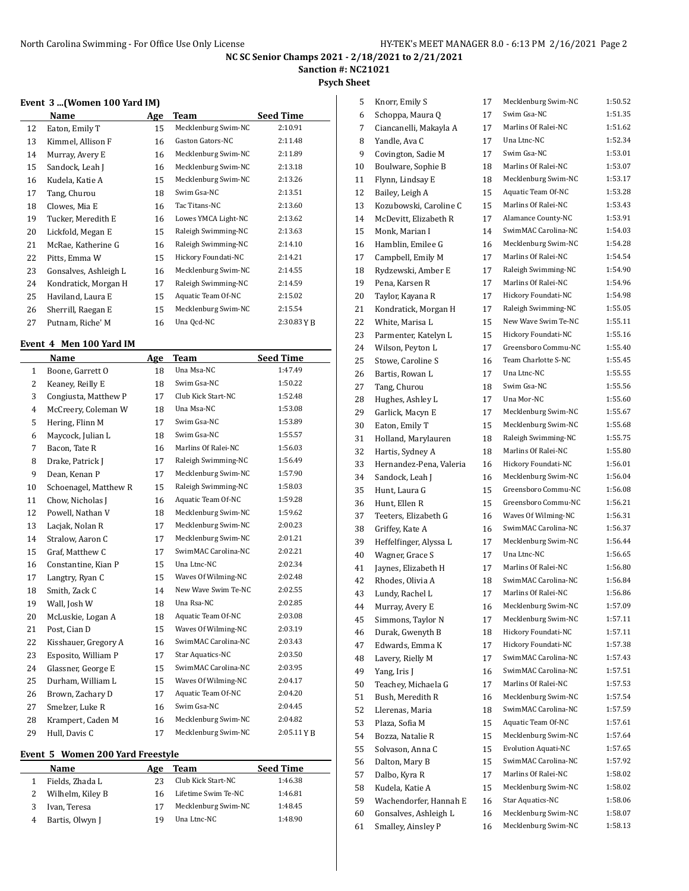### **Sanction #: NC21021**

#### **Psych Sheet**

#### **Event 3 ...(Women 100 Yard IM)**

|    | Name                  | Age | Team                | Seed Time   |
|----|-----------------------|-----|---------------------|-------------|
| 12 | Eaton, Emily T        | 15  | Mecklenburg Swim-NC | 2:10.91     |
| 13 | Kimmel, Allison F     | 16  | Gaston Gators-NC    | 2:11.48     |
| 14 | Murray, Avery E       | 16  | Mecklenburg Swim-NC | 2:11.89     |
| 15 | Sandock, Leah J       | 16  | Mecklenburg Swim-NC | 2:13.18     |
| 16 | Kudela, Katie A       | 15  | Mecklenburg Swim-NC | 2:13.26     |
| 17 | Tang, Churou          | 18  | Swim Gsa-NC         | 2:13.51     |
| 18 | Clowes, Mia E         | 16  | Tac Titans-NC       | 2:13.60     |
| 19 | Tucker, Meredith E    | 16  | Lowes YMCA Light-NC | 2:13.62     |
| 20 | Lickfold, Megan E     | 15  | Raleigh Swimming-NC | 2:13.63     |
| 21 | McRae, Katherine G    | 16  | Raleigh Swimming-NC | 2:14.10     |
| 22 | Pitts, Emma W         | 15  | Hickory Foundati-NC | 2:14.21     |
| 23 | Gonsalves, Ashleigh L | 16  | Mecklenburg Swim-NC | 2:14.55     |
| 24 | Kondratick, Morgan H  | 17  | Raleigh Swimming-NC | 2:14.59     |
| 25 | Haviland, Laura E     | 15  | Aquatic Team Of-NC  | 2:15.02     |
| 26 | Sherrill, Raegan E    | 15  | Mecklenburg Swim-NC | 2:15.54     |
| 27 | Putnam, Riche' M      | 16  | Una Ocd-NC          | 2:30.83 Y R |

### **Event 4 Men 100 Yard IM**

L

|                | Name                  | Age | Team                | <b>Seed Time</b> |
|----------------|-----------------------|-----|---------------------|------------------|
| $\mathbf{1}$   | Boone, Garrett O      | 18  | Una Msa-NC          | 1:47.49          |
| 2              | Keaney, Reilly E      | 18  | Swim Gsa-NC         | 1:50.22          |
| 3              | Congiusta, Matthew P  | 17  | Club Kick Start-NC  | 1:52.48          |
| $\overline{4}$ | McCreery, Coleman W   | 18  | Una Msa-NC          | 1:53.08          |
| 5              | Hering, Flinn M       | 17  | Swim Gsa-NC         | 1:53.89          |
| 6              | Maycock, Julian L     | 18  | Swim Gsa-NC         | 1:55.57          |
| 7              | Bacon, Tate R         | 16  | Marlins Of Ralei-NC | 1:56.03          |
| 8              | Drake, Patrick J      | 17  | Raleigh Swimming-NC | 1:56.49          |
| 9              | Dean, Kenan P         | 17  | Mecklenburg Swim-NC | 1:57.90          |
| 10             | Schoenagel, Matthew R | 15  | Raleigh Swimming-NC | 1:58.03          |
| 11             | Chow, Nicholas J      | 16  | Aquatic Team Of-NC  | 1:59.28          |
| 12             | Powell, Nathan V      | 18  | Mecklenburg Swim-NC | 1:59.62          |
| 13             | Lacjak, Nolan R       | 17  | Mecklenburg Swim-NC | 2:00.23          |
| 14             | Stralow, Aaron C      | 17  | Mecklenburg Swim-NC | 2:01.21          |
| 15             | Graf, Matthew C       | 17  | SwimMAC Carolina-NC | 2:02.21          |
| 16             | Constantine, Kian P   | 15  | Una Ltnc-NC         | 2:02.34          |
| 17             | Langtry, Ryan C       | 15  | Waves Of Wilming-NC | 2:02.48          |
| 18             | Smith, Zack C         | 14  | New Wave Swim Te-NC | 2:02.55          |
| 19             | Wall, Josh W          | 18  | Una Rsa-NC          | 2:02.85          |
| 20             | McLuskie, Logan A     | 18  | Aquatic Team Of-NC  | 2:03.08          |
| 21             | Post, Cian D          | 15  | Waves Of Wilming-NC | 2:03.19          |
| 22             | Kisshauer, Gregory A  | 16  | SwimMAC Carolina-NC | 2:03.43          |
| 23             | Esposito, William P   | 17  | Star Aquatics-NC    | 2:03.50          |
| 24             | Glassner, George E    | 15  | SwimMAC Carolina-NC | 2:03.95          |
| 25             | Durham, William L     | 15  | Waves Of Wilming-NC | 2:04.17          |
| 26             | Brown, Zachary D      | 17  | Aquatic Team Of-NC  | 2:04.20          |
| 27             | Smelzer, Luke R       | 16  | Swim Gsa-NC         | 2:04.45          |
| 28             | Krampert, Caden M     | 16  | Mecklenburg Swim-NC | 2:04.82          |
| 29             | Hull, Davis C         | 17  | Mecklenburg Swim-NC | 2:05.11YB        |

### **Event 5 Women 200 Yard Freestyle**

| Name             | Age | Team                | <b>Seed Time</b> |
|------------------|-----|---------------------|------------------|
| Fields, Zhada L  | つつ  | Club Kick Start-NC  | 1:46.38          |
| Wilhelm, Kiley B | 16  | Lifetime Swim Te-NC | 1:46.81          |
| Ivan, Teresa     | 17  | Mecklenburg Swim-NC | 1:48.45          |
| Bartis, Olwyn J  | 1 Q | Una Ltnc-NC         | 1:48.90          |
|                  |     |                     |                  |

| 5  | Knorr, Emily S          | 17 | Mecklenburg Swim-NC        | 1:50.52 |
|----|-------------------------|----|----------------------------|---------|
| 6  | Schoppa, Maura Q        | 17 | Swim Gsa-NC                | 1:51.35 |
| 7  | Ciancanelli, Makayla A  | 17 | Marlins Of Ralei-NC        | 1:51.62 |
| 8  | Yandle, Ava C           | 17 | Una Ltnc-NC                | 1:52.34 |
| 9  | Covington, Sadie M      | 17 | Swim Gsa-NC                | 1:53.01 |
| 10 | Boulware, Sophie B      | 18 | Marlins Of Ralei-NC        | 1:53.07 |
| 11 | Flynn, Lindsay E        | 18 | Mecklenburg Swim-NC        | 1:53.17 |
| 12 | Bailey, Leigh A         | 15 | Aquatic Team Of-NC         | 1:53.28 |
| 13 | Kozubowski, Caroline C  | 15 | Marlins Of Ralei-NC        | 1:53.43 |
| 14 | McDevitt, Elizabeth R   | 17 | <b>Alamance County-NC</b>  | 1:53.91 |
| 15 | Monk, Marian I          | 14 | SwimMAC Carolina-NC        | 1:54.03 |
| 16 | Hamblin, Emilee G       | 16 | Mecklenburg Swim-NC        | 1:54.28 |
| 17 | Campbell, Emily M       | 17 | Marlins Of Ralei-NC        | 1:54.54 |
| 18 | Rydzewski, Amber E      | 17 | Raleigh Swimming-NC        | 1:54.90 |
| 19 | Pena, Karsen R          | 17 | Marlins Of Ralei-NC        | 1:54.96 |
| 20 | Taylor, Kayana R        | 17 | Hickory Foundati-NC        | 1:54.98 |
| 21 | Kondratick, Morgan H    | 17 | Raleigh Swimming-NC        | 1:55.05 |
| 22 | White, Marisa L         | 15 | New Wave Swim Te-NC        | 1:55.11 |
| 23 | Parmenter, Katelyn L    | 15 | Hickory Foundati-NC        | 1:55.16 |
| 24 | Wilson, Peyton L        | 17 | Greensboro Commu-NC        | 1:55.40 |
| 25 | Stowe, Caroline S       | 16 | Team Charlotte S-NC        | 1:55.45 |
| 26 | Bartis, Rowan L         | 17 | Una Ltnc-NC                | 1:55.55 |
| 27 | Tang, Churou            | 18 | Swim Gsa-NC                | 1:55.56 |
| 28 | Hughes, Ashley L        | 17 | Una Mor-NC                 | 1:55.60 |
| 29 | Garlick, Macyn E        | 17 | Mecklenburg Swim-NC        | 1:55.67 |
| 30 | Eaton, Emily T          | 15 | Mecklenburg Swim-NC        | 1:55.68 |
| 31 | Holland, Marylauren     | 18 | Raleigh Swimming-NC        | 1:55.75 |
| 32 | Hartis, Sydney A        | 18 | Marlins Of Ralei-NC        | 1:55.80 |
| 33 | Hernandez-Pena, Valeria | 16 | Hickory Foundati-NC        | 1:56.01 |
| 34 | Sandock, Leah J         | 16 | Mecklenburg Swim-NC        | 1:56.04 |
| 35 | Hunt, Laura G           | 15 | Greensboro Commu-NC        | 1:56.08 |
| 36 | Hunt, Ellen R           | 15 | Greensboro Commu-NC        | 1:56.21 |
| 37 | Teeters, Elizabeth G    | 16 | Waves Of Wilming-NC        | 1:56.31 |
| 38 | Griffey, Kate A         | 16 | SwimMAC Carolina-NC        | 1:56.37 |
| 39 | Heffelfinger, Alyssa L  | 17 | Mecklenburg Swim-NC        | 1:56.44 |
| 40 | Wagner, Grace S         | 17 | Una Ltnc-NC                | 1:56.65 |
| 41 | Jaynes, Elizabeth H     | 17 | Marlins Of Ralei-NC        | 1:56.80 |
| 42 | Rhodes, Olivia A        | 18 | SwimMAC Carolina-NC        | 1:56.84 |
| 43 | Lundy, Rachel L         | 17 | Marlins Of Ralei-NC        | 1:56.86 |
| 44 | Murray, Avery E         | 16 | Mecklenburg Swim-NC        | 1:57.09 |
| 45 | Simmons, Taylor N       | 17 | Mecklenburg Swim-NC        | 1:57.11 |
| 46 | Durak, Gwenyth B        | 18 | Hickory Foundati-NC        | 1:57.11 |
| 47 | Edwards, Emma K         | 17 | Hickory Foundati-NC        | 1:57.38 |
| 48 | Lavery, Rielly M        | 17 | SwimMAC Carolina-NC        | 1:57.43 |
| 49 | Yang, Iris J            | 16 | SwimMAC Carolina-NC        | 1:57.51 |
| 50 | Teachey, Michaela G     | 17 | Marlins Of Ralei-NC        | 1:57.53 |
| 51 | Bush, Meredith R        | 16 | Mecklenburg Swim-NC        | 1:57.54 |
| 52 | Llerenas, Maria         | 18 | SwimMAC Carolina-NC        | 1:57.59 |
| 53 | Plaza, Sofia M          | 15 | Aquatic Team Of-NC         | 1:57.61 |
| 54 | Bozza, Natalie R        | 15 | Mecklenburg Swim-NC        | 1:57.64 |
| 55 | Solvason, Anna C        | 15 | <b>Evolution Aquati-NC</b> | 1:57.65 |
| 56 | Dalton, Mary B          | 15 | SwimMAC Carolina-NC        | 1:57.92 |
| 57 | Dalbo, Kyra R           | 17 | Marlins Of Ralei-NC        | 1:58.02 |
| 58 | Kudela, Katie A         | 15 | Mecklenburg Swim-NC        | 1:58.02 |
| 59 | Wachendorfer, Hannah E  | 16 | Star Aquatics-NC           | 1:58.06 |
| 60 | Gonsalves, Ashleigh L   | 16 | Mecklenburg Swim-NC        | 1:58.07 |
| 61 | Smalley, Ainsley P      | 16 | Mecklenburg Swim-NC        | 1:58.13 |
|    |                         |    |                            |         |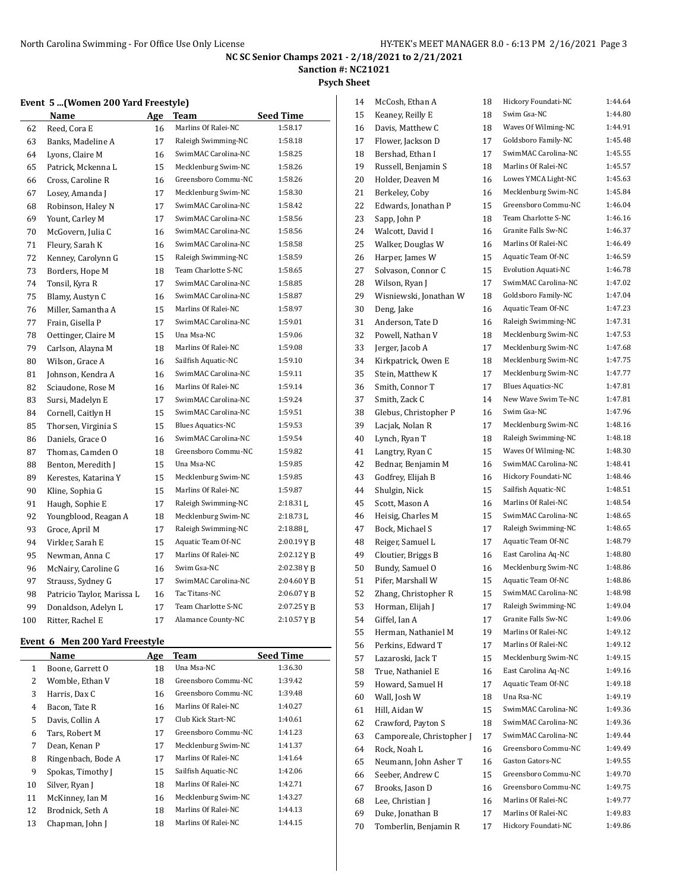**Sanction #: NC21021**

**Psych Sheet**

#### **Event 5 ...(Women 200 Yard Freestyle)**

|     | Name                       | <u>Age</u> | Team                     | <b>Seed Time</b> |
|-----|----------------------------|------------|--------------------------|------------------|
| 62  | Reed, Cora E               | 16         | Marlins Of Ralei-NC      | 1:58.17          |
| 63  | Banks, Madeline A          | 17         | Raleigh Swimming-NC      | 1:58.18          |
| 64  | Lyons, Claire M            | 16         | SwimMAC Carolina-NC      | 1:58.25          |
| 65  | Patrick, Mckenna L         | 15         | Mecklenburg Swim-NC      | 1:58.26          |
| 66  | Cross, Caroline R          | 16         | Greensboro Commu-NC      | 1:58.26          |
| 67  | Losey, Amanda J            | 17         | Mecklenburg Swim-NC      | 1:58.30          |
| 68  | Robinson, Haley N          | 17         | SwimMAC Carolina-NC      | 1:58.42          |
| 69  | Yount, Carley M            | 17         | SwimMAC Carolina-NC      | 1:58.56          |
| 70  | McGovern, Julia C          | 16         | SwimMAC Carolina-NC      | 1:58.56          |
| 71  | Fleury, Sarah K            | 16         | SwimMAC Carolina-NC      | 1:58.58          |
| 72  | Kenney, Carolynn G         | 15         | Raleigh Swimming-NC      | 1:58.59          |
| 73  | Borders, Hope M            | 18         | Team Charlotte S-NC      | 1:58.65          |
| 74  | Tonsil, Kyra R             | 17         | SwimMAC Carolina-NC      | 1:58.85          |
| 75  | Blamy, Austyn C            | 16         | SwimMAC Carolina-NC      | 1:58.87          |
| 76  | Miller, Samantha A         | 15         | Marlins Of Ralei-NC      | 1:58.97          |
| 77  | Frain, Gisella P           | 17         | SwimMAC Carolina-NC      | 1:59.01          |
| 78  | Oettinger, Claire M        | 15         | Una Msa-NC               | 1:59.06          |
| 79  | Carlson, Alayna M          | 18         | Marlins Of Ralei-NC      | 1:59.08          |
| 80  | Wilson, Grace A            | 16         | Sailfish Aquatic-NC      | 1:59.10          |
| 81  | Johnson, Kendra A          | 16         | SwimMAC Carolina-NC      | 1:59.11          |
| 82  | Sciaudone, Rose M          | 16         | Marlins Of Ralei-NC      | 1:59.14          |
| 83  | Sursi, Madelyn E           | 17         | SwimMAC Carolina-NC      | 1:59.24          |
| 84  | Cornell, Caitlyn H         | 15         | SwimMAC Carolina-NC      | 1:59.51          |
| 85  | Thorsen, Virginia S        | 15         | <b>Blues Aquatics-NC</b> | 1:59.53          |
| 86  | Daniels, Grace O           | 16         | SwimMAC Carolina-NC      | 1:59.54          |
| 87  | Thomas, Camden O           | 18         | Greensboro Commu-NC      | 1:59.82          |
| 88  | Benton, Meredith J         | 15         | Una Msa-NC               | 1:59.85          |
| 89  | Kerestes, Katarina Y       | 15         | Mecklenburg Swim-NC      | 1:59.85          |
| 90  | Kline, Sophia G            | 15         | Marlins Of Ralei-NC      | 1:59.87          |
| 91  | Haugh, Sophie E            | 17         | Raleigh Swimming-NC      | 2:18.31L         |
| 92  | Youngblood, Reagan A       | 18         | Mecklenburg Swim-NC      | $2:18.73$ J.     |
| 93  | Groce, April M             | 17         | Raleigh Swimming-NC      | $2:18.88$ J      |
| 94  | Virkler, Sarah E           | 15         | Aquatic Team Of-NC       | 2:00.19YB        |
| 95  | Newman, Anna C             | 17         | Marlins Of Ralei-NC      | 2:02.12 Y B      |
| 96  | McNairy, Caroline G        | 16         | Swim Gsa-NC              | 2:02.38YB        |
| 97  | Strauss, Sydney G          | 17         | SwimMAC Carolina-NC      | 2:04.60YB        |
| 98  | Patricio Taylor, Marissa L | 16         | Tac Titans-NC            | 2:06.07YB        |
| 99  | Donaldson, Adelyn L        | 17         | Team Charlotte S-NC      | 2:07.25YB        |
| 100 | Ritter, Rachel E           | 17         | Alamance County-NC       | 2:10.57YB        |

### **Event 6 Men 200 Yard Freestyle**

 $\overline{a}$ 

|    | Name               | Age | Team                | <b>Seed Time</b> |
|----|--------------------|-----|---------------------|------------------|
| 1  | Boone, Garrett O   | 18  | Una Msa-NC          | 1:36.30          |
| 2  | Womble, Ethan V    | 18  | Greensboro Commu-NC | 1:39.42          |
| 3  | Harris, Dax C      | 16  | Greensboro Commu-NC | 1:39.48          |
| 4  | Bacon, Tate R      | 16  | Marlins Of Ralei-NC | 1:40.27          |
| 5  | Davis, Collin A    | 17  | Club Kick Start-NC  | 1:40.61          |
| 6  | Tars. Robert M     | 17  | Greensboro Commu-NC | 1:41.23          |
| 7  | Dean, Kenan P      | 17  | Mecklenburg Swim-NC | 1:41.37          |
| 8  | Ringenbach, Bode A | 17  | Marlins Of Ralei-NC | 1:41.64          |
| 9  | Spokas, Timothy J  | 15  | Sailfish Aquatic-NC | 1:42.06          |
| 10 | Silver, Ryan J     | 18  | Marlins Of Ralei-NC | 1:42.71          |
| 11 | McKinney, Ian M    | 16  | Mecklenburg Swim-NC | 1:43.27          |
| 12 | Brodnick, Seth A   | 18  | Marlins Of Ralei-NC | 1:44.13          |
| 13 | Chapman, John J    | 18  | Marlins Of Ralei-NC | 1:44.15          |

| 14 | McCosh, Ethan A           | 18       | Hickory Foundati-NC                        | 1:44.64 |
|----|---------------------------|----------|--------------------------------------------|---------|
| 15 | Keaney, Reilly E          | 18       | Swim Gsa-NC                                | 1:44.80 |
| 16 | Davis, Matthew C          | 18       | Waves Of Wilming-NC                        | 1:44.91 |
| 17 | Flower, Jackson D         | 17       | Goldsboro Family-NC                        | 1:45.48 |
| 18 | Bershad, Ethan I          | 17       | SwimMAC Carolina-NC                        | 1:45.55 |
| 19 | Russell, Benjamin S       | 18       | Marlins Of Ralei-NC                        | 1:45.57 |
| 20 | Holder, Deaven M          | 16       | Lowes YMCA Light-NC                        | 1:45.63 |
| 21 | Berkeley, Coby            | 16       | Mecklenburg Swim-NC                        | 1:45.84 |
| 22 | Edwards, Jonathan P       | 15       | Greensboro Commu-NC                        | 1:46.04 |
| 23 | Sapp, John P              | 18       | Team Charlotte S-NC                        | 1:46.16 |
| 24 | Walcott, David I          | 16       | Granite Falls Sw-NC                        | 1:46.37 |
| 25 | Walker, Douglas W         | 16       | Marlins Of Ralei-NC                        | 1:46.49 |
| 26 | Harper, James W           | 15       | Aquatic Team Of-NC                         | 1:46.59 |
| 27 | Solvason, Connor C        | 15       | <b>Evolution Aquati-NC</b>                 | 1:46.78 |
| 28 | Wilson, Ryan J            | 17       | SwimMAC Carolina-NC                        | 1:47.02 |
| 29 | Wisniewski, Jonathan W    | 18       | Goldsboro Family-NC                        | 1:47.04 |
| 30 | Deng, Jake                | 16       | Aquatic Team Of-NC                         | 1:47.23 |
| 31 | Anderson, Tate D          | 16       | Raleigh Swimming-NC                        | 1:47.31 |
| 32 | Powell, Nathan V          | 18       | Mecklenburg Swim-NC                        | 1:47.53 |
| 33 | Jerger, Jacob A           | 17       | Mecklenburg Swim-NC                        | 1:47.68 |
| 34 | Kirkpatrick, Owen E       | 18       | Mecklenburg Swim-NC                        | 1:47.75 |
| 35 | Stein, Matthew K          | 17       | Mecklenburg Swim-NC                        | 1:47.77 |
| 36 | Smith, Connor T           | 17       | <b>Blues Aquatics-NC</b>                   | 1:47.81 |
| 37 | Smith, Zack C             | 14       | New Wave Swim Te-NC                        | 1:47.81 |
| 38 | Glebus, Christopher P     | 16       | Swim Gsa-NC                                | 1:47.96 |
| 39 | Lacjak, Nolan R           | 17       | Mecklenburg Swim-NC                        | 1:48.16 |
|    |                           |          | Raleigh Swimming-NC                        | 1:48.18 |
| 40 | Lynch, Ryan T             | 18<br>15 | Waves Of Wilming-NC                        | 1:48.30 |
| 41 | Langtry, Ryan C           |          | SwimMAC Carolina-NC                        | 1:48.41 |
| 42 | Bednar, Benjamin M        | 16       | Hickory Foundati-NC                        | 1:48.46 |
| 43 | Godfrey, Elijah B         | 16       | Sailfish Aquatic-NC                        | 1:48.51 |
| 44 | Shulgin, Nick             | 15       | Marlins Of Ralei-NC                        | 1:48.54 |
| 45 | Scott, Mason A            | 16       | SwimMAC Carolina-NC                        | 1:48.65 |
| 46 | Heisig, Charles M         | 15       |                                            | 1:48.65 |
| 47 | Bock, Michael S           | 17       | Raleigh Swimming-NC<br>Aquatic Team Of-NC  | 1:48.79 |
| 48 | Reiger, Samuel L          | 17       |                                            | 1:48.80 |
| 49 | Cloutier, Briggs B        | 16       | East Carolina Aq-NC<br>Mecklenburg Swim-NC | 1:48.86 |
| 50 | Bundy, Samuel O           | 16       | Aquatic Team Of-NC                         | 1:48.86 |
| 51 | Pifer, Marshall W         | 15       | SwimMAC Carolina-NC                        | 1:48.98 |
| 52 | Zhang, Christopher R      | 15       |                                            |         |
| 53 | Horman, Elijah J          | 17       | Raleigh Swimming-NC                        | 1:49.04 |
| 54 | Giffel, Ian A             | 17       | Granite Falls Sw-NC<br>Marlins Of Ralei-NC | 1:49.06 |
| 55 | Herman, Nathaniel M       | 19       |                                            | 1:49.12 |
| 56 | Perkins, Edward T         | 17       | Marlins Of Ralei-NC                        | 1:49.12 |
| 57 | Lazaroski, Jack T         | 15       | Mecklenburg Swim-NC                        | 1:49.15 |
| 58 | True, Nathaniel E         | 16       | East Carolina Aq-NC                        | 1:49.16 |
| 59 | Howard, Samuel H          | 17       | Aquatic Team Of-NC                         | 1:49.18 |
| 60 | Wall, Josh W              | 18       | Una Rsa-NC                                 | 1:49.19 |
| 61 | Hill, Aidan W             | 15       | SwimMAC Carolina-NC                        | 1:49.36 |
| 62 | Crawford, Payton S        | 18       | SwimMAC Carolina-NC                        | 1:49.36 |
| 63 | Camporeale, Christopher J | 17       | SwimMAC Carolina-NC                        | 1:49.44 |
| 64 | Rock, Noah L              | 16       | Greensboro Commu-NC                        | 1:49.49 |
| 65 | Neumann, John Asher T     | 16       | Gaston Gators-NC                           | 1:49.55 |
| 66 | Seeber, Andrew C          | 15       | Greensboro Commu-NC                        | 1:49.70 |
| 67 | Brooks, Jason D           | 16       | Greensboro Commu-NC                        | 1:49.75 |
| 68 | Lee, Christian J          | 16       | Marlins Of Ralei-NC                        | 1:49.77 |
| 69 | Duke, Jonathan B          | 17       | Marlins Of Ralei-NC                        | 1:49.83 |
| 70 | Tomberlin, Benjamin R     | 17       | Hickory Foundati-NC                        | 1:49.86 |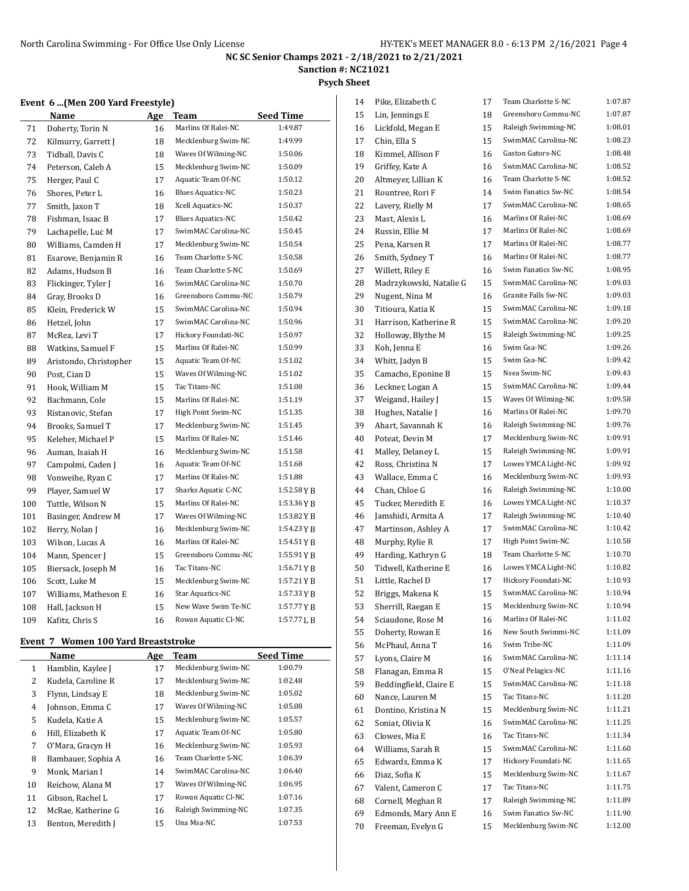**Sanction #: NC21021**

#### **Psych Sheet**

#### **Event 6 ...(Men 200 Yard Freestyle)**

|     | Name                   | Age | Team                     | <b>Seed Time</b>     |
|-----|------------------------|-----|--------------------------|----------------------|
| 71  | Doherty, Torin N       | 16  | Marlins Of Ralei-NC      | 1:49.87              |
| 72  | Kilmurry, Garrett J    | 18  | Mecklenburg Swim-NC      | 1:49.99              |
| 73  | Tidball, Davis C       | 18  | Waves Of Wilming-NC      | 1:50.06              |
| 74  | Peterson, Caleb A      | 15  | Mecklenburg Swim-NC      | 1:50.09              |
| 75  | Herger, Paul C         | 17  | Aquatic Team Of-NC       | 1:50.12              |
| 76  | Shores, Peter L        | 16  | <b>Blues Aquatics-NC</b> | 1:50.23              |
| 77  | Smith, Jaxon T         | 18  | Xcell Aquatics-NC        | 1:50.37              |
| 78  | Fishman, Isaac B       | 17  | <b>Blues Aquatics-NC</b> | 1:50.42              |
| 79  | Lachapelle, Luc M      | 17  | SwimMAC Carolina-NC      | 1:50.45              |
| 80  | Williams, Camden H     | 17  | Mecklenburg Swim-NC      | 1:50.54              |
| 81  | Esarove, Benjamin R    | 16  | Team Charlotte S-NC      | 1:50.58              |
| 82  | Adams, Hudson B        | 16  | Team Charlotte S-NC      | 1:50.69              |
| 83  | Flickinger, Tyler J    | 16  | SwimMAC Carolina-NC      | 1:50.70              |
| 84  | Gray, Brooks D         | 16  | Greensboro Commu-NC      | 1:50.79              |
| 85  | Klein, Frederick W     | 15  | SwimMAC Carolina-NC      | 1:50.94              |
| 86  | Hetzel, John           | 17  | SwimMAC Carolina-NC      | 1:50.96              |
| 87  | McRea, Levi T          | 17  | Hickory Foundati-NC      | 1:50.97              |
| 88  | Watkins, Samuel F      | 15  | Marlins Of Ralei-NC      | 1:50.99              |
| 89  | Aristondo, Christopher | 15  | Aquatic Team Of-NC       | 1:51.02              |
| 90  | Post. Cian D           | 15  | Waves Of Wilming-NC      | 1:51.02              |
| 91  | Hook, William M        | 15  | Tac Titans-NC            | 1:51.08              |
| 92  | Bachmann, Cole         | 15  | Marlins Of Ralei-NC      | 1:51.19              |
| 93  | Ristanovic, Stefan     | 17  | High Point Swim-NC       | 1:51.35              |
| 94  | Brooks, Samuel T       | 17  | Mecklenburg Swim-NC      | 1:51.45              |
| 95  | Keleher, Michael P     | 15  | Marlins Of Ralei-NC      | 1:51.46              |
| 96  | Auman, Isaiah H        | 16  | Mecklenburg Swim-NC      | 1:51.58              |
| 97  | Campolmi, Caden J      | 16  | Aquatic Team Of-NC       | 1:51.68              |
| 98  | Vonweihe, Ryan C       | 17  | Marlins Of Ralei-NC      | 1:51.88              |
| 99  | Player, Samuel W       | 17  | Sharks Aquatic C-NC      | $1:52.58 \text{Y B}$ |
| 100 | Tuttle, Wilson N       | 15  | Marlins Of Ralei-NC      | 1:53.36YB            |
| 101 | Basinger, Andrew M     | 17  | Waves Of Wilming-NC      | 1:53.82YB            |
| 102 | Berry, Nolan J         | 16  | Mecklenburg Swim-NC      | 1:54.23YB            |
| 103 | Wilson, Lucas A        | 16  | Marlins Of Ralei-NC      | 1:54.51YB            |
| 104 | Mann, Spencer J        | 15  | Greensboro Commu-NC      | $1:55.91$ Y B        |
| 105 | Biersack, Joseph M     | 16  | Tac Titans-NC            | 1:56.71YB            |
| 106 | Scott, Luke M          | 15  | Mecklenburg Swim-NC      | $1:57.21$ Y B        |
| 107 | Williams, Matheson E   | 16  | Star Aquatics-NC         | $1:57.33 \text{Y B}$ |
| 108 | Hall, Jackson H        | 15  | New Wave Swim Te-NC      | 1:57.77YB            |
| 109 | Kafitz, Chris S        | 16  | Rowan Aquatic Cl-NC      | 1:57.77LB            |

### **Event 7 Women 100 Yard Breaststroke**

|    | vc.ill /<br>WULLELL TOO TATU DI CASISII UNC |     |                     |                  |  |  |
|----|---------------------------------------------|-----|---------------------|------------------|--|--|
|    | Name                                        | Age | Team                | <b>Seed Time</b> |  |  |
| 1  | Hamblin, Kaylee J                           | 17  | Mecklenburg Swim-NC | 1:00.79          |  |  |
| 2  | Kudela, Caroline R                          | 17  | Mecklenburg Swim-NC | 1:02.48          |  |  |
| 3  | Flynn, Lindsay E                            | 18  | Mecklenburg Swim-NC | 1:05.02          |  |  |
| 4  | Johnson, Emma C                             | 17  | Waves Of Wilming-NC | 1:05.08          |  |  |
| 5  | Kudela, Katie A                             | 15  | Mecklenburg Swim-NC | 1:05.57          |  |  |
| 6  | Hill, Elizabeth K                           | 17  | Aquatic Team Of-NC  | 1:05.80          |  |  |
| 7  | O'Mara, Gracyn H                            | 16  | Mecklenburg Swim-NC | 1:05.93          |  |  |
| 8  | Bambauer, Sophia A                          | 16  | Team Charlotte S-NC | 1:06.39          |  |  |
| 9  | Monk, Marian I                              | 14  | SwimMAC Carolina-NC | 1:06.40          |  |  |
| 10 | Reichow, Alana M                            | 17  | Waves Of Wilming-NC | 1:06.95          |  |  |
| 11 | Gibson, Rachel L                            | 17  | Rowan Aquatic Cl-NC | 1:07.16          |  |  |
| 12 | McRae, Katherine G                          | 16  | Raleigh Swimming-NC | 1:07.35          |  |  |
| 13 | Benton, Meredith J                          | 15  | Una Msa-NC          | 1:07.53          |  |  |

| 14 | Pike, Elizabeth C       | 17 | Team Charlotte S-NC | 1:07.87 |
|----|-------------------------|----|---------------------|---------|
| 15 | Lin, Jennings E         | 18 | Greensboro Commu-NC | 1:07.87 |
| 16 | Lickfold, Megan E       | 15 | Raleigh Swimming-NC | 1:08.01 |
| 17 | Chin, Ella S            | 15 | SwimMAC Carolina-NC | 1:08.23 |
| 18 | Kimmel, Allison F       | 16 | Gaston Gators-NC    | 1:08.48 |
| 19 | Griffey, Kate A         | 16 | SwimMAC Carolina-NC | 1:08.52 |
| 20 | Altmeyer, Lillian K     | 16 | Team Charlotte S-NC | 1:08.52 |
| 21 | Rountree, Rori F        | 14 | Swim Fanatics Sw-NC | 1:08.54 |
| 22 | Lavery, Rielly M        | 17 | SwimMAC Carolina-NC | 1:08.65 |
| 23 | Mast, Alexis L          | 16 | Marlins Of Ralei-NC | 1:08.69 |
| 24 | Russin, Ellie M         | 17 | Marlins Of Ralei-NC | 1:08.69 |
| 25 | Pena, Karsen R          | 17 | Marlins Of Ralei-NC | 1:08.77 |
| 26 | Smith, Sydney T         | 16 | Marlins Of Ralei-NC | 1:08.77 |
| 27 | Willett, Riley E        | 16 | Swim Fanatics Sw-NC | 1:08.95 |
| 28 | Madrzykowski, Natalie G | 15 | SwimMAC Carolina-NC | 1:09.03 |
| 29 | Nugent, Nina M          | 16 | Granite Falls Sw-NC | 1:09.03 |
| 30 | Titioura, Katia K       | 15 | SwimMAC Carolina-NC | 1:09.18 |
| 31 | Harrison, Katherine R   | 15 | SwimMAC Carolina-NC | 1:09.20 |
| 32 | Holloway, Blythe M      | 15 | Raleigh Swimming-NC | 1:09.25 |
| 33 | Koh, Jenna E            | 16 | Swim Gsa-NC         | 1:09.26 |
| 34 | Whitt, Jadyn B          | 15 | Swim Gsa-NC         | 1:09.42 |
| 35 | Camacho, Eponine B      | 15 | Nsea Swim-NC        | 1:09.43 |
| 36 | Leckner, Logan A        | 15 | SwimMAC Carolina-NC | 1:09.44 |
| 37 | Weigand, Hailey J       | 15 | Waves Of Wilming-NC | 1:09.58 |
| 38 | Hughes, Natalie J       | 16 | Marlins Of Ralei-NC | 1:09.70 |
| 39 | Ahart, Savannah K       | 16 | Raleigh Swimming-NC | 1:09.76 |
| 40 | Poteat, Devin M         | 17 | Mecklenburg Swim-NC | 1:09.91 |
| 41 | Malley, Delaney L       | 15 | Raleigh Swimming-NC | 1:09.91 |
| 42 | Ross, Christina N       | 17 | Lowes YMCA Light-NC | 1:09.92 |
| 43 | Wallace, Emma C         | 16 | Mecklenburg Swim-NC | 1:09.93 |
| 44 | Chan, Chloe G           | 16 | Raleigh Swimming-NC | 1:10.00 |
| 45 | Tucker, Meredith E      | 16 | Lowes YMCA Light-NC | 1:10.37 |
| 46 | Jamshidi, Armita A      | 17 | Raleigh Swimming-NC | 1:10.40 |
| 47 | Martinson, Ashley A     | 17 | SwimMAC Carolina-NC | 1:10.42 |
|    |                         | 17 | High Point Swim-NC  | 1:10.58 |
| 48 | Murphy, Rylie R         |    | Team Charlotte S-NC | 1:10.70 |
| 49 | Harding, Kathryn G      | 18 | Lowes YMCA Light-NC | 1:10.82 |
| 50 | Tidwell, Katherine E    | 16 | Hickory Foundati-NC | 1:10.93 |
| 51 | Little, Rachel D        | 17 | SwimMAC Carolina-NC |         |
| 52 | Briggs, Makena K        | 15 |                     | 1:10.94 |
| 53 | Sherrill, Raegan E      | 15 | Mecklenburg Swim-NC | 1:10.94 |
| 54 | Sciaudone, Rose M       | 16 | Marlins Of Ralei-NC | 1:11.02 |
| 55 | Doherty, Rowan E        | 16 | New South Swimmi-NC | 1:11.09 |
| 56 | McPhaul, Anna T         | 16 | Swim Tribe-NC       | 1:11.09 |
| 57 | Lyons, Claire M         | 16 | SwimMAC Carolina-NC | 1:11.14 |
| 58 | Flanagan, Emma R        | 15 | O'Neal Pelagics-NC  | 1:11.16 |
| 59 | Beddingfield, Claire E  | 15 | SwimMAC Carolina-NC | 1:11.18 |
| 60 | Nance, Lauren M         | 15 | Tac Titans-NC       | 1:11.20 |
| 61 | Dontino, Kristina N     | 15 | Mecklenburg Swim-NC | 1:11.21 |
| 62 | Soniat, Olivia K        | 16 | SwimMAC Carolina-NC | 1:11.25 |
| 63 | Clowes, Mia E           | 16 | Tac Titans-NC       | 1:11.34 |
| 64 | Williams, Sarah R       | 15 | SwimMAC Carolina-NC | 1:11.60 |
| 65 | Edwards, Emma K         | 17 | Hickory Foundati-NC | 1:11.65 |
| 66 | Diaz, Sofia K           | 15 | Mecklenburg Swim-NC | 1:11.67 |
| 67 | Valent, Cameron C       | 17 | Tac Titans-NC       | 1:11.75 |
| 68 | Cornell, Meghan R       | 17 | Raleigh Swimming-NC | 1:11.89 |
| 69 | Edmonds, Mary Ann E     | 16 | Swim Fanatics Sw-NC | 1:11.90 |
| 70 | Freeman, Evelyn G       | 15 | Mecklenburg Swim-NC | 1:12.00 |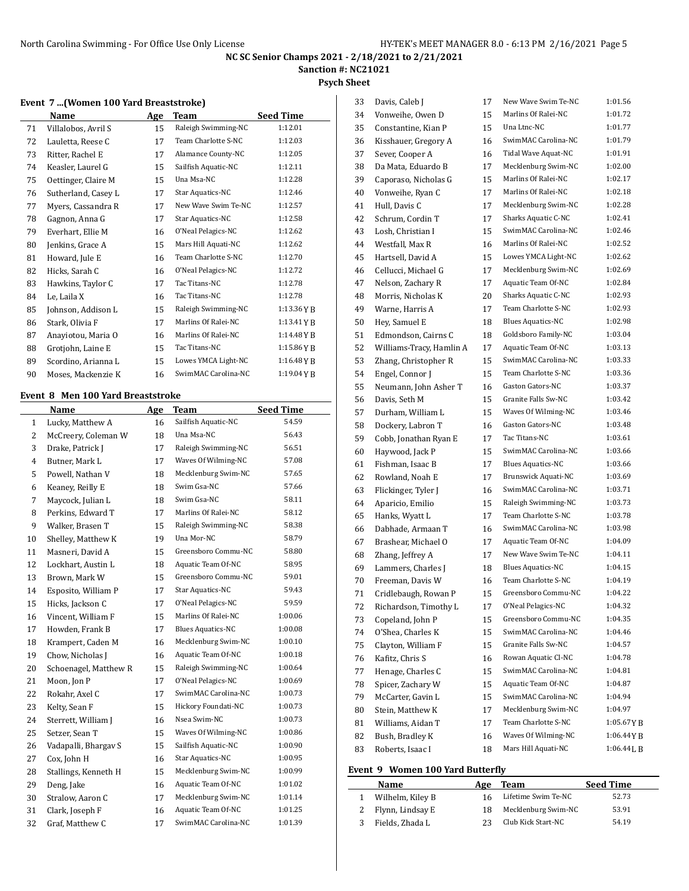# **Sanction #: NC21021**

### **Psych Sheet**

## **Event 7 ...(Women 100 Yard Breaststroke)**

|    | Name                | Age | Team                | <b>Seed Time</b> |
|----|---------------------|-----|---------------------|------------------|
| 71 | Villalobos, Avril S | 15  | Raleigh Swimming-NC | 1:12.01          |
| 72 | Lauletta, Reese C   | 17  | Team Charlotte S-NC | 1:12.03          |
| 73 | Ritter, Rachel E    | 17  | Alamance County-NC  | 1:12.05          |
| 74 | Keasler, Laurel G   | 15  | Sailfish Aquatic-NC | 1:12.11          |
| 75 | Oettinger, Claire M | 15  | Una Msa-NC          | 1:12.28          |
| 76 | Sutherland, Casey L | 17  | Star Aquatics-NC    | 1:12.46          |
| 77 | Myers, Cassandra R  | 17  | New Wave Swim Te-NC | 1:12.57          |
| 78 | Gagnon, Anna G      | 17  | Star Aquatics-NC    | 1:12.58          |
| 79 | Everhart, Ellie M   | 16  | O'Neal Pelagics-NC  | 1:12.62          |
| 80 | Jenkins, Grace A    | 15  | Mars Hill Aquati-NC | 1:12.62          |
| 81 | Howard, Jule E      | 16  | Team Charlotte S-NC | 1:12.70          |
| 82 | Hicks, Sarah C      | 16  | O'Neal Pelagics-NC  | 1:12.72          |
| 83 | Hawkins, Taylor C   | 17  | Tac Titans-NC       | 1:12.78          |
| 84 | Le, Laila X         | 16  | Tac Titans-NC       | 1:12.78          |
| 85 | Johnson, Addison L  | 15  | Raleigh Swimming-NC | 1:13.36YB        |
| 86 | Stark, Olivia F     | 17  | Marlins Of Ralei-NC | 1:13.41YB        |
| 87 | Anaviotou, Maria O  | 16  | Marlins Of Ralei-NC | 1:14.48YB        |
| 88 | Grotjohn, Laine E   | 15  | Tac Titans-NC       | 1:15.86YB        |
| 89 | Scordino, Arianna L | 15  | Lowes YMCA Light-NC | 1:16.48YB        |
| 90 | Moses, Mackenzie K  | 16  | SwimMAC Carolina-NC | $1:19.04$ Y B    |

## **Event 8 Men 100 Yard Breaststroke**

 $\overline{a}$ 

|                | Name                  | Age | Team                     | <b>Seed Time</b> |
|----------------|-----------------------|-----|--------------------------|------------------|
| $\mathbf{1}$   | Lucky, Matthew A      | 16  | Sailfish Aquatic-NC      | 54.59            |
| $\overline{2}$ | McCreery, Coleman W   | 18  | Una Msa-NC               | 56.43            |
| 3              | Drake, Patrick J      | 17  | Raleigh Swimming-NC      | 56.51            |
| $\overline{4}$ | Butner, Mark L        | 17  | Waves Of Wilming-NC      | 57.08            |
| 5              | Powell, Nathan V      | 18  | Mecklenburg Swim-NC      | 57.65            |
| 6              | Keaney, Reilly E      | 18  | Swim Gsa-NC              | 57.66            |
| 7              | Maycock, Julian L     | 18  | Swim Gsa-NC              | 58.11            |
| 8              | Perkins, Edward T     | 17  | Marlins Of Ralei-NC      | 58.12            |
| 9              | Walker, Brasen T      | 15  | Raleigh Swimming-NC      | 58.38            |
| 10             | Shelley, Matthew K    | 19  | Una Mor-NC               | 58.79            |
| 11             | Masneri, David A      | 15  | Greensboro Commu-NC      | 58.80            |
| 12             | Lockhart, Austin L    | 18  | Aquatic Team Of-NC       | 58.95            |
| 13             | Brown, Mark W         | 15  | Greensboro Commu-NC      | 59.01            |
| 14             | Esposito, William P   | 17  | Star Aquatics-NC         | 59.43            |
| 15             | Hicks, Jackson C      | 17  | O'Neal Pelagics-NC       | 59.59            |
| 16             | Vincent, William F    | 15  | Marlins Of Ralei-NC      | 1:00.06          |
| 17             | Howden, Frank B       | 17  | <b>Blues Aquatics-NC</b> | 1:00.08          |
| 18             | Krampert, Caden M     | 16  | Mecklenburg Swim-NC      | 1:00.10          |
| 19             | Chow, Nicholas J      | 16  | Aquatic Team Of-NC       | 1:00.18          |
| 20             | Schoenagel, Matthew R | 15  | Raleigh Swimming-NC      | 1:00.64          |
| 21             | Moon, Jon P           | 17  | O'Neal Pelagics-NC       | 1:00.69          |
| 22             | Rokahr, Axel C        | 17  | SwimMAC Carolina-NC      | 1:00.73          |
| 23             | Kelty, Sean F         | 15  | Hickory Foundati-NC      | 1:00.73          |
| 24             | Sterrett, William J   | 16  | Nsea Swim-NC             | 1:00.73          |
| 25             | Setzer, Sean T        | 15  | Waves Of Wilming-NC      | 1:00.86          |
| 26             | Vadapalli, Bhargav S  | 15  | Sailfish Aquatic-NC      | 1:00.90          |
| 27             | Cox, John H           | 16  | Star Aquatics-NC         | 1:00.95          |
| 28             | Stallings, Kenneth H  | 15  | Mecklenburg Swim-NC      | 1:00.99          |
| 29             | Deng, Jake            | 16  | Aquatic Team Of-NC       | 1:01.02          |
| 30             | Stralow, Aaron C      | 17  | Mecklenburg Swim-NC      | 1:01.14          |
| 31             | Clark, Joseph F       | 16  | Aquatic Team Of-NC       | 1:01.25          |
| 32             | Graf, Matthew C       | 17  | SwimMAC Carolina-NC      | 1:01.39          |
|                |                       |     |                          |                  |

| 33 | Davis, Caleb J           | 17 | New Wave Swim Te-NC      | 1:01.56    |
|----|--------------------------|----|--------------------------|------------|
| 34 | Vonweihe, Owen D         | 15 | Marlins Of Ralei-NC      | 1:01.72    |
| 35 | Constantine, Kian P      | 15 | Una Ltnc-NC              | 1:01.77    |
| 36 | Kisshauer, Gregory A     | 16 | SwimMAC Carolina-NC      | 1:01.79    |
| 37 | Sever, Cooper A          | 16 | Tidal Wave Aquat-NC      | 1:01.91    |
| 38 | Da Mata. Eduardo B       | 17 | Mecklenburg Swim-NC      | 1:02.00    |
| 39 | Caporaso, Nicholas G     | 15 | Marlins Of Ralei-NC      | 1:02.17    |
| 40 | Vonweihe, Ryan C         | 17 | Marlins Of Ralei-NC      | 1:02.18    |
| 41 | Hull, Davis C            | 17 | Mecklenburg Swim-NC      | 1:02.28    |
| 42 | Schrum, Cordin T         | 17 | Sharks Aquatic C-NC      | 1:02.41    |
| 43 | Losh, Christian I        | 15 | SwimMAC Carolina-NC      | 1:02.46    |
| 44 | Westfall, Max R          | 16 | Marlins Of Ralei-NC      | 1:02.52    |
| 45 | Hartsell, David A        | 15 | Lowes YMCA Light-NC      | 1:02.62    |
| 46 | Cellucci, Michael G      | 17 | Mecklenburg Swim-NC      | 1:02.69    |
| 47 | Nelson, Zachary R        | 17 | Aquatic Team Of-NC       | 1:02.84    |
| 48 | Morris, Nicholas K       | 20 | Sharks Aquatic C-NC      | 1:02.93    |
| 49 | Warne, Harris A          | 17 | Team Charlotte S-NC      | 1:02.93    |
| 50 | Hey, Samuel E            | 18 | <b>Blues Aquatics-NC</b> | 1:02.98    |
| 51 | Edmondson, Cairns C      | 18 | Goldsboro Family-NC      | 1:03.04    |
| 52 | Williams-Tracy, Hamlin A | 17 | Aquatic Team Of-NC       | 1:03.13    |
| 53 | Zhang, Christopher R     | 15 | SwimMAC Carolina-NC      | 1:03.33    |
| 54 | Engel, Connor J          | 15 | Team Charlotte S-NC      | 1:03.36    |
| 55 | Neumann, John Asher T    | 16 | Gaston Gators-NC         | 1:03.37    |
| 56 | Davis. Seth M            | 15 | Granite Falls Sw-NC      | 1:03.42    |
| 57 | Durham, William L        | 15 | Waves Of Wilming-NC      | 1:03.46    |
| 58 | Dockery, Labron T        | 16 | Gaston Gators-NC         | 1:03.48    |
| 59 | Cobb, Jonathan Ryan E    | 17 | Tac Titans-NC            | 1:03.61    |
| 60 | Haywood, Jack P          | 15 | SwimMAC Carolina-NC      | 1:03.66    |
| 61 | Fishman, Isaac B         | 17 | <b>Blues Aquatics-NC</b> | 1:03.66    |
| 62 | Rowland, Noah E          | 17 | Brunswick Aquati-NC      | 1:03.69    |
| 63 | Flickinger, Tyler J      | 16 | SwimMAC Carolina-NC      | 1:03.71    |
| 64 | Aparicio, Emilio         | 15 | Raleigh Swimming-NC      | 1:03.73    |
| 65 | Hanks, Wyatt L           | 17 | Team Charlotte S-NC      | 1:03.78    |
| 66 | Dabhade, Armaan T        | 16 | SwimMAC Carolina-NC      | 1:03.98    |
| 67 | Brashear, Michael O      | 17 | Aquatic Team Of-NC       | 1:04.09    |
| 68 | Zhang, Jeffrey A         | 17 | New Wave Swim Te-NC      | 1:04.11    |
| 69 | Lammers, Charles J       | 18 | <b>Blues Aquatics-NC</b> | 1:04.15    |
| 70 | Freeman, Davis W         | 16 | Team Charlotte S-NC      | 1:04.19    |
| 71 | Cridlebaugh, Rowan P     | 15 | Greensboro Commu-NC      | 1:04.22    |
| 72 | Richardson, Timothy L    | 17 | O'Neal Pelagics-NC       | 1:04.32    |
| 73 | Copeland, John P         | 15 | Greensboro Commu-NC      | 1:04.35    |
| 74 | O'Shea, Charles K        | 15 | SwimMAC Carolina-NC      | 1:04.46    |
| 75 | Clayton, William F       | 15 | Granite Falls Sw-NC      | 1:04.57    |
| 76 | Kafitz, Chris S          | 16 | Rowan Aquatic Cl-NC      | 1:04.78    |
| 77 | Henage, Charles C        | 15 | SwimMAC Carolina-NC      | 1:04.81    |
| 78 | Spicer, Zachary W        | 15 | Aquatic Team Of-NC       | 1:04.87    |
| 79 | McCarter, Gavin L        | 15 | SwimMAC Carolina-NC      | 1:04.94    |
| 80 | Stein, Matthew K         | 17 | Mecklenburg Swim-NC      | 1:04.97    |
| 81 | Williams, Aidan T        | 17 | Team Charlotte S-NC      | 1:05.67YB  |
| 82 | Bush, Bradley K          | 16 | Waves Of Wilming-NC      | 1:06.44YB  |
| 83 | Roberts, Isaac I         | 18 | Mars Hill Aquati-NC      | 1:06.44L B |
|    |                          |    |                          |            |

## **Event 9 Women 100 Yard Butterfly**

| Name               | Age | Team                | <b>Seed Time</b> |
|--------------------|-----|---------------------|------------------|
| Wilhelm, Kiley B   |     | Lifetime Swim Te-NC | 52.73            |
| 2 Flynn, Lindsay E | 18  | Mecklenburg Swim-NC | 53.91            |
| 3 Fields, Zhada L  | 23  | Club Kick Start-NC  | 54.19            |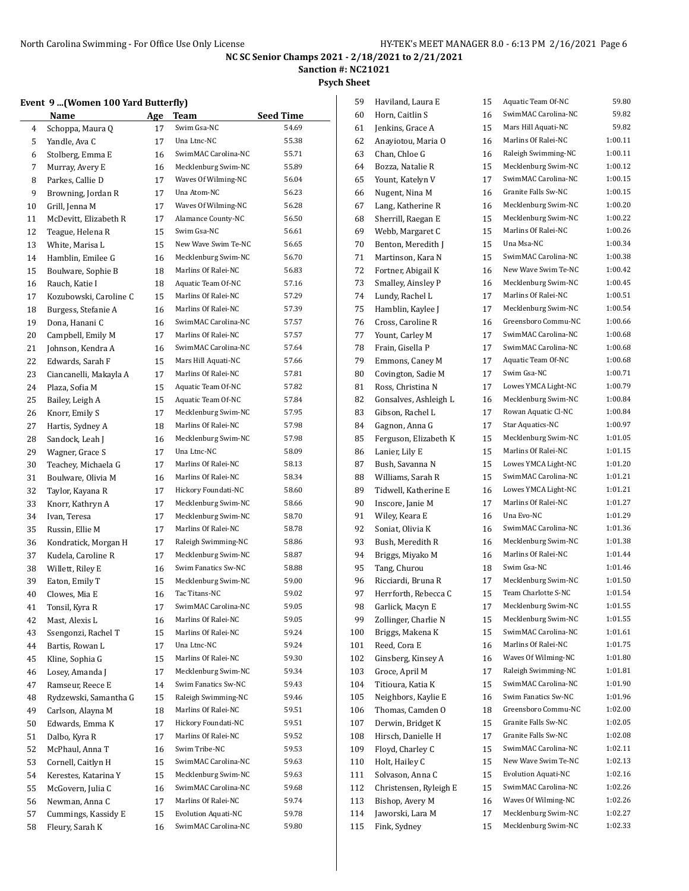**Sanction #: NC21021**

**Psych Sheet**

### **Event 9 ...(Women 100 Yard Butterfly)**

|          | $\frac{1}{2}$<br>Name                         | Age      | Team                       | <b>Seed Time</b> |
|----------|-----------------------------------------------|----------|----------------------------|------------------|
| 4        | Schoppa, Maura Q                              | 17       | Swim Gsa-NC                | 54.69            |
| 5        | Yandle, Ava C                                 | 17       | Una Ltnc-NC                | 55.38            |
| 6        | Stolberg, Emma E                              | 16       | SwimMAC Carolina-NC        | 55.71            |
| 7        | Murray, Avery E                               | 16       | Mecklenburg Swim-NC        | 55.89            |
|          | Parkes, Callie D                              | 17       | Waves Of Wilming-NC        | 56.04            |
| 8<br>9   | Browning, Jordan R                            | 17       | Una Atom-NC                | 56.23            |
|          |                                               |          | Waves Of Wilming-NC        | 56.28            |
| 10       | Grill, Jenna M<br>McDevitt, Elizabeth R       | 17       | Alamance County-NC         | 56.50            |
| 11       |                                               | 17<br>15 | Swim Gsa-NC                | 56.61            |
| 12       | Teague, Helena R                              |          | New Wave Swim Te-NC        | 56.65            |
| 13       | White, Marisa L<br>Hamblin, Emilee G          | 15       | Mecklenburg Swim-NC        | 56.70            |
| 14       | Boulware, Sophie B                            | 16<br>18 | Marlins Of Ralei-NC        | 56.83            |
| 15       |                                               |          | Aquatic Team Of-NC         | 57.16            |
| 16<br>17 | Rauch, Katie I                                | 18<br>15 | Marlins Of Ralei-NC        | 57.29            |
| 18       | Kozubowski, Caroline C<br>Burgess, Stefanie A | 16       | Marlins Of Ralei-NC        | 57.39            |
|          | Dona, Hanani C                                | 16       | SwimMAC Carolina-NC        | 57.57            |
| 19       | Campbell, Emily M                             | 17       | Marlins Of Ralei-NC        | 57.57            |
| 20       | Johnson, Kendra A                             | 16       | SwimMAC Carolina-NC        | 57.64            |
| 21       | Edwards, Sarah F                              | 15       | Mars Hill Aquati-NC        | 57.66            |
| 22       |                                               | 17       | Marlins Of Ralei-NC        | 57.81            |
| 23<br>24 | Ciancanelli, Makayla A<br>Plaza, Sofia M      | 15       | Aquatic Team Of-NC         | 57.82            |
| 25       | Bailey, Leigh A                               | 15       | Aquatic Team Of-NC         | 57.84            |
| 26       | Knorr, Emily S                                | 17       | Mecklenburg Swim-NC        | 57.95            |
| 27       | Hartis, Sydney A                              | 18       | Marlins Of Ralei-NC        | 57.98            |
| 28       | Sandock, Leah J                               | 16       | Mecklenburg Swim-NC        | 57.98            |
| 29       | Wagner, Grace S                               | 17       | Una Ltnc-NC                | 58.09            |
| 30       | Teachey, Michaela G                           | 17       | Marlins Of Ralei-NC        | 58.13            |
| 31       | Boulware, Olivia M                            | 16       | Marlins Of Ralei-NC        | 58.34            |
| 32       | Taylor, Kayana R                              | 17       | Hickory Foundati-NC        | 58.60            |
| 33       | Knorr, Kathryn A                              | 17       | Mecklenburg Swim-NC        | 58.66            |
| 34       | Ivan, Teresa                                  | 17       | Mecklenburg Swim-NC        | 58.70            |
| 35       | Russin, Ellie M                               | 17       | Marlins Of Ralei-NC        | 58.78            |
| 36       | Kondratick, Morgan H                          | 17       | Raleigh Swimming-NC        | 58.86            |
| 37       | Kudela, Caroline R                            | 17       | Mecklenburg Swim-NC        | 58.87            |
| 38       | Willett, Riley E                              | 16       | Swim Fanatics Sw-NC        | 58.88            |
| 39       | Eaton, Emily T                                | 15       | Mecklenburg Swim-NC        | 59.00            |
| 40       | Clowes, Mia E                                 | 16       | Tac Titans-NC              | 59.02            |
| 41       | Tonsil, Kyra R                                | 17       | SwimMAC Carolina-NC        | 59.05            |
| 42       | Mast, Alexis L                                | 16       | Marlins Of Ralei-NC        | 59.05            |
| 43       | Ssengonzi, Rachel T                           | 15       | Marlins Of Ralei-NC        | 59.24            |
| 44       | Bartis, Rowan L                               | 17       | Una Ltnc-NC                | 59.24            |
| 45       | Kline, Sophia G                               | 15       | Marlins Of Ralei-NC        | 59.30            |
| 46       | Losey, Amanda J                               | 17       | Mecklenburg Swim-NC        | 59.34            |
| 47       | Ramseur, Reece E                              | 14       | Swim Fanatics Sw-NC        | 59.43            |
| 48       | Rydzewski, Samantha G                         | 15       | Raleigh Swimming-NC        | 59.46            |
| 49       | Carlson, Alayna M                             | 18       | Marlins Of Ralei-NC        | 59.51            |
| 50       | Edwards, Emma K                               | 17       | Hickory Foundati-NC        | 59.51            |
| 51       | Dalbo, Kyra R                                 | 17       | Marlins Of Ralei-NC        | 59.52            |
| 52       | McPhaul, Anna T                               | 16       | Swim Tribe-NC              | 59.53            |
| 53       | Cornell, Caitlyn H                            | 15       | SwimMAC Carolina-NC        | 59.63            |
| 54       | Kerestes, Katarina Y                          | 15       | Mecklenburg Swim-NC        | 59.63            |
| 55       | McGovern, Julia C                             | 16       | SwimMAC Carolina-NC        | 59.68            |
| 56       | Newman, Anna C                                | 17       | Marlins Of Ralei-NC        | 59.74            |
| 57       | Cummings, Kassidy E                           | 15       | <b>Evolution Aquati-NC</b> | 59.78            |
| 58       | Fleury, Sarah K                               | 16       | SwimMAC Carolina-NC        | 59.80            |
|          |                                               |          |                            |                  |

| 59  | Haviland, Laura E      | 15 | Aquatic Team Of-NC         | 59.80   |
|-----|------------------------|----|----------------------------|---------|
| 60  | Horn, Caitlin S        | 16 | SwimMAC Carolina-NC        | 59.82   |
| 61  | Jenkins, Grace A       | 15 | Mars Hill Aquati-NC        | 59.82   |
| 62  | Anayiotou, Maria O     | 16 | Marlins Of Ralei-NC        | 1:00.11 |
| 63  | Chan, Chloe G          | 16 | Raleigh Swimming-NC        | 1:00.11 |
| 64  | Bozza, Natalie R       | 15 | Mecklenburg Swim-NC        | 1:00.12 |
| 65  | Yount, Katelyn V       | 17 | SwimMAC Carolina-NC        | 1:00.15 |
| 66  | Nugent, Nina M         | 16 | Granite Falls Sw-NC        | 1:00.15 |
| 67  | Lang, Katherine R      | 16 | Mecklenburg Swim-NC        | 1:00.20 |
| 68  | Sherrill, Raegan E     | 15 | Mecklenburg Swim-NC        | 1:00.22 |
| 69  | Webb, Margaret C       | 15 | Marlins Of Ralei-NC        | 1:00.26 |
| 70  | Benton, Meredith J     | 15 | Una Msa-NC                 | 1:00.34 |
| 71  | Martinson, Kara N      | 15 | SwimMAC Carolina-NC        | 1:00.38 |
| 72  | Fortner, Abigail K     | 16 | New Wave Swim Te-NC        | 1:00.42 |
| 73  | Smalley, Ainsley P     | 16 | Mecklenburg Swim-NC        | 1:00.45 |
| 74  | Lundy, Rachel L        | 17 | Marlins Of Ralei-NC        | 1:00.51 |
| 75  | Hamblin, Kaylee J      | 17 | Mecklenburg Swim-NC        | 1:00.54 |
| 76  | Cross, Caroline R      | 16 | Greensboro Commu-NC        | 1:00.66 |
| 77  |                        | 17 | SwimMAC Carolina-NC        | 1:00.68 |
|     | Yount, Carley M        | 17 | SwimMAC Carolina-NC        | 1:00.68 |
| 78  | Frain, Gisella P       |    | Aquatic Team Of-NC         | 1:00.68 |
| 79  | Emmons, Caney M        | 17 | Swim Gsa-NC                | 1:00.71 |
| 80  | Covington, Sadie M     | 17 |                            |         |
| 81  | Ross, Christina N      | 17 | Lowes YMCA Light-NC        | 1:00.79 |
| 82  | Gonsalves, Ashleigh L  | 16 | Mecklenburg Swim-NC        | 1:00.84 |
| 83  | Gibson, Rachel L       | 17 | Rowan Aquatic Cl-NC        | 1:00.84 |
| 84  | Gagnon, Anna G         | 17 | Star Aquatics-NC           | 1:00.97 |
| 85  | Ferguson, Elizabeth K  | 15 | Mecklenburg Swim-NC        | 1:01.05 |
| 86  | Lanier, Lily E         | 15 | Marlins Of Ralei-NC        | 1:01.15 |
| 87  | Bush, Savanna N        | 15 | Lowes YMCA Light-NC        | 1:01.20 |
| 88  | Williams, Sarah R      | 15 | SwimMAC Carolina-NC        | 1:01.21 |
| 89  | Tidwell, Katherine E   | 16 | Lowes YMCA Light-NC        | 1:01.21 |
| 90  | Inscore, Janie M       | 17 | Marlins Of Ralei-NC        | 1:01.27 |
| 91  | Wiley, Keara E         | 16 | Una Evo-NC                 | 1:01.29 |
| 92  | Soniat, Olivia K       | 16 | SwimMAC Carolina-NC        | 1:01.36 |
| 93  | Bush, Meredith R       | 16 | Mecklenburg Swim-NC        | 1:01.38 |
| 94  | Briggs, Miyako M       | 16 | Marlins Of Ralei-NC        | 1:01.44 |
| 95  | Tang, Churou           | 18 | Swim Gsa-NC                | 1:01.46 |
| 96  | Ricciardi, Bruna R     | 17 | Mecklenburg Swim-NC        | 1:01.50 |
| 97  | Herrforth, Rebecca C   | 15 | Team Charlotte S-NC        | 1:01.54 |
| 98  | Garlick, Macyn E       | 17 | Mecklenburg Swim-NC        | 1:01.55 |
| 99  | Zollinger, Charlie N   | 15 | Mecklenburg Swim-NC        | 1:01.55 |
| 100 | Briggs, Makena K       | 15 | SwimMAC Carolina-NC        | 1:01.61 |
| 101 | Reed, Cora E           | 16 | Marlins Of Ralei-NC        | 1:01.75 |
| 102 | Ginsberg, Kinsey A     | 16 | Waves Of Wilming-NC        | 1:01.80 |
| 103 | Groce, April M         | 17 | Raleigh Swimming-NC        | 1:01.81 |
| 104 | Titioura, Katia K      | 15 | SwimMAC Carolina-NC        | 1:01.90 |
| 105 | Neighbors, Kaylie E    | 16 | Swim Fanatics Sw-NC        | 1:01.96 |
| 106 | Thomas, Camden O       | 18 | Greensboro Commu-NC        | 1:02.00 |
| 107 | Derwin, Bridget K      | 15 | Granite Falls Sw-NC        | 1:02.05 |
| 108 | Hirsch, Danielle H     | 17 | Granite Falls Sw-NC        | 1:02.08 |
| 109 | Floyd, Charley C       | 15 | SwimMAC Carolina-NC        | 1:02.11 |
| 110 | Holt, Hailey C         | 15 | New Wave Swim Te-NC        | 1:02.13 |
| 111 | Solvason, Anna C       | 15 | <b>Evolution Aquati-NC</b> | 1:02.16 |
| 112 | Christensen, Ryleigh E | 15 | SwimMAC Carolina-NC        | 1:02.26 |
| 113 | Bishop, Avery M        | 16 | Waves Of Wilming-NC        | 1:02.26 |
| 114 | Jaworski, Lara M       | 17 | Mecklenburg Swim-NC        | 1:02.27 |
| 115 | Fink, Sydney           | 15 | Mecklenburg Swim-NC        | 1:02.33 |
|     |                        |    |                            |         |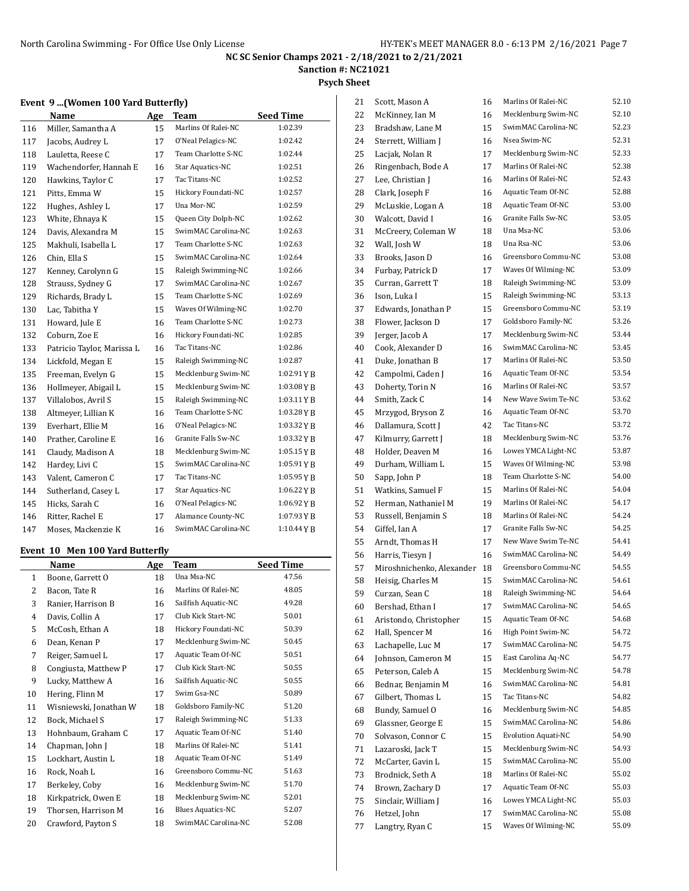**Sanction #: NC21021**

#### **Psych Sheet**

#### **Event 9 ...(Women 100 Yard Butterfly)**

|     | Name                       | Age | <b>Team</b>         | <b>Seed Time</b> |
|-----|----------------------------|-----|---------------------|------------------|
| 116 | Miller, Samantha A         | 15  | Marlins Of Ralei-NC | 1:02.39          |
| 117 | Jacobs, Audrey L           | 17  | O'Neal Pelagics-NC  | 1:02.42          |
| 118 | Lauletta, Reese C          | 17  | Team Charlotte S-NC | 1:02.44          |
| 119 | Wachendorfer, Hannah E     | 16  | Star Aquatics-NC    | 1:02.51          |
| 120 | Hawkins, Taylor C          | 17  | Tac Titans-NC       | 1:02.52          |
| 121 | Pitts, Emma W              | 15  | Hickory Foundati-NC | 1:02.57          |
| 122 | Hughes, Ashley L           | 17  | Una Mor-NC          | 1:02.59          |
| 123 | White, Ehnaya K            | 15  | Queen City Dolph-NC | 1:02.62          |
| 124 | Davis, Alexandra M         | 15  | SwimMAC Carolina-NC | 1:02.63          |
| 125 | Makhuli, Isabella L        | 17  | Team Charlotte S-NC | 1:02.63          |
| 126 | Chin, Ella S               | 15  | SwimMAC Carolina-NC | 1:02.64          |
| 127 | Kenney, Carolynn G         | 15  | Raleigh Swimming-NC | 1:02.66          |
| 128 | Strauss, Sydney G          | 17  | SwimMAC Carolina-NC | 1:02.67          |
| 129 | Richards, Brady L          | 15  | Team Charlotte S-NC | 1:02.69          |
| 130 | Lac, Tabitha Y             | 15  | Waves Of Wilming-NC | 1:02.70          |
| 131 | Howard, Jule E             | 16  | Team Charlotte S-NC | 1:02.73          |
| 132 | Coburn, Zoe E              | 16  | Hickory Foundati-NC | 1:02.85          |
| 133 | Patricio Taylor, Marissa L | 16  | Tac Titans-NC       | 1:02.86          |
| 134 | Lickfold, Megan E          | 15  | Raleigh Swimming-NC | 1:02.87          |
| 135 | Freeman, Evelyn G          | 15  | Mecklenburg Swim-NC | 1:02.91YB        |
| 136 | Hollmeyer, Abigail L       | 15  | Mecklenburg Swim-NC | 1:03.08YB        |
| 137 | Villalobos, Avril S        | 15  | Raleigh Swimming-NC | $1:03.11$ Y B    |
| 138 | Altmeyer, Lillian K        | 16  | Team Charlotte S-NC | 1:03.28YB        |
| 139 | Everhart, Ellie M          | 16  | O'Neal Pelagics-NC  | 1:03.32YB        |
| 140 | Prather, Caroline E        | 16  | Granite Falls Sw-NC | $1:03.32$ Y B    |
| 141 | Claudy, Madison A          | 18  | Mecklenburg Swim-NC | $1:05.15$ YB     |
| 142 | Hardey, Livi C             | 15  | SwimMAC Carolina-NC | 1:05.91YB        |
| 143 | Valent, Cameron C          | 17  | Tac Titans-NC       | 1:05.95YB        |
| 144 | Sutherland, Casey L        | 17  | Star Aquatics-NC    | 1:06.22YB        |
| 145 | Hicks, Sarah C             | 16  | O'Neal Pelagics-NC  | 1:06.92YB        |
| 146 | Ritter, Rachel E           | 17  | Alamance County-NC  | 1:07.93YB        |
| 147 | Moses, Mackenzie K         | 16  | SwimMAC Carolina-NC | $1:10.44$ Y B    |

## **Event 10 Men 100 Yard Butterfly**

|    | Name                   | Age | Team                     | <b>Seed Time</b> |
|----|------------------------|-----|--------------------------|------------------|
| 1  | Boone, Garrett O       | 18  | Una Msa-NC               | 47.56            |
| 2  | Bacon, Tate R          | 16  | Marlins Of Ralei-NC      | 48.05            |
| 3  | Ranier, Harrison B     | 16  | Sailfish Aquatic-NC      | 49.28            |
| 4  | Davis, Collin A        | 17  | Club Kick Start-NC       | 50.01            |
| 5  | McCosh, Ethan A        | 18  | Hickory Foundati-NC      | 50.39            |
| 6  | Dean, Kenan P          | 17  | Mecklenburg Swim-NC      | 50.45            |
| 7  | Reiger, Samuel L       | 17  | Aquatic Team Of-NC       | 50.51            |
| 8  | Congiusta, Matthew P   | 17  | Club Kick Start-NC       | 50.55            |
| 9  | Lucky, Matthew A       | 16  | Sailfish Aquatic-NC      | 50.55            |
| 10 | Hering, Flinn M        | 17  | Swim Gsa-NC              | 50.89            |
| 11 | Wisniewski, Jonathan W | 18  | Goldsboro Family-NC      | 51.20            |
| 12 | Bock, Michael S        | 17  | Raleigh Swimming-NC      | 51.33            |
| 13 | Hohnbaum, Graham C     | 17  | Aquatic Team Of-NC       | 51.40            |
| 14 | Chapman, John J        | 18  | Marlins Of Ralei-NC      | 51.41            |
| 15 | Lockhart, Austin L     | 18  | Aquatic Team Of-NC       | 51.49            |
| 16 | Rock, Noah L           | 16  | Greensboro Commu-NC      | 51.63            |
| 17 | Berkeley, Coby         | 16  | Mecklenburg Swim-NC      | 51.70            |
| 18 | Kirkpatrick, Owen E    | 18  | Mecklenburg Swim-NC      | 52.01            |
| 19 | Thorsen, Harrison M    | 16  | <b>Blues Aquatics-NC</b> | 52.07            |
| 20 | Crawford, Payton S     | 18  | SwimMAC Carolina-NC      | 52.08            |

| 21 | Scott, Mason A            | 16 | Marlins Of Ralei-NC        | 52.10 |
|----|---------------------------|----|----------------------------|-------|
| 22 | McKinney, Ian M           | 16 | Mecklenburg Swim-NC        | 52.10 |
| 23 | Bradshaw, Lane M          | 15 | SwimMAC Carolina-NC        | 52.23 |
| 24 | Sterrett, William J       | 16 | Nsea Swim-NC               | 52.31 |
| 25 | Lacjak, Nolan R           | 17 | Mecklenburg Swim-NC        | 52.33 |
| 26 | Ringenbach, Bode A        | 17 | Marlins Of Ralei-NC        | 52.38 |
| 27 | Lee, Christian J          | 16 | Marlins Of Ralei-NC        | 52.43 |
| 28 | Clark, Joseph F           | 16 | Aquatic Team Of-NC         | 52.88 |
| 29 | McLuskie, Logan A         | 18 | Aquatic Team Of-NC         | 53.00 |
| 30 | Walcott, David I          | 16 | Granite Falls Sw-NC        | 53.05 |
| 31 | McCreery, Coleman W       | 18 | Una Msa-NC                 | 53.06 |
| 32 | Wall, Josh W              | 18 | Una Rsa-NC                 | 53.06 |
| 33 | Brooks, Jason D           | 16 | Greensboro Commu-NC        | 53.08 |
| 34 | Furbay, Patrick D         | 17 | Waves Of Wilming-NC        | 53.09 |
| 35 | Curran, Garrett T         | 18 | Raleigh Swimming-NC        | 53.09 |
| 36 | Ison, Luka I              | 15 | Raleigh Swimming-NC        | 53.13 |
| 37 | Edwards, Jonathan P       | 15 | Greensboro Commu-NC        | 53.19 |
| 38 | Flower, Jackson D         | 17 | Goldsboro Family-NC        | 53.26 |
| 39 | Jerger, Jacob A           | 17 | Mecklenburg Swim-NC        | 53.44 |
| 40 | Cook, Alexander D         | 16 | SwimMAC Carolina-NC        | 53.45 |
| 41 | Duke, Jonathan B          | 17 | Marlins Of Ralei-NC        | 53.50 |
| 42 | Campolmi, Caden J         | 16 | Aquatic Team Of-NC         | 53.54 |
| 43 | Doherty, Torin N          | 16 | Marlins Of Ralei-NC        | 53.57 |
|    |                           |    | New Wave Swim Te-NC        | 53.62 |
| 44 | Smith, Zack C             | 14 | Aquatic Team Of-NC         | 53.70 |
| 45 | Mrzygod, Bryson Z         | 16 | Tac Titans-NC              | 53.72 |
| 46 | Dallamura, Scott J        | 42 |                            | 53.76 |
| 47 | Kilmurry, Garrett J       | 18 | Mecklenburg Swim-NC        |       |
| 48 | Holder, Deaven M          | 16 | Lowes YMCA Light-NC        | 53.87 |
| 49 | Durham, William L         | 15 | Waves Of Wilming-NC        | 53.98 |
| 50 | Sapp, John P              | 18 | Team Charlotte S-NC        | 54.00 |
| 51 | Watkins, Samuel F         | 15 | Marlins Of Ralei-NC        | 54.04 |
| 52 | Herman, Nathaniel M       | 19 | Marlins Of Ralei-NC        | 54.17 |
| 53 | Russell, Benjamin S       | 18 | Marlins Of Ralei-NC        | 54.24 |
| 54 | Giffel, Ian A             | 17 | Granite Falls Sw-NC        | 54.25 |
| 55 | Arndt, Thomas H           | 17 | New Wave Swim Te-NC        | 54.41 |
| 56 | Harris, Tiesyn J          | 16 | SwimMAC Carolina-NC        | 54.49 |
| 57 | Miroshnichenko, Alexander | 18 | Greensboro Commu-NC        | 54.55 |
| 58 | Heisig, Charles M         | 15 | SwimMAC Carolina-NC        | 54.61 |
| 59 | Curzan, Sean C            | 18 | Raleigh Swimming-NC        | 54.64 |
| 60 | Bershad, Ethan I          | 17 | SwimMAC Carolina-NC        | 54.65 |
| 61 | Aristondo, Christopher    | 15 | Aquatic Team Of-NC         | 54.68 |
| 62 | Hall, Spencer M           | 16 | High Point Swim-NC         | 54.72 |
| 63 | Lachapelle, Luc M         | 17 | SwimMAC Carolina-NC        | 54.75 |
| 64 | Johnson, Cameron M        | 15 | East Carolina Aq-NC        | 54.77 |
| 65 | Peterson, Caleb A         | 15 | Mecklenburg Swim-NC        | 54.78 |
| 66 | Bednar, Benjamin M        | 16 | SwimMAC Carolina-NC        | 54.81 |
| 67 | Gilbert, Thomas L         | 15 | Tac Titans-NC              | 54.82 |
| 68 | Bundy, Samuel O           | 16 | Mecklenburg Swim-NC        | 54.85 |
| 69 | Glassner, George E        | 15 | SwimMAC Carolina-NC        | 54.86 |
| 70 | Solvason, Connor C        | 15 | <b>Evolution Aquati-NC</b> | 54.90 |
| 71 | Lazaroski, Jack T         | 15 | Mecklenburg Swim-NC        | 54.93 |
| 72 | McCarter, Gavin L         | 15 | SwimMAC Carolina-NC        | 55.00 |
| 73 | Brodnick, Seth A          | 18 | Marlins Of Ralei-NC        | 55.02 |
| 74 | Brown, Zachary D          | 17 | Aquatic Team Of-NC         | 55.03 |
| 75 | Sinclair, William J       | 16 | Lowes YMCA Light-NC        | 55.03 |
| 76 | Hetzel, John              | 17 | SwimMAC Carolina-NC        | 55.08 |
| 77 | Langtry, Ryan C           | 15 | Waves Of Wilming-NC        | 55.09 |
|    |                           |    |                            |       |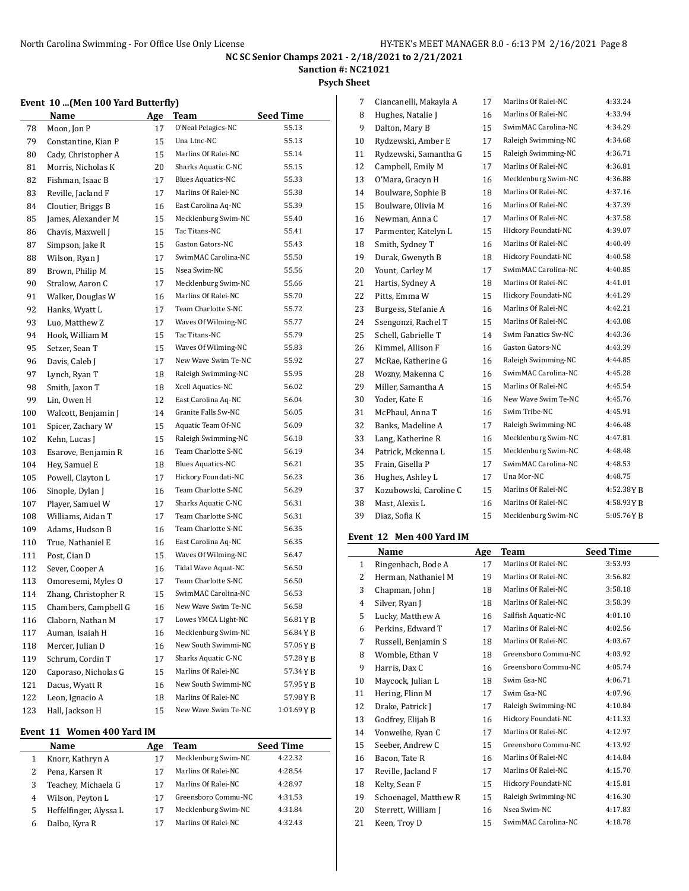**Sanction #: NC21021**

### **Psych Sheet**

## **Event 10 ...(Men 100 Yard Butterfly)**

|     | Name                 | <b>Age</b> | <b>Team</b>              | <b>Seed Time</b> |
|-----|----------------------|------------|--------------------------|------------------|
| 78  | Moon, Jon P          | 17         | O'Neal Pelagics-NC       | 55.13            |
| 79  | Constantine, Kian P  | 15         | Una Ltnc-NC              | 55.13            |
| 80  | Cady, Christopher A  | 15         | Marlins Of Ralei-NC      | 55.14            |
| 81  | Morris, Nicholas K   | 20         | Sharks Aquatic C-NC      | 55.15            |
| 82  | Fishman, Isaac B     | 17         | <b>Blues Aquatics-NC</b> | 55.33            |
| 83  | Reville, Jacland F   | 17         | Marlins Of Ralei-NC      | 55.38            |
| 84  | Cloutier, Briggs B   | 16         | East Carolina Aq-NC      | 55.39            |
| 85  | James, Alexander M   | 15         | Mecklenburg Swim-NC      | 55.40            |
| 86  | Chavis, Maxwell J    | 15         | Tac Titans-NC            | 55.41            |
| 87  | Simpson, Jake R      | 15         | Gaston Gators-NC         | 55.43            |
| 88  | Wilson, Ryan J       | 17         | SwimMAC Carolina-NC      | 55.50            |
| 89  | Brown, Philip M      | 15         | Nsea Swim-NC             | 55.56            |
| 90  | Stralow, Aaron C     | 17         | Mecklenburg Swim-NC      | 55.66            |
| 91  | Walker, Douglas W    | 16         | Marlins Of Ralei-NC      | 55.70            |
| 92  | Hanks, Wyatt L       | 17         | Team Charlotte S-NC      | 55.72            |
| 93  | Luo, Matthew Z       | 17         | Waves Of Wilming-NC      | 55.77            |
| 94  | Hook, William M      | 15         | Tac Titans-NC            | 55.79            |
| 95  | Setzer, Sean T       | 15         | Waves Of Wilming-NC      | 55.83            |
| 96  | Davis, Caleb J       | 17         | New Wave Swim Te-NC      | 55.92            |
| 97  | Lynch, Ryan T        | 18         | Raleigh Swimming-NC      | 55.95            |
| 98  | Smith, Jaxon T       | 18         | Xcell Aquatics-NC        | 56.02            |
| 99  | Lin, Owen H          | 12         | East Carolina Aq-NC      | 56.04            |
| 100 | Walcott, Benjamin J  | 14         | Granite Falls Sw-NC      | 56.05            |
| 101 | Spicer, Zachary W    | 15         | Aquatic Team Of-NC       | 56.09            |
| 102 | Kehn, Lucas J        | 15         | Raleigh Swimming-NC      | 56.18            |
| 103 | Esarove, Benjamin R  | 16         | Team Charlotte S-NC      | 56.19            |
| 104 | Hey, Samuel E        | 18         | <b>Blues Aquatics-NC</b> | 56.21            |
| 105 | Powell, Clayton L    | 17         | Hickory Foundati-NC      | 56.23            |
| 106 | Sinople, Dylan J     | 16         | Team Charlotte S-NC      | 56.29            |
| 107 | Player, Samuel W     | 17         | Sharks Aquatic C-NC      | 56.31            |
| 108 | Williams, Aidan T    | 17         | Team Charlotte S-NC      | 56.31            |
| 109 | Adams, Hudson B      | 16         | Team Charlotte S-NC      | 56.35            |
| 110 | True, Nathaniel E    | 16         | East Carolina Aq-NC      | 56.35            |
| 111 | Post, Cian D         | 15         | Waves Of Wilming-NC      | 56.47            |
| 112 | Sever, Cooper A      | 16         | Tidal Wave Aquat-NC      | 56.50            |
| 113 | Omoresemi, Myles O   | 17         | Team Charlotte S-NC      | 56.50            |
| 114 | Zhang, Christopher R | 15         | SwimMAC Carolina-NC      | 56.53            |
| 115 | Chambers, Campbell G | 16         | New Wave Swim Te-NC      | 56.58            |
| 116 | Claborn, Nathan M    | 17         | Lowes YMCA Light-NC      | 56.81YB          |
| 117 | Auman, Isaiah H      | 16         | Mecklenburg Swim-NC      | 56.84YB          |
| 118 | Mercer, Julian D     | 16         | New South Swimmi-NC      | 57.06YB          |
| 119 | Schrum, Cordin T     | 17         | Sharks Aquatic C-NC      | 57.28YB          |
| 120 | Caporaso, Nicholas G | 15         | Marlins Of Ralei-NC      | 57.34 Y B        |
| 121 | Dacus, Wyatt R       | 16         | New South Swimmi-NC      | 57.95 Y B        |
| 122 | Leon, Ignacio A      | 18         | Marlins Of Ralei-NC      | 57.98YB          |
| 123 | Hall, Jackson H      | 15         | New Wave Swim Te-NC      | 1:01.69YB        |
|     |                      |            |                          |                  |

### **Event 11 Women 400 Yard IM**

 $\overline{a}$ 

|   | Name                   | Age | Team                | <b>Seed Time</b> |
|---|------------------------|-----|---------------------|------------------|
|   | Knorr, Kathryn A       | 17  | Mecklenburg Swim-NC | 4:22.32          |
|   | Pena, Karsen R         |     | Marlins Of Ralei-NC | 4:28.54          |
|   | Teachey, Michaela G    | 17  | Marlins Of Ralei-NC | 4:28.97          |
| 4 | Wilson, Peyton L       |     | Greensboro Commu-NC | 4:31.53          |
| 5 | Heffelfinger, Alyssa L | 17  | Mecklenburg Swim-NC | 4:31.84          |
|   | Dalbo, Kyra R          |     | Marlins Of Ralei-NC | 4:32.43          |

| 7  | Ciancanelli, Makayla A | 17 | Marlins Of Ralei-NC     | 4:33.24   |
|----|------------------------|----|-------------------------|-----------|
| 8  | Hughes, Natalie J      | 16 | Marlins Of Ralei-NC     | 4:33.94   |
| 9  | Dalton, Mary B         | 15 | SwimMAC Carolina-NC     | 4:34.29   |
| 10 | Rydzewski, Amber E     | 17 | Raleigh Swimming-NC     | 4:34.68   |
| 11 | Rydzewski, Samantha G  | 15 | Raleigh Swimming-NC     | 4:36.71   |
| 12 | Campbell, Emily M      | 17 | Marlins Of Ralei-NC     | 4:36.81   |
| 13 | O'Mara, Gracyn H       | 16 | Mecklenburg Swim-NC     | 4:36.88   |
| 14 | Boulware, Sophie B     | 18 | Marlins Of Ralei-NC     | 4:37.16   |
| 15 | Boulware, Olivia M     | 16 | Marlins Of Ralei-NC     | 4:37.39   |
| 16 | Newman, Anna C         | 17 | Marlins Of Ralei-NC     | 4:37.58   |
| 17 | Parmenter, Katelyn L   | 15 | Hickory Foundati-NC     | 4:39.07   |
| 18 | Smith, Sydney T        | 16 | Marlins Of Ralei-NC     | 4:40.49   |
| 19 | Durak, Gwenyth B       | 18 | Hickory Foundati-NC     | 4:40.58   |
| 20 | Yount, Carley M        | 17 | SwimMAC Carolina-NC     | 4:40.85   |
| 21 | Hartis, Sydney A       | 18 | Marlins Of Ralei-NC     | 4:41.01   |
| 22 | Pitts, Emma W          | 15 | Hickory Foundati-NC     | 4:41.29   |
| 23 | Burgess, Stefanie A    | 16 | Marlins Of Ralei-NC     | 4:42.21   |
| 24 | Ssengonzi, Rachel T    | 15 | Marlins Of Ralei-NC     | 4:43.08   |
| 25 | Schell, Gabrielle T    | 14 | Swim Fanatics Sw-NC     | 4:43.36   |
| 26 | Kimmel, Allison F      | 16 | <b>Gaston Gators-NC</b> | 4:43.39   |
| 27 | McRae, Katherine G     | 16 | Raleigh Swimming-NC     | 4:44.85   |
| 28 | Wozny, Makenna C       | 16 | SwimMAC Carolina-NC     | 4:45.28   |
| 29 | Miller, Samantha A     | 15 | Marlins Of Ralei-NC     | 4:45.54   |
| 30 | Yoder, Kate E          | 16 | New Wave Swim Te-NC     | 4:45.76   |
| 31 | McPhaul, Anna T        | 16 | Swim Tribe-NC           | 4:45.91   |
| 32 | Banks, Madeline A      | 17 | Raleigh Swimming-NC     | 4:46.48   |
| 33 | Lang, Katherine R      | 16 | Mecklenburg Swim-NC     | 4:47.81   |
| 34 | Patrick, Mckenna L     | 15 | Mecklenburg Swim-NC     | 4:48.48   |
| 35 | Frain, Gisella P       | 17 | SwimMAC Carolina-NC     | 4:48.53   |
| 36 | Hughes, Ashley L       | 17 | Una Mor-NC              | 4:48.75   |
| 37 | Kozubowski, Caroline C | 15 | Marlins Of Ralei-NC     | 4:52.38YB |
| 38 | Mast. Alexis L         | 16 | Marlins Of Ralei-NC     | 4:58.93YB |
| 39 | Diaz, Sofia K          | 15 | Mecklenburg Swim-NC     | 5:05.76YB |
|    |                        |    |                         |           |

# **Event 12 Men 400 Yard IM**

|    | Name                  | Age | Team                | <b>Seed Time</b> |
|----|-----------------------|-----|---------------------|------------------|
| 1  | Ringenbach, Bode A    | 17  | Marlins Of Ralei-NC | 3:53.93          |
| 2  | Herman, Nathaniel M   | 19  | Marlins Of Ralei-NC | 3:56.82          |
| 3  | Chapman, John J       | 18  | Marlins Of Ralei-NC | 3:58.18          |
| 4  | Silver, Ryan J        | 18  | Marlins Of Ralei-NC | 3:58.39          |
| 5  | Lucky, Matthew A      | 16  | Sailfish Aquatic-NC | 4:01.10          |
| 6  | Perkins, Edward T     | 17  | Marlins Of Ralei-NC | 4:02.56          |
| 7  | Russell, Benjamin S   | 18  | Marlins Of Ralei-NC | 4:03.67          |
| 8  | Womble, Ethan V       | 18  | Greensboro Commu-NC | 4:03.92          |
| 9  | Harris, Dax C         | 16  | Greensboro Commu-NC | 4:05.74          |
| 10 | Maycock, Julian L     | 18  | Swim Gsa-NC         | 4:06.71          |
| 11 | Hering, Flinn M       | 17  | Swim Gsa-NC         | 4:07.96          |
| 12 | Drake, Patrick J      | 17  | Raleigh Swimming-NC | 4:10.84          |
| 13 | Godfrey, Elijah B     | 16  | Hickory Foundati-NC | 4:11.33          |
| 14 | Vonweihe, Ryan C      | 17  | Marlins Of Ralei-NC | 4:12.97          |
| 15 | Seeber, Andrew C      | 15  | Greensboro Commu-NC | 4:13.92          |
| 16 | Bacon, Tate R         | 16  | Marlins Of Ralei-NC | 4:14.84          |
| 17 | Reville, Jacland F    | 17  | Marlins Of Ralei-NC | 4:15.70          |
| 18 | Kelty, Sean F         | 15  | Hickory Foundati-NC | 4:15.81          |
| 19 | Schoenagel, Matthew R | 15  | Raleigh Swimming-NC | 4:16.30          |
| 20 | Sterrett, William J   | 16  | Nsea Swim-NC        | 4:17.83          |
| 21 | Keen, Troy D          | 15  | SwimMAC Carolina-NC | 4:18.78          |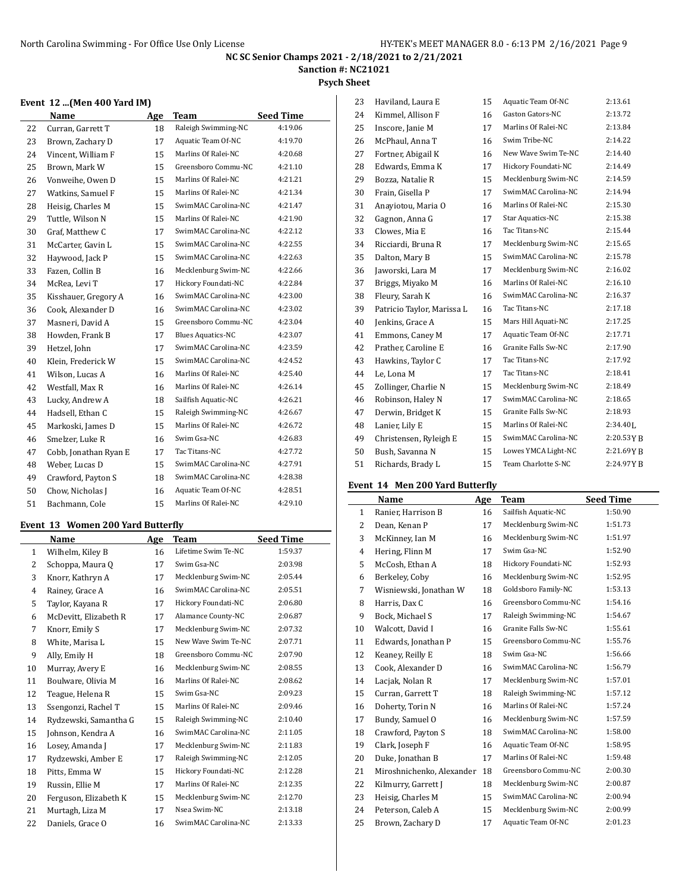**Sanction #: NC21021**

## **Psych Sheet**

### **Event 12 ...(Men 400 Yard IM)**

|    | Name                  | Age | Team                     | <b>Seed Time</b> |
|----|-----------------------|-----|--------------------------|------------------|
| 22 | Curran, Garrett T     | 18  | Raleigh Swimming-NC      | 4:19.06          |
| 23 | Brown, Zachary D      | 17  | Aquatic Team Of-NC       | 4:19.70          |
| 24 | Vincent, William F    | 15  | Marlins Of Ralei-NC      | 4:20.68          |
| 25 | Brown, Mark W         | 15  | Greensboro Commu-NC      | 4:21.10          |
| 26 | Vonweihe, Owen D      | 15  | Marlins Of Ralei-NC      | 4:21.21          |
| 27 | Watkins, Samuel F     | 15  | Marlins Of Ralei-NC      | 4:21.34          |
| 28 | Heisig, Charles M     | 15  | SwimMAC Carolina-NC      | 4:21.47          |
| 29 | Tuttle, Wilson N      | 15  | Marlins Of Ralei-NC      | 4:21.90          |
| 30 | Graf, Matthew C       | 17  | SwimMAC Carolina-NC      | 4:22.12          |
| 31 | McCarter, Gavin L     | 15  | SwimMAC Carolina-NC      | 4:22.55          |
| 32 | Haywood, Jack P       | 15  | SwimMAC Carolina-NC      | 4:22.63          |
| 33 | Fazen, Collin B       | 16  | Mecklenburg Swim-NC      | 4:22.66          |
| 34 | McRea, Levi T         | 17  | Hickory Foundati-NC      | 4:22.84          |
| 35 | Kisshauer, Gregory A  | 16  | SwimMAC Carolina-NC      | 4:23.00          |
| 36 | Cook, Alexander D     | 16  | SwimMAC Carolina-NC      | 4:23.02          |
| 37 | Masneri, David A      | 15  | Greensboro Commu-NC      | 4:23.04          |
| 38 | Howden, Frank B       | 17  | <b>Blues Aquatics-NC</b> | 4:23.07          |
| 39 | Hetzel, John          | 17  | SwimMAC Carolina-NC      | 4:23.59          |
| 40 | Klein, Frederick W    | 15  | SwimMAC Carolina-NC      | 4:24.52          |
| 41 | Wilson, Lucas A       | 16  | Marlins Of Ralei-NC      | 4:25.40          |
| 42 | Westfall, Max R       | 16  | Marlins Of Ralei-NC      | 4:26.14          |
| 43 | Lucky, Andrew A       | 18  | Sailfish Aquatic-NC      | 4:26.21          |
| 44 | Hadsell, Ethan C      | 15  | Raleigh Swimming-NC      | 4:26.67          |
| 45 | Markoski, James D     | 15  | Marlins Of Ralei-NC      | 4:26.72          |
| 46 | Smelzer, Luke R       | 16  | Swim Gsa-NC              | 4:26.83          |
| 47 | Cobb, Jonathan Ryan E | 17  | Tac Titans-NC            | 4:27.72          |
| 48 | Weber, Lucas D        | 15  | SwimMAC Carolina-NC      | 4:27.91          |
| 49 | Crawford, Payton S    | 18  | SwimMAC Carolina-NC      | 4:28.38          |
| 50 | Chow, Nicholas J      | 16  | Aquatic Team Of-NC       | 4:28.51          |
| 51 | Bachmann, Cole        | 15  | Marlins Of Ralei-NC      | 4:29.10          |

## **Event 13 Women 200 Yard Butterfly**

|              | Name                  | Age | <b>Team</b>         | <b>Seed Time</b> |
|--------------|-----------------------|-----|---------------------|------------------|
| $\mathbf{1}$ | Wilhelm, Kiley B      | 16  | Lifetime Swim Te-NC | 1:59.37          |
| 2            | Schoppa, Maura Q      | 17  | Swim Gsa-NC         | 2:03.98          |
| 3            | Knorr, Kathryn A      | 17  | Mecklenburg Swim-NC | 2:05.44          |
| 4            | Rainey, Grace A       | 16  | SwimMAC Carolina-NC | 2:05.51          |
| 5            | Taylor, Kayana R      | 17  | Hickory Foundati-NC | 2:06.80          |
| 6            | McDevitt, Elizabeth R | 17  | Alamance County-NC  | 2:06.87          |
| 7            | Knorr, Emily S        | 17  | Mecklenburg Swim-NC | 2:07.32          |
| 8            | White, Marisa L       | 15  | New Wave Swim Te-NC | 2:07.71          |
| 9            | Ally, Emily H         | 18  | Greensboro Commu-NC | 2:07.90          |
| 10           | Murray, Avery E       | 16  | Mecklenburg Swim-NC | 2:08.55          |
| 11           | Boulware, Olivia M    | 16  | Marlins Of Ralei-NC | 2:08.62          |
| 12           | Teague, Helena R      | 15  | Swim Gsa-NC         | 2:09.23          |
| 13           | Ssengonzi, Rachel T   | 15  | Marlins Of Ralei-NC | 2:09.46          |
| 14           | Rydzewski, Samantha G | 15  | Raleigh Swimming-NC | 2:10.40          |
| 15           | Johnson, Kendra A     | 16  | SwimMAC Carolina-NC | 2:11.05          |
| 16           | Losey, Amanda J       | 17  | Mecklenburg Swim-NC | 2:11.83          |
| 17           | Rydzewski, Amber E    | 17  | Raleigh Swimming-NC | 2:12.05          |
| 18           | Pitts, Emma W         | 15  | Hickory Foundati-NC | 2:12.28          |
| 19           | Russin, Ellie M       | 17  | Marlins Of Ralei-NC | 2:12.35          |
| 20           | Ferguson, Elizabeth K | 15  | Mecklenburg Swim-NC | 2:12.70          |
| 21           | Murtagh, Liza M       | 17  | Nsea Swim-NC        | 2:13.18          |
| 22           | Daniels, Grace O      | 16  | SwimMAC Carolina-NC | 2:13.33          |

| 23 | Haviland, Laura E          | 15 | Aquatic Team Of-NC      | 2:13.61      |
|----|----------------------------|----|-------------------------|--------------|
| 24 | Kimmel, Allison F          | 16 | <b>Gaston Gators-NC</b> | 2:13.72      |
| 25 | Inscore, Janie M           | 17 | Marlins Of Ralei-NC     | 2:13.84      |
| 26 | McPhaul. Anna T            | 16 | Swim Tribe-NC           | 2:14.22      |
| 27 | Fortner, Abigail K         | 16 | New Wave Swim Te-NC     | 2:14.40      |
| 28 | Edwards, Emma K            | 17 | Hickory Foundati-NC     | 2:14.49      |
| 29 | Bozza, Natalie R           | 15 | Mecklenburg Swim-NC     | 2:14.59      |
| 30 | Frain, Gisella P           | 17 | SwimMAC Carolina-NC     | 2:14.94      |
| 31 | Anaviotou, Maria O         | 16 | Marlins Of Ralei-NC     | 2:15.30      |
| 32 | Gagnon, Anna G             | 17 | Star Aquatics-NC        | 2:15.38      |
| 33 | Clowes, Mia E              | 16 | Tac Titans-NC           | 2:15.44      |
| 34 | Ricciardi, Bruna R         | 17 | Mecklenburg Swim-NC     | 2:15.65      |
| 35 | Dalton, Mary B             | 15 | SwimMAC Carolina-NC     | 2:15.78      |
| 36 | Jaworski, Lara M           | 17 | Mecklenburg Swim-NC     | 2:16.02      |
| 37 | Briggs, Miyako M           | 16 | Marlins Of Ralei-NC     | 2:16.10      |
| 38 | Fleury, Sarah K            | 16 | SwimMAC Carolina-NC     | 2:16.37      |
| 39 | Patricio Taylor, Marissa L | 16 | Tac Titans-NC           | 2:17.18      |
| 40 | Jenkins, Grace A           | 15 | Mars Hill Aquati-NC     | 2:17.25      |
| 41 | Emmons, Caney M            | 17 | Aquatic Team Of-NC      | 2:17.71      |
| 42 | Prather, Caroline E        | 16 | Granite Falls Sw-NC     | 2:17.90      |
| 43 | Hawkins, Taylor C          | 17 | Tac Titans-NC           | 2:17.92      |
| 44 | Le, Lona M                 | 17 | Tac Titans-NC           | 2:18.41      |
| 45 | Zollinger, Charlie N       | 15 | Mecklenburg Swim-NC     | 2:18.49      |
| 46 | Robinson, Haley N          | 17 | SwimMAC Carolina-NC     | 2:18.65      |
| 47 | Derwin, Bridget K          | 15 | Granite Falls Sw-NC     | 2:18.93      |
| 48 | Lanier, Lily E             | 15 | Marlins Of Ralei-NC     | $2:34.40$ J. |
| 49 | Christensen, Ryleigh E     | 15 | SwimMAC Carolina-NC     | 2:20.53YB    |
| 50 | Bush, Savanna N            | 15 | Lowes YMCA Light-NC     | 2:21.69YB    |
| 51 | Richards, Brady L          | 15 | Team Charlotte S-NC     | 2:24.97YB    |
|    |                            |    |                         |              |

## **Event 14 Men 200 Yard Butterfly**

|              | Name                      | Age | Team                | <b>Seed Time</b> |
|--------------|---------------------------|-----|---------------------|------------------|
| $\mathbf{1}$ | Ranier, Harrison B        | 16  | Sailfish Aquatic-NC | 1:50.90          |
| 2            | Dean, Kenan P             | 17  | Mecklenburg Swim-NC | 1:51.73          |
| 3            | McKinney, Ian M           | 16  | Mecklenburg Swim-NC | 1:51.97          |
| 4            | Hering, Flinn M           | 17  | Swim Gsa-NC         | 1:52.90          |
| 5            | McCosh, Ethan A           | 18  | Hickory Foundati-NC | 1:52.93          |
| 6            | Berkeley, Coby            | 16  | Mecklenburg Swim-NC | 1:52.95          |
| 7            | Wisniewski, Jonathan W    | 18  | Goldsboro Family-NC | 1:53.13          |
| 8            | Harris, Dax C             | 16  | Greensboro Commu-NC | 1:54.16          |
| 9            | Bock, Michael S           | 17  | Raleigh Swimming-NC | 1:54.67          |
| 10           | Walcott, David I          | 16  | Granite Falls Sw-NC | 1:55.61          |
| 11           | Edwards, Jonathan P       | 15  | Greensboro Commu-NC | 1:55.76          |
| 12           | Keaney, Reilly E          | 18  | Swim Gsa-NC         | 1:56.66          |
| 13           | Cook, Alexander D         | 16  | SwimMAC Carolina-NC | 1:56.79          |
| 14           | Lacjak, Nolan R           | 17  | Mecklenburg Swim-NC | 1:57.01          |
| 15           | Curran, Garrett T         | 18  | Raleigh Swimming-NC | 1:57.12          |
| 16           | Doherty, Torin N          | 16  | Marlins Of Ralei-NC | 1:57.24          |
| 17           | Bundy, Samuel O           | 16  | Mecklenburg Swim-NC | 1:57.59          |
| 18           | Crawford, Payton S        | 18  | SwimMAC Carolina-NC | 1:58.00          |
| 19           | Clark, Joseph F           | 16  | Aquatic Team Of-NC  | 1:58.95          |
| 20           | Duke, Jonathan B          | 17  | Marlins Of Ralei-NC | 1:59.48          |
| 21           | Miroshnichenko, Alexander | 18  | Greensboro Commu-NC | 2:00.30          |
| 22           | Kilmurry, Garrett J       | 18  | Mecklenburg Swim-NC | 2:00.87          |
| 23           | Heisig, Charles M         | 15  | SwimMAC Carolina-NC | 2:00.94          |
| 24           | Peterson, Caleb A         | 15  | Mecklenburg Swim-NC | 2:00.99          |
| 25           | Brown, Zachary D          | 17  | Aquatic Team Of-NC  | 2:01.23          |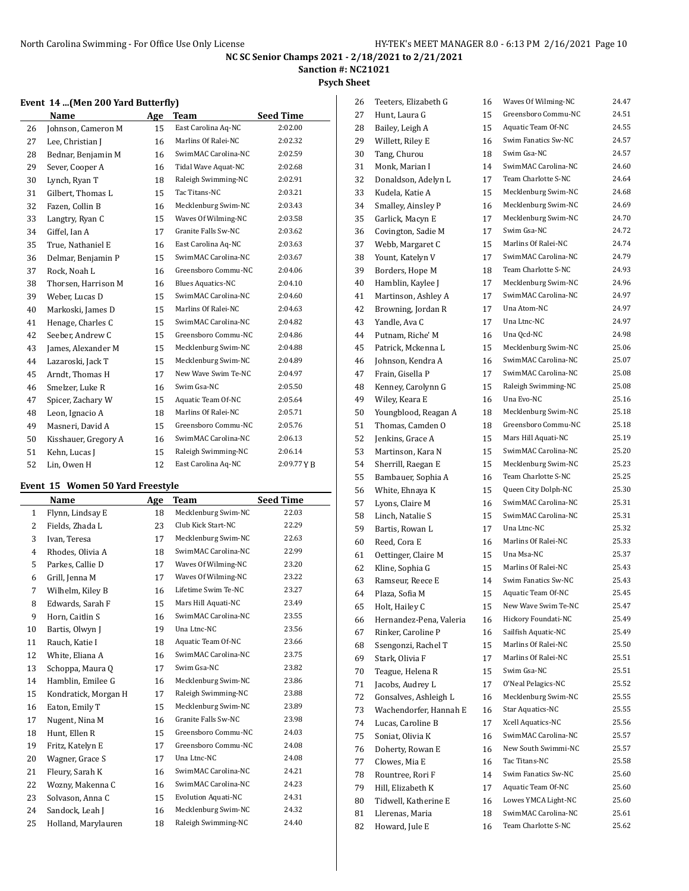**Sanction #: NC21021**

#### **Psych Sheet**

### **Event 14 ...(Men 200 Yard Butterfly)**

|    | Name                 | Age | Team                     | <b>Seed Time</b> |
|----|----------------------|-----|--------------------------|------------------|
| 26 | Johnson, Cameron M   | 15  | East Carolina Aq-NC      | 2:02.00          |
| 27 | Lee, Christian J     | 16  | Marlins Of Ralei-NC      | 2:02.32          |
| 28 | Bednar, Benjamin M   | 16  | SwimMAC Carolina-NC      | 2:02.59          |
| 29 | Sever, Cooper A      | 16  | Tidal Wave Aquat-NC      | 2:02.68          |
| 30 | Lynch, Ryan T        | 18  | Raleigh Swimming-NC      | 2:02.91          |
| 31 | Gilbert, Thomas L    | 15  | Tac Titans-NC            | 2:03.21          |
| 32 | Fazen, Collin B      | 16  | Mecklenburg Swim-NC      | 2:03.43          |
| 33 | Langtry, Ryan C      | 15  | Waves Of Wilming-NC      | 2:03.58          |
| 34 | Giffel, Ian A        | 17  | Granite Falls Sw-NC      | 2:03.62          |
| 35 | True, Nathaniel E    | 16  | East Carolina Aq-NC      | 2:03.63          |
| 36 | Delmar, Benjamin P   | 15  | SwimMAC Carolina-NC      | 2:03.67          |
| 37 | Rock, Noah L         | 16  | Greensboro Commu-NC      | 2:04.06          |
| 38 | Thorsen, Harrison M  | 16  | <b>Blues Aquatics-NC</b> | 2:04.10          |
| 39 | Weber, Lucas D       | 15  | SwimMAC Carolina-NC      | 2:04.60          |
| 40 | Markoski, James D    | 15  | Marlins Of Ralei-NC      | 2:04.63          |
| 41 | Henage, Charles C    | 15  | SwimMAC Carolina-NC      | 2:04.82          |
| 42 | Seeber, Andrew C     | 15  | Greensboro Commu-NC      | 2:04.86          |
| 43 | James, Alexander M   | 15  | Mecklenburg Swim-NC      | 2:04.88          |
| 44 | Lazaroski, Jack T    | 15  | Mecklenburg Swim-NC      | 2:04.89          |
| 45 | Arndt, Thomas H      | 17  | New Wave Swim Te-NC      | 2:04.97          |
| 46 | Smelzer, Luke R      | 16  | Swim Gsa-NC              | 2:05.50          |
| 47 | Spicer, Zachary W    | 15  | Aquatic Team Of-NC       | 2:05.64          |
| 48 | Leon, Ignacio A      | 18  | Marlins Of Ralei-NC      | 2:05.71          |
| 49 | Masneri, David A     | 15  | Greensboro Commu-NC      | 2:05.76          |
| 50 | Kisshauer, Gregory A | 16  | SwimMAC Carolina-NC      | 2:06.13          |
| 51 | Kehn, Lucas J        | 15  | Raleigh Swimming-NC      | 2:06.14          |
| 52 | Lin, Owen H          | 12  | East Carolina Aq-NC      | 2:09.77YB        |

#### **Event 15 Women 50 Yard Freestyle**

|                | Name                 | Age | Team                       | <b>Seed Time</b> |
|----------------|----------------------|-----|----------------------------|------------------|
| 1              | Flynn, Lindsay E     | 18  | Mecklenburg Swim-NC        | 22.03            |
| $\overline{2}$ | Fields, Zhada L      | 23  | Club Kick Start-NC         | 22.29            |
| 3              | Ivan, Teresa         | 17  | Mecklenburg Swim-NC        | 22.63            |
| $\overline{4}$ | Rhodes, Olivia A     | 18  | SwimMAC Carolina-NC        | 22.99            |
| 5              | Parkes, Callie D     | 17  | Waves Of Wilming-NC        | 23.20            |
| 6              | Grill, Jenna M       | 17  | Waves Of Wilming-NC        | 23.22            |
| 7              | Wilhelm, Kiley B     | 16  | Lifetime Swim Te-NC        | 23.27            |
| 8              | Edwards, Sarah F     | 15  | Mars Hill Aquati-NC        | 23.49            |
| 9              | Horn, Caitlin S      | 16  | SwimMAC Carolina-NC        | 23.55            |
| 10             | Bartis, Olwyn J      | 19  | Una Ltnc-NC                | 23.56            |
| 11             | Rauch, Katie I       | 18  | Aquatic Team Of-NC         | 23.66            |
| 12             | White, Eliana A      | 16  | SwimMAC Carolina-NC        | 23.75            |
| 13             | Schoppa, Maura Q     | 17  | Swim Gsa-NC                | 23.82            |
| 14             | Hamblin, Emilee G    | 16  | Mecklenburg Swim-NC        | 23.86            |
| 15             | Kondratick, Morgan H | 17  | Raleigh Swimming-NC        | 23.88            |
| 16             | Eaton, Emily T       | 15  | Mecklenburg Swim-NC        | 23.89            |
| 17             | Nugent, Nina M       | 16  | Granite Falls Sw-NC        | 23.98            |
| 18             | Hunt, Ellen R        | 15  | Greensboro Commu-NC        | 24.03            |
| 19             | Fritz, Katelyn E     | 17  | Greensboro Commu-NC        | 24.08            |
| 20             | Wagner, Grace S      | 17  | Una Ltnc-NC                | 24.08            |
| 21             | Fleury, Sarah K      | 16  | SwimMAC Carolina-NC        | 24.21            |
| 22             | Wozny, Makenna C     | 16  | SwimMAC Carolina-NC        | 24.23            |
| 23             | Solvason, Anna C     | 15  | <b>Evolution Aquati-NC</b> | 24.31            |
| 24             | Sandock, Leah J      | 16  | Mecklenburg Swim-NC        | 24.32            |
| 25             | Holland, Marylauren  | 18  | Raleigh Swimming-NC        | 24.40            |
|                |                      |     |                            |                  |

| 26 | Teeters, Elizabeth G    | 16 | Waves Of Wilming-NC | 24.47 |
|----|-------------------------|----|---------------------|-------|
| 27 | Hunt, Laura G           | 15 | Greensboro Commu-NC | 24.51 |
| 28 | Bailey, Leigh A         | 15 | Aquatic Team Of-NC  | 24.55 |
| 29 | Willett, Riley E        | 16 | Swim Fanatics Sw-NC | 24.57 |
| 30 | Tang, Churou            | 18 | Swim Gsa-NC         | 24.57 |
| 31 | Monk, Marian I          | 14 | SwimMAC Carolina-NC | 24.60 |
| 32 | Donaldson, Adelyn L     | 17 | Team Charlotte S-NC | 24.64 |
| 33 | Kudela, Katie A         | 15 | Mecklenburg Swim-NC | 24.68 |
| 34 | Smalley, Ainsley P      | 16 | Mecklenburg Swim-NC | 24.69 |
| 35 | Garlick, Macyn E        | 17 | Mecklenburg Swim-NC | 24.70 |
| 36 | Covington, Sadie M      | 17 | Swim Gsa-NC         | 24.72 |
| 37 | Webb, Margaret C        | 15 | Marlins Of Ralei-NC | 24.74 |
| 38 | Yount, Katelyn V        | 17 | SwimMAC Carolina-NC | 24.79 |
| 39 | Borders, Hope M         | 18 | Team Charlotte S-NC | 24.93 |
| 40 | Hamblin, Kaylee J       | 17 | Mecklenburg Swim-NC | 24.96 |
| 41 | Martinson, Ashley A     | 17 | SwimMAC Carolina-NC | 24.97 |
| 42 | Browning, Jordan R      | 17 | Una Atom-NC         | 24.97 |
| 43 | Yandle, Ava C           | 17 | Una Ltnc-NC         | 24.97 |
| 44 | Putnam, Riche' M        | 16 | Una Qcd-NC          | 24.98 |
| 45 | Patrick, Mckenna L      | 15 | Mecklenburg Swim-NC | 25.06 |
| 46 | Johnson, Kendra A       | 16 | SwimMAC Carolina-NC | 25.07 |
| 47 | Frain, Gisella P        | 17 | SwimMAC Carolina-NC | 25.08 |
|    |                         | 15 | Raleigh Swimming-NC | 25.08 |
| 48 | Kenney, Carolynn G      |    | Una Evo-NC          | 25.16 |
| 49 | Wiley, Keara E          | 16 |                     |       |
| 50 | Youngblood, Reagan A    | 18 | Mecklenburg Swim-NC | 25.18 |
| 51 | Thomas, Camden O        | 18 | Greensboro Commu-NC | 25.18 |
| 52 | Jenkins, Grace A        | 15 | Mars Hill Aquati-NC | 25.19 |
| 53 | Martinson, Kara N       | 15 | SwimMAC Carolina-NC | 25.20 |
| 54 | Sherrill, Raegan E      | 15 | Mecklenburg Swim-NC | 25.23 |
| 55 | Bambauer, Sophia A      | 16 | Team Charlotte S-NC | 25.25 |
| 56 | White, Ehnaya K         | 15 | Queen City Dolph-NC | 25.30 |
| 57 | Lyons, Claire M         | 16 | SwimMAC Carolina-NC | 25.31 |
| 58 | Linch, Natalie S        | 15 | SwimMAC Carolina-NC | 25.31 |
| 59 | Bartis, Rowan L         | 17 | Una Ltnc-NC         | 25.32 |
| 60 | Reed, Cora E            | 16 | Marlins Of Ralei-NC | 25.33 |
| 61 | Oettinger, Claire M     | 15 | Una Msa-NC          | 25.37 |
| 62 | Kline, Sophia G         | 15 | Marlins Of Ralei-NC | 25.43 |
| 63 | Ramseur, Reece E        | 14 | Swim Fanatics Sw-NC | 25.43 |
| 64 | Plaza, Sofia M          | 15 | Aquatic Team Of-NC  | 25.45 |
| 65 | Holt, Hailey C          | 15 | New Wave Swim Te-NC | 25.47 |
| 66 | Hernandez-Pena, Valeria | 16 | Hickory Foundati-NC | 25.49 |
| 67 | Rinker, Caroline P      | 16 | Sailfish Aquatic-NC | 25.49 |
| 68 | Ssengonzi, Rachel T     | 15 | Marlins Of Ralei-NC | 25.50 |
| 69 | Stark, Olivia F         | 17 | Marlins Of Ralei-NC | 25.51 |
| 70 | Teague, Helena R        | 15 | Swim Gsa-NC         | 25.51 |
| 71 | Jacobs, Audrey L        | 17 | O'Neal Pelagics-NC  | 25.52 |
| 72 | Gonsalves, Ashleigh L   | 16 | Mecklenburg Swim-NC | 25.55 |
| 73 | Wachendorfer, Hannah E  | 16 | Star Aquatics-NC    | 25.55 |
| 74 | Lucas, Caroline B       | 17 | Xcell Aquatics-NC   | 25.56 |
| 75 | Soniat, Olivia K        | 16 | SwimMAC Carolina-NC | 25.57 |
| 76 | Doherty, Rowan E        | 16 | New South Swimmi-NC | 25.57 |
| 77 | Clowes, Mia E           | 16 | Tac Titans-NC       | 25.58 |
| 78 | Rountree, Rori F        | 14 | Swim Fanatics Sw-NC | 25.60 |
| 79 | Hill, Elizabeth K       | 17 | Aquatic Team Of-NC  | 25.60 |
| 80 | Tidwell, Katherine E    | 16 | Lowes YMCA Light-NC | 25.60 |
| 81 | Llerenas, Maria         | 18 | SwimMAC Carolina-NC | 25.61 |
| 82 | Howard, Jule E          | 16 | Team Charlotte S-NC | 25.62 |
|    |                         |    |                     |       |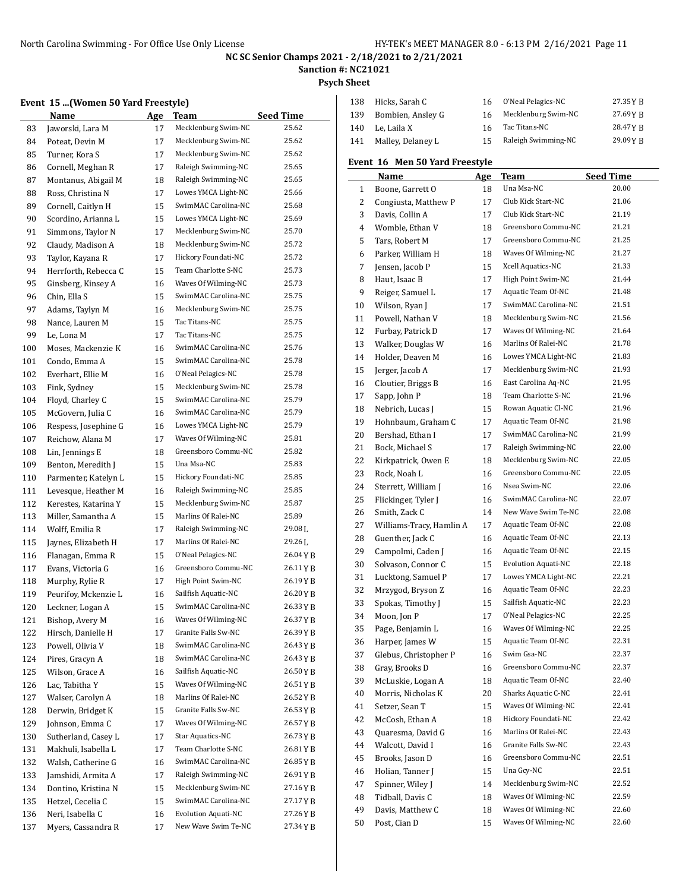# **Sanction #: NC21021**

**Psych Sheet**

## **Event 15 ...(Women 50 Yard Freestyle)**

|     | $\alpha$ , women so far a rree style $\beta$ |     |                                            |                  |
|-----|----------------------------------------------|-----|--------------------------------------------|------------------|
|     | Name                                         | Age | Team                                       | <b>Seed Time</b> |
| 83  | Jaworski, Lara M                             | 17  | Mecklenburg Swim-NC                        | 25.62            |
| 84  | Poteat, Devin M                              | 17  | Mecklenburg Swim-NC                        | 25.62            |
| 85  | Turner, Kora S                               | 17  | Mecklenburg Swim-NC                        | 25.62            |
| 86  | Cornell, Meghan R                            | 17  | Raleigh Swimming-NC                        | 25.65            |
| 87  | Montanus, Abigail M                          | 18  | Raleigh Swimming-NC                        | 25.65            |
| 88  | Ross, Christina N                            | 17  | Lowes YMCA Light-NC                        | 25.66            |
| 89  | Cornell, Caitlyn H                           | 15  | SwimMAC Carolina-NC                        | 25.68            |
| 90  | Scordino, Arianna L                          | 15  | Lowes YMCA Light-NC                        | 25.69            |
| 91  | Simmons, Taylor N                            | 17  | Mecklenburg Swim-NC                        | 25.70            |
| 92  | Claudy, Madison A                            | 18  | Mecklenburg Swim-NC                        | 25.72            |
| 93  | Taylor, Kayana R                             | 17  | Hickory Foundati-NC                        | 25.72            |
| 94  | Herrforth, Rebecca C                         | 15  | Team Charlotte S-NC                        | 25.73            |
| 95  | Ginsberg, Kinsey A                           | 16  | Waves Of Wilming-NC                        | 25.73            |
| 96  | Chin, Ella S                                 | 15  | SwimMAC Carolina-NC                        | 25.75            |
| 97  | Adams, Taylyn M                              | 16  | Mecklenburg Swim-NC                        | 25.75            |
| 98  | Nance, Lauren M                              | 15  | Tac Titans-NC                              | 25.75            |
| 99  | Le, Lona M                                   | 17  | Tac Titans-NC                              | 25.75            |
| 100 | Moses, Mackenzie K                           | 16  | SwimMAC Carolina-NC                        | 25.76            |
| 101 | Condo, Emma A                                | 15  | SwimMAC Carolina-NC                        | 25.78            |
| 102 | Everhart, Ellie M                            | 16  | O'Neal Pelagics-NC                         | 25.78            |
| 103 | Fink, Sydney                                 | 15  | Mecklenburg Swim-NC                        | 25.78            |
| 104 | Floyd, Charley C                             | 15  | SwimMAC Carolina-NC                        | 25.79            |
| 105 | McGovern, Julia C                            | 16  | SwimMAC Carolina-NC                        | 25.79            |
| 106 | Respess, Josephine G                         | 16  | Lowes YMCA Light-NC                        | 25.79            |
| 107 | Reichow, Alana M                             | 17  | Waves Of Wilming-NC                        | 25.81            |
| 108 | Lin, Jennings E                              | 18  | Greensboro Commu-NC                        | 25.82            |
| 109 | Benton, Meredith J                           | 15  | Una Msa-NC                                 | 25.83            |
| 110 | Parmenter, Katelyn L                         | 15  | Hickory Foundati-NC                        | 25.85            |
| 111 | Levesque, Heather M                          | 16  | Raleigh Swimming-NC                        | 25.85            |
| 112 | Kerestes, Katarina Y                         | 15  | Mecklenburg Swim-NC                        | 25.87            |
| 113 | Miller, Samantha A                           | 15  | Marlins Of Ralei-NC                        | 25.89            |
| 114 | Wolff, Emilia R                              | 17  | Raleigh Swimming-NC                        | 29.08L           |
| 115 | Jaynes, Elizabeth H                          | 17  | Marlins Of Ralei-NC                        | 29.26L           |
| 116 | Flanagan, Emma R                             | 15  | O'Neal Pelagics-NC                         | 26.04 Y B        |
| 117 | Evans, Victoria G                            | 16  | Greensboro Commu-NC                        | 26.11 Y B        |
| 118 | Murphy, Rylie R                              | 17  | High Point Swim-NC                         | 26.19YB          |
| 119 | Peurifoy, Mckenzie L                         | 16  | Sailfish Aquatic-NC                        | 26.20YB          |
| 120 | Leckner, Logan A                             | 15  | SwimMAC Carolina-NC                        | 26.33 Y B        |
| 121 | Bishop, Avery M                              | 16  | Waves Of Wilming-NC                        | 26.37 Y B        |
| 122 | Hirsch, Danielle H                           | 17  | Granite Falls Sw-NC                        | 26.39YB          |
| 123 | Powell, Olivia V                             | 18  | SwimMAC Carolina-NC                        | 26.43YB          |
| 124 | Pires, Gracyn A                              | 18  | SwimMAC Carolina-NC                        | 26.43 Y B        |
| 125 | Wilson, Grace A                              | 16  | Sailfish Aquatic-NC                        | 26.50YB          |
| 126 | Lac, Tabitha Y                               | 15  | Waves Of Wilming-NC                        | 26.51YB          |
| 127 | Walser, Carolyn A                            | 18  | Marlins Of Ralei-NC                        | 26.52 Y B        |
|     | Derwin, Bridget K                            |     | Granite Falls Sw-NC                        | 26.53 Y B        |
| 128 |                                              | 15  | Waves Of Wilming-NC                        |                  |
| 129 | Johnson, Emma C                              | 17  | Star Aquatics-NC                           | 26.57 Y B        |
| 130 | Sutherland, Casey L                          | 17  |                                            | 26.73 Y B        |
| 131 | Makhuli, Isabella L                          | 17  | Team Charlotte S-NC<br>SwimMAC Carolina-NC | 26.81 Y B        |
| 132 | Walsh, Catherine G                           | 16  | Raleigh Swimming-NC                        | 26.85 Y B        |
| 133 | Jamshidi, Armita A                           | 17  |                                            | 26.91 Y B        |
| 134 | Dontino, Kristina N                          | 15  | Mecklenburg Swim-NC<br>SwimMAC Carolina-NC | 27.16 Y B        |
| 135 | Hetzel, Cecelia C                            | 15  |                                            | 27.17 Y B        |
| 136 | Neri, Isabella C                             | 16  | Evolution Aquati-NC                        | 27.26 Y B        |
| 137 | Myers, Cassandra R                           | 17  | New Wave Swim Te-NC                        | 27.34 Y B        |

| 138 | Hicks, Sarah C        | 16. | O'Neal Pelagics-NC  | 27.35 Y B |
|-----|-----------------------|-----|---------------------|-----------|
|     | 139 Bombien, Ansley G | 16  | Mecklenburg Swim-NC | 27.69YB   |
|     | 140 Le. Laila X       | 16  | Tac Titans-NC       | 28.47 Y R |
| 141 | Malley, Delaney L     | 15  | Raleigh Swimming-NC | 29.09 Y R |

## **Event 16 Men 50 Yard Freestyle**

|    | Name                     | Age | Team                       | <b>Seed Time</b> |
|----|--------------------------|-----|----------------------------|------------------|
| 1  | Boone, Garrett O         | 18  | Una Msa-NC                 | 20.00            |
| 2  | Congiusta, Matthew P     | 17  | Club Kick Start-NC         | 21.06            |
| 3  | Davis, Collin A          | 17  | Club Kick Start-NC         | 21.19            |
| 4  | Womble, Ethan V          | 18  | Greensboro Commu-NC        | 21.21            |
| 5  | Tars, Robert M           | 17  | Greensboro Commu-NC        | 21.25            |
| 6  | Parker, William H        | 18  | Waves Of Wilming-NC        | 21.27            |
| 7  | Jensen, Jacob P          | 15  | Xcell Aquatics-NC          | 21.33            |
| 8  | Haut, Isaac B            | 17  | High Point Swim-NC         | 21.44            |
| 9  | Reiger, Samuel L         | 17  | Aquatic Team Of-NC         | 21.48            |
| 10 | Wilson, Ryan J           | 17  | SwimMAC Carolina-NC        | 21.51            |
| 11 | Powell, Nathan V         | 18  | Mecklenburg Swim-NC        | 21.56            |
| 12 | Furbay, Patrick D        | 17  | Waves Of Wilming-NC        | 21.64            |
| 13 | Walker, Douglas W        | 16  | Marlins Of Ralei-NC        | 21.78            |
| 14 | Holder, Deaven M         | 16  | Lowes YMCA Light-NC        | 21.83            |
| 15 | Jerger, Jacob A          | 17  | Mecklenburg Swim-NC        | 21.93            |
| 16 | Cloutier, Briggs B       | 16  | East Carolina Aq-NC        | 21.95            |
| 17 | Sapp, John P             | 18  | Team Charlotte S-NC        | 21.96            |
| 18 | Nebrich, Lucas J         | 15  | Rowan Aquatic Cl-NC        | 21.96            |
| 19 | Hohnbaum, Graham C       | 17  | Aquatic Team Of-NC         | 21.98            |
| 20 | Bershad, Ethan I         | 17  | SwimMAC Carolina-NC        | 21.99            |
| 21 | Bock, Michael S          | 17  | Raleigh Swimming-NC        | 22.00            |
| 22 | Kirkpatrick, Owen E      | 18  | Mecklenburg Swim-NC        | 22.05            |
| 23 | Rock, Noah L             | 16  | Greensboro Commu-NC        | 22.05            |
| 24 | Sterrett, William J      | 16  | Nsea Swim-NC               | 22.06            |
| 25 | Flickinger, Tyler J      | 16  | SwimMAC Carolina-NC        | 22.07            |
| 26 | Smith, Zack C            | 14  | New Wave Swim Te-NC        | 22.08            |
| 27 | Williams-Tracy, Hamlin A | 17  | Aquatic Team Of-NC         | 22.08            |
| 28 | Guenther, Jack C         | 16  | Aquatic Team Of-NC         | 22.13            |
| 29 | Campolmi, Caden J        | 16  | Aquatic Team Of-NC         | 22.15            |
| 30 | Solvason, Connor C       | 15  | <b>Evolution Aquati-NC</b> | 22.18            |
| 31 | Lucktong, Samuel P       | 17  | Lowes YMCA Light-NC        | 22.21            |
| 32 | Mrzygod, Bryson Z        | 16  | Aquatic Team Of-NC         | 22.23            |
| 33 | Spokas, Timothy J        | 15  | Sailfish Aquatic-NC        | 22.23            |
| 34 | Moon, Jon P              | 17  | O'Neal Pelagics-NC         | 22.25            |
| 35 | Page, Benjamin L         | 16  | Waves Of Wilming-NC        | 22.25            |
| 36 | Harper, James W          | 15  | Aquatic Team Of-NC         | 22.31            |
| 37 | Glebus, Christopher P    | 16  | Swim Gsa-NC                | 22.37            |
| 38 | Gray, Brooks D           | 16  | Greensboro Commu-NC        | 22.37            |
| 39 | McLuskie, Logan A        | 18  | Aquatic Team Of-NC         | 22.40            |
| 40 | Morris, Nicholas K       | 20  | Sharks Aquatic C-NC        | 22.41            |
| 41 | Setzer, Sean T           | 15  | Waves Of Wilming-NC        | 22.41            |
| 42 | McCosh, Ethan A          | 18  | Hickory Foundati-NC        | 22.42            |
| 43 | Quaresma, David G        | 16  | Marlins Of Ralei-NC        | 22.43            |
| 44 | Walcott, David I         | 16  | Granite Falls Sw-NC        | 22.43            |
| 45 | Brooks, Jason D          | 16  | Greensboro Commu-NC        | 22.51            |
| 46 | Holian, Tanner J         | 15  | Una Gcy-NC                 | 22.51            |
| 47 | Spinner, Wiley J         | 14  | Mecklenburg Swim-NC        | 22.52            |
| 48 | Tidball, Davis C         | 18  | Waves Of Wilming-NC        | 22.59            |
| 49 | Davis, Matthew C         | 18  | Waves Of Wilming-NC        | 22.60            |
| 50 | Post, Cian D             | 15  | Waves Of Wilming-NC        | 22.60            |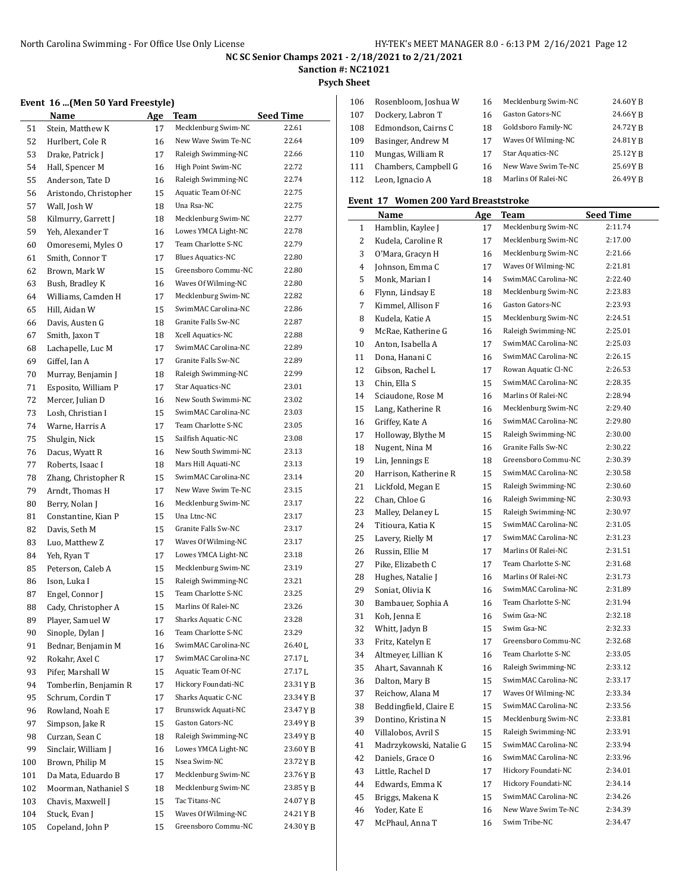**Sanction #: NC21021**

**Psych Sheet**

# **Event 16 ...(Men 50 Yard Freestyle)**

|     | еvent то (мен эб таги ггееѕсую) |     |                            |                    |
|-----|---------------------------------|-----|----------------------------|--------------------|
|     | Name                            | Age | Team                       | Seed Time          |
| 51  | Stein, Matthew K                | 17  | Mecklenburg Swim-NC        | 22.61              |
| 52  | Hurlbert, Cole R                | 16  | New Wave Swim Te-NC        | 22.64              |
| 53  | Drake, Patrick J                | 17  | Raleigh Swimming-NC        | 22.66              |
| 54  | Hall, Spencer M                 | 16  | High Point Swim-NC         | 22.72              |
| 55  | Anderson, Tate D                | 16  | Raleigh Swimming-NC        | 22.74              |
| 56  | Aristondo, Christopher          | 15  | Aquatic Team Of-NC         | 22.75              |
| 57  | Wall, Josh W                    | 18  | Una Rsa-NC                 | 22.75              |
| 58  | Kilmurry, Garrett J             | 18  | Mecklenburg Swim-NC        | 22.77              |
| 59  | Yeh, Alexander T                | 16  | Lowes YMCA Light-NC        | 22.78              |
| 60  | Omoresemi, Myles O              | 17  | Team Charlotte S-NC        | 22.79              |
| 61  | Smith, Connor T                 | 17  | <b>Blues Aquatics-NC</b>   | 22.80              |
| 62  | Brown, Mark W                   | 15  | Greensboro Commu-NC        | 22.80              |
| 63  | Bush, Bradley K                 | 16  | Waves Of Wilming-NC        | 22.80              |
| 64  | Williams, Camden H              | 17  | Mecklenburg Swim-NC        | 22.82              |
| 65  | Hill, Aidan W                   | 15  | SwimMAC Carolina-NC        | 22.86              |
| 66  | Davis, Austen G                 | 18  | Granite Falls Sw-NC        | 22.87              |
| 67  | Smith, Jaxon T                  | 18  | Xcell Aquatics-NC          | 22.88              |
| 68  | Lachapelle, Luc M               | 17  | SwimMAC Carolina-NC        | 22.89              |
| 69  | Giffel, Ian A                   | 17  | Granite Falls Sw-NC        | 22.89              |
| 70  | Murray, Benjamin J              | 18  | Raleigh Swimming-NC        | 22.99              |
| 71  | Esposito, William P             | 17  | Star Aquatics-NC           | 23.01              |
| 72  | Mercer, Julian D                | 16  | New South Swimmi-NC        | 23.02              |
| 73  | Losh, Christian I               | 15  | SwimMAC Carolina-NC        | 23.03              |
| 74  | Warne, Harris A                 | 17  | Team Charlotte S-NC        | 23.05              |
| 75  | Shulgin, Nick                   | 15  | Sailfish Aquatic-NC        | 23.08              |
| 76  | Dacus, Wyatt R                  | 16  | New South Swimmi-NC        | 23.13              |
| 77  | Roberts, Isaac I                | 18  | Mars Hill Aquati-NC        | 23.13              |
| 78  | Zhang, Christopher R            | 15  | SwimMAC Carolina-NC        | 23.14              |
| 79  | Arndt, Thomas H                 | 17  | New Wave Swim Te-NC        | 23.15              |
| 80  | Berry, Nolan J                  | 16  | Mecklenburg Swim-NC        | 23.17              |
| 81  | Constantine, Kian P             | 15  | Una Ltnc-NC                | 23.17              |
| 82  | Davis, Seth M                   | 15  | Granite Falls Sw-NC        | 23.17              |
| 83  | Luo, Matthew Z                  | 17  | Waves Of Wilming-NC        | 23.17              |
| 84  | Yeh, Ryan T                     | 17  | Lowes YMCA Light-NC        | 23.18              |
| 85  | Peterson, Caleb A               | 15  | Mecklenburg Swim-NC        | 23.19              |
| 86  | Ison, Luka I                    | 15  | Raleigh Swimming-NC        | 23.21              |
| 87  | Engel, Connor J                 | 15  | Team Charlotte S-NC        | 23.25              |
| 88  | Cady, Christopher A             | 15  | Marlins Of Ralei-NC        | 23.26              |
| 89  | Player, Samuel W                | 17  | Sharks Aquatic C-NC        | 23.28              |
| 90  | Sinople, Dylan J                | 16  | Team Charlotte S-NC        | 23.29              |
| 91  | Bednar, Benjamin M              | 16  | SwimMAC Carolina-NC        | 26.40 <sub>L</sub> |
| 92  | Rokahr, Axel C                  | 17  | SwimMAC Carolina-NC        | 27.17L             |
| 93  | Pifer, Marshall W               | 15  | Aquatic Team Of-NC         | 27.17L             |
| 94  | Tomberlin, Benjamin R           | 17  | Hickory Foundati-NC        | 23.31 Y B          |
| 95  | Schrum, Cordin T                | 17  | <b>Sharks Aquatic C-NC</b> | 23.34YB            |
| 96  | Rowland, Noah E                 | 17  | Brunswick Aquati-NC        | 23.47 Y B          |
| 97  | Simpson, Jake R                 | 15  | Gaston Gators-NC           | 23.49 Y B          |
| 98  | Curzan, Sean C                  | 18  | Raleigh Swimming-NC        | 23.49 Y B          |
| 99  | Sinclair, William J             | 16  | Lowes YMCA Light-NC        | 23.60 Y B          |
| 100 | Brown, Philip M                 | 15  | Nsea Swim-NC               | 23.72 Y B          |
| 101 | Da Mata, Eduardo B              | 17  | Mecklenburg Swim-NC        | 23.76YB            |
| 102 | Moorman, Nathaniel S            | 18  | Mecklenburg Swim-NC        | 23.85 Y B          |
| 103 | Chavis, Maxwell J               | 15  | Tac Titans-NC              | 24.07 Y B          |
| 104 | Stuck, Evan J                   | 15  | Waves Of Wilming-NC        | 24.21YB            |
| 105 | Copeland, John P                | 15  | Greensboro Commu-NC        | 24.30YB            |
|     |                                 |     |                            |                    |

| 106 | Rosenbloom, Joshua W | 16 | Mecklenburg Swim-NC | 24.60YB   |
|-----|----------------------|----|---------------------|-----------|
| 107 | Dockery, Labron T    | 16 | Gaston Gators-NC    | 24.66YR   |
| 108 | Edmondson, Cairns C  | 18 | Goldsboro Family-NC | 24.72 Y R |
| 109 | Basinger, Andrew M   | 17 | Waves Of Wilming-NC | 24.81YB   |
| 110 | Mungas, William R    | 17 | Star Aquatics-NC    | 25.12 Y B |
| 111 | Chambers, Campbell G | 16 | New Wave Swim Te-NC | 25.69YR   |
| 112 | Leon, Ignacio A      | 18 | Marlins Of Ralei-NC | 26.49YB   |
|     |                      |    |                     |           |

## **Event 17 Women 200 Yard Breaststroke**

|    | Name                    | Age | Team                | <b>Seed Time</b> |
|----|-------------------------|-----|---------------------|------------------|
| 1  | Hamblin, Kaylee J       | 17  | Mecklenburg Swim-NC | 2:11.74          |
| 2  | Kudela, Caroline R      | 17  | Mecklenburg Swim-NC | 2:17.00          |
| 3  | O'Mara, Gracyn H        | 16  | Mecklenburg Swim-NC | 2:21.66          |
| 4  | Johnson, Emma C         | 17  | Waves Of Wilming-NC | 2:21.81          |
| 5  | Monk, Marian I          | 14  | SwimMAC Carolina-NC | 2:22.40          |
| 6  | Flynn, Lindsay E        | 18  | Mecklenburg Swim-NC | 2:23.83          |
| 7  | Kimmel, Allison F       | 16  | Gaston Gators-NC    | 2:23.93          |
| 8  | Kudela, Katie A         | 15  | Mecklenburg Swim-NC | 2:24.51          |
| 9  | McRae, Katherine G      | 16  | Raleigh Swimming-NC | 2:25.01          |
| 10 | Anton, Isabella A       | 17  | SwimMAC Carolina-NC | 2:25.03          |
| 11 | Dona, Hanani C          | 16  | SwimMAC Carolina-NC | 2:26.15          |
| 12 | Gibson, Rachel L        | 17  | Rowan Aquatic Cl-NC | 2:26.53          |
| 13 | Chin, Ella S            | 15  | SwimMAC Carolina-NC | 2:28.35          |
| 14 | Sciaudone, Rose M       | 16  | Marlins Of Ralei-NC | 2:28.94          |
| 15 | Lang, Katherine R       | 16  | Mecklenburg Swim-NC | 2:29.40          |
| 16 | Griffey, Kate A         | 16  | SwimMAC Carolina-NC | 2:29.80          |
| 17 | Holloway, Blythe M      | 15  | Raleigh Swimming-NC | 2:30.00          |
| 18 | Nugent, Nina M          | 16  | Granite Falls Sw-NC | 2:30.22          |
| 19 | Lin, Jennings E         | 18  | Greensboro Commu-NC | 2:30.39          |
| 20 | Harrison, Katherine R   | 15  | SwimMAC Carolina-NC | 2:30.58          |
| 21 | Lickfold, Megan E       | 15  | Raleigh Swimming-NC | 2:30.60          |
| 22 | Chan, Chloe G           | 16  | Raleigh Swimming-NC | 2:30.93          |
| 23 | Malley, Delaney L       | 15  | Raleigh Swimming-NC | 2:30.97          |
| 24 | Titioura, Katia K       | 15  | SwimMAC Carolina-NC | 2:31.05          |
| 25 | Lavery, Rielly M        | 17  | SwimMAC Carolina-NC | 2:31.23          |
| 26 | Russin, Ellie M         | 17  | Marlins Of Ralei-NC | 2:31.51          |
| 27 | Pike, Elizabeth C       | 17  | Team Charlotte S-NC | 2:31.68          |
| 28 | Hughes, Natalie J       | 16  | Marlins Of Ralei-NC | 2:31.73          |
| 29 | Soniat, Olivia K        | 16  | SwimMAC Carolina-NC | 2:31.89          |
| 30 | Bambauer, Sophia A      | 16  | Team Charlotte S-NC | 2:31.94          |
| 31 | Koh, Jenna E            | 16  | Swim Gsa-NC         | 2:32.18          |
| 32 | Whitt, Jadyn B          | 15  | Swim Gsa-NC         | 2:32.33          |
| 33 | Fritz, Katelyn E        | 17  | Greensboro Commu-NC | 2:32.68          |
| 34 | Altmeyer, Lillian K     | 16  | Team Charlotte S-NC | 2:33.05          |
| 35 | Ahart, Savannah K       | 16  | Raleigh Swimming-NC | 2:33.12          |
| 36 | Dalton, Mary B          | 15  | SwimMAC Carolina-NC | 2:33.17          |
| 37 | Reichow, Alana M        | 17  | Waves Of Wilming-NC | 2:33.34          |
| 38 | Beddingfield, Claire E  | 15  | SwimMAC Carolina-NC | 2:33.56          |
| 39 | Dontino, Kristina N     | 15  | Mecklenburg Swim-NC | 2:33.81          |
| 40 | Villalobos, Avril S     | 15  | Raleigh Swimming-NC | 2:33.91          |
| 41 | Madrzykowski, Natalie G | 15  | SwimMAC Carolina-NC | 2:33.94          |
| 42 | Daniels, Grace O        | 16  | SwimMAC Carolina-NC | 2:33.96          |
| 43 | Little, Rachel D        | 17  | Hickory Foundati-NC | 2:34.01          |
| 44 | Edwards, Emma K         | 17  | Hickory Foundati-NC | 2:34.14          |
| 45 | Briggs, Makena K        | 15  | SwimMAC Carolina-NC | 2:34.26          |
| 46 | Yoder, Kate E           | 16  | New Wave Swim Te-NC | 2:34.39          |
| 47 | McPhaul, Anna T         | 16  | Swim Tribe-NC       | 2:34.47          |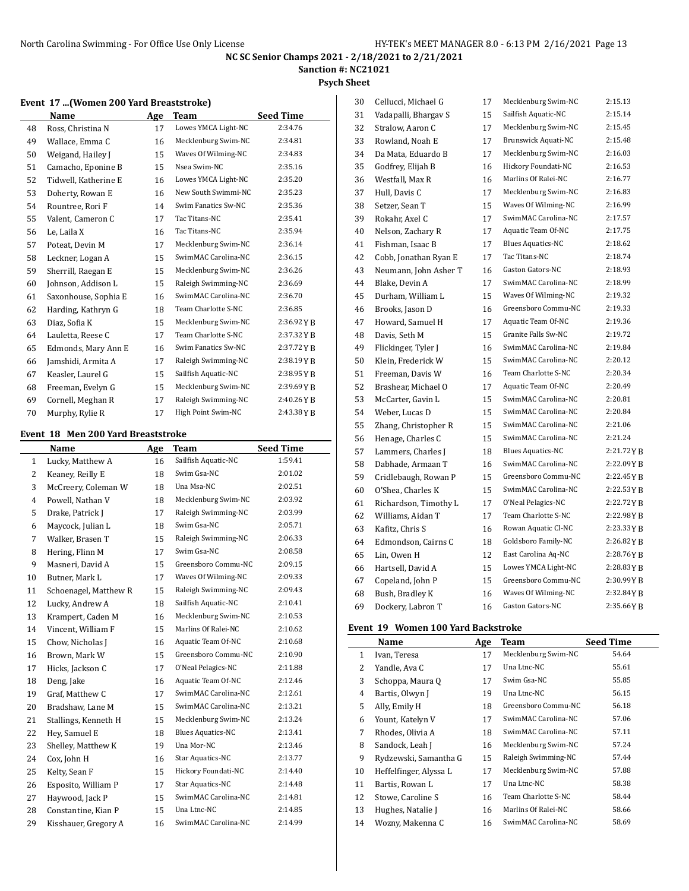Cellucci, Michael G 17 Mecklenburg Swim-NC 2:15.13

## **NC SC Senior Champs 2021 - 2/18/2021 to 2/21/2021**

**Sanction #: NC21021**

### **Psych Sheet**

### **Event 17 ...(Women 200 Yard Breaststroke)**

|    | Name                 | Age | Team                | <b>Seed Time</b> |
|----|----------------------|-----|---------------------|------------------|
| 48 | Ross, Christina N    | 17  | Lowes YMCA Light-NC | 2:34.76          |
| 49 | Wallace, Emma C      | 16  | Mecklenburg Swim-NC | 2:34.81          |
| 50 | Weigand, Hailey J    | 15  | Waves Of Wilming-NC | 2:34.83          |
| 51 | Camacho, Eponine B   | 15  | Nsea Swim-NC        | 2:35.16          |
| 52 | Tidwell, Katherine E | 16  | Lowes YMCA Light-NC | 2:35.20          |
| 53 | Doherty, Rowan E     | 16  | New South Swimmi-NC | 2:35.23          |
| 54 | Rountree, Rori F     | 14  | Swim Fanatics Sw-NC | 2:35.36          |
| 55 | Valent, Cameron C    | 17  | Tac Titans-NC       | 2:35.41          |
| 56 | Le, Laila X          | 16  | Tac Titans-NC       | 2:35.94          |
| 57 | Poteat, Devin M      | 17  | Mecklenburg Swim-NC | 2:36.14          |
| 58 | Leckner, Logan A     | 15  | SwimMAC Carolina-NC | 2:36.15          |
| 59 | Sherrill, Raegan E   | 15  | Mecklenburg Swim-NC | 2:36.26          |
| 60 | Johnson, Addison L   | 15  | Raleigh Swimming-NC | 2:36.69          |
| 61 | Saxonhouse, Sophia E | 16  | SwimMAC Carolina-NC | 2:36.70          |
| 62 | Harding, Kathryn G   | 18  | Team Charlotte S-NC | 2:36.85          |
| 63 | Diaz, Sofia K        | 15  | Mecklenburg Swim-NC | 2:36.92YB        |
| 64 | Lauletta, Reese C    | 17  | Team Charlotte S-NC | 2:37.32 Y R      |
| 65 | Edmonds, Mary Ann E  | 16  | Swim Fanatics Sw-NC | 2:37.72 Y B      |
| 66 | Jamshidi, Armita A   | 17  | Raleigh Swimming-NC | 2:38.19YB        |
| 67 | Keasler, Laurel G    | 15  | Sailfish Aquatic-NC | 2:38.95YB        |
| 68 | Freeman, Evelyn G    | 15  | Mecklenburg Swim-NC | 2:39.69YB        |
| 69 | Cornell, Meghan R    | 17  | Raleigh Swimming-NC | 2:40.26YB        |
| 70 | Murphy, Rylie R      | 17  | High Point Swim-NC  | 2:43.38YB        |

### **Event 18 Men 200 Yard Breaststroke**

|                | Name                  | Age | <b>Team</b>              | <b>Seed Time</b> |
|----------------|-----------------------|-----|--------------------------|------------------|
| $\mathbf{1}$   | Lucky, Matthew A      | 16  | Sailfish Aquatic-NC      | 1:59.41          |
| $\overline{2}$ | Keaney, Reilly E      | 18  | Swim Gsa-NC              | 2:01.02          |
| 3              | McCreery, Coleman W   | 18  | Una Msa-NC               | 2:02.51          |
| 4              | Powell, Nathan V      | 18  | Mecklenburg Swim-NC      | 2:03.92          |
| 5              | Drake, Patrick J      | 17  | Raleigh Swimming-NC      | 2:03.99          |
| 6              | Maycock, Julian L     | 18  | Swim Gsa-NC              | 2:05.71          |
| 7              | Walker, Brasen T      | 15  | Raleigh Swimming-NC      | 2:06.33          |
| 8              | Hering, Flinn M       | 17  | Swim Gsa-NC              | 2:08.58          |
| 9              | Masneri, David A      | 15  | Greensboro Commu-NC      | 2:09.15          |
| 10             | Butner, Mark L        | 17  | Waves Of Wilming-NC      | 2:09.33          |
| 11             | Schoenagel, Matthew R | 15  | Raleigh Swimming-NC      | 2:09.43          |
| 12             | Lucky, Andrew A       | 18  | Sailfish Aquatic-NC      | 2:10.41          |
| 13             | Krampert, Caden M     | 16  | Mecklenburg Swim-NC      | 2:10.53          |
| 14             | Vincent, William F    | 15  | Marlins Of Ralei-NC      | 2:10.62          |
| 15             | Chow, Nicholas J      | 16  | Aquatic Team Of-NC       | 2:10.68          |
| 16             | Brown, Mark W         | 15  | Greensboro Commu-NC      | 2:10.90          |
| 17             | Hicks, Jackson C      | 17  | O'Neal Pelagics-NC       | 2:11.88          |
| 18             | Deng, Jake            | 16  | Aquatic Team Of-NC       | 2:12.46          |
| 19             | Graf, Matthew C       | 17  | SwimMAC Carolina-NC      | 2:12.61          |
| 20             | Bradshaw, Lane M      | 15  | SwimMAC Carolina-NC      | 2:13.21          |
| 21             | Stallings, Kenneth H  | 15  | Mecklenburg Swim-NC      | 2:13.24          |
| 22             | Hey, Samuel E         | 18  | <b>Blues Aquatics-NC</b> | 2:13.41          |
| 23             | Shelley, Matthew K    | 19  | Una Mor-NC               | 2:13.46          |
| 24             | Cox, John H           | 16  | Star Aquatics-NC         | 2:13.77          |
| 25             | Kelty, Sean F         | 15  | Hickory Foundati-NC      | 2:14.40          |
| 26             | Esposito, William P   | 17  | Star Aquatics-NC         | 2:14.48          |
| 27             | Haywood, Jack P       | 15  | SwimMAC Carolina-NC      | 2:14.81          |
| 28             | Constantine, Kian P   | 15  | Una Ltnc-NC              | 2:14.85          |
| 29             | Kisshauer, Gregory A  | 16  | SwimMAC Carolina-NC      | 2:14.99          |
|                |                       |     |                          |                  |

| 31 | Vadapalli, Bhargay S  | 15 | Sailfish Aquatic-NC        | 2:15.14     |
|----|-----------------------|----|----------------------------|-------------|
| 32 | Stralow, Aaron C      | 17 | Mecklenburg Swim-NC        | 2:15.45     |
| 33 | Rowland, Noah E       | 17 | <b>Brunswick Aquati-NC</b> | 2:15.48     |
| 34 | Da Mata, Eduardo B    | 17 | Mecklenburg Swim-NC        | 2:16.03     |
| 35 | Godfrey, Elijah B     | 16 | Hickory Foundati-NC        | 2:16.53     |
| 36 | Westfall, Max R       | 16 | Marlins Of Ralei-NC        | 2:16.77     |
| 37 | Hull, Davis C         | 17 | Mecklenburg Swim-NC        | 2:16.83     |
| 38 | Setzer, Sean T        | 15 | Waves Of Wilming-NC        | 2:16.99     |
| 39 | Rokahr, Axel C        | 17 | SwimMAC Carolina-NC        | 2:17.57     |
| 40 | Nelson, Zachary R     | 17 | Aquatic Team Of-NC         | 2:17.75     |
| 41 | Fishman, Isaac B      | 17 | <b>Blues Aquatics-NC</b>   | 2:18.62     |
| 42 | Cobb, Jonathan Ryan E | 17 | Tac Titans-NC              | 2:18.74     |
| 43 | Neumann, John Asher T | 16 | Gaston Gators-NC           | 2:18.93     |
| 44 | Blake, Devin A        | 17 | SwimMAC Carolina-NC        | 2:18.99     |
| 45 | Durham, William L     | 15 | Waves Of Wilming-NC        | 2:19.32     |
| 46 | Brooks, Jason D       | 16 | Greensboro Commu-NC        | 2:19.33     |
| 47 | Howard, Samuel H      | 17 | Aquatic Team Of-NC         | 2:19.36     |
| 48 | Davis, Seth M         | 15 | Granite Falls Sw-NC        | 2:19.72     |
| 49 | Flickinger, Tyler J   | 16 | SwimMAC Carolina-NC        | 2:19.84     |
| 50 | Klein. Frederick W    | 15 | SwimMAC Carolina-NC        | 2:20.12     |
| 51 | Freeman, Davis W      | 16 | Team Charlotte S-NC        | 2:20.34     |
| 52 | Brashear, Michael O   | 17 | Aquatic Team Of-NC         | 2:20.49     |
| 53 | McCarter, Gavin L     | 15 | SwimMAC Carolina-NC        | 2:20.81     |
| 54 | Weber, Lucas D        | 15 | SwimMAC Carolina-NC        | 2:20.84     |
| 55 | Zhang, Christopher R  | 15 | SwimMAC Carolina-NC        | 2:21.06     |
| 56 | Henage, Charles C     | 15 | SwimMAC Carolina-NC        | 2:21.24     |
| 57 | Lammers, Charles J    | 18 | <b>Blues Aquatics-NC</b>   | 2:21.72YB   |
| 58 | Dabhade, Armaan T     | 16 | SwimMAC Carolina-NC        | 2:22.09YB   |
| 59 | Cridlebaugh, Rowan P  | 15 | Greensboro Commu-NC        | 2:22.45 Y B |
| 60 | O'Shea, Charles K     | 15 | SwimMAC Carolina-NC        | 2:22.53YB   |
| 61 | Richardson, Timothy L | 17 | O'Neal Pelagics-NC         | 2:22.72YB   |
| 62 | Williams, Aidan T     | 17 | Team Charlotte S-NC        | 2:22.98YB   |
| 63 | Kafitz, Chris S       | 16 | Rowan Aquatic Cl-NC        | 2:23.33YB   |
| 64 | Edmondson, Cairns C   | 18 | Goldsboro Family-NC        | 2:26.82YB   |
| 65 | Lin, Owen H           | 12 | East Carolina Aq-NC        | 2:28.76YB   |
| 66 | Hartsell, David A     | 15 | Lowes YMCA Light-NC        | 2:28.83YB   |
| 67 | Copeland, John P      | 15 | Greensboro Commu-NC        | 2:30.99YB   |
| 68 | Bush, Bradley K       | 16 | Waves Of Wilming-NC        | 2:32.84YB   |
| 69 | Dockery, Labron T     | 16 | Gaston Gators-NC           | 2:35.66YB   |

## **Event 19 Women 100 Yard Backstroke**

|              | Name                   | Age | Team                | <b>Seed Time</b> |
|--------------|------------------------|-----|---------------------|------------------|
| $\mathbf{1}$ | Ivan, Teresa           | 17  | Mecklenburg Swim-NC | 54.64            |
| 2            | Yandle, Ava C          | 17  | Una Ltnc-NC         | 55.61            |
| 3            | Schoppa, Maura Q       | 17  | Swim Gsa-NC         | 55.85            |
| 4            | Bartis, Olwyn J        | 19  | Una Ltnc-NC         | 56.15            |
| 5            | Ally, Emily H          | 18  | Greensboro Commu-NC | 56.18            |
| 6            | Yount, Katelyn V       | 17  | SwimMAC Carolina-NC | 57.06            |
| 7            | Rhodes, Olivia A       | 18  | SwimMAC Carolina-NC | 57.11            |
| 8            | Sandock, Leah J        | 16  | Mecklenburg Swim-NC | 57.24            |
| 9            | Rydzewski, Samantha G  | 15  | Raleigh Swimming-NC | 57.44            |
| 10           | Heffelfinger, Alyssa L | 17  | Mecklenburg Swim-NC | 57.88            |
| 11           | Bartis, Rowan L        | 17  | Una Ltnc-NC         | 58.38            |
| 12           | Stowe, Caroline S      | 16  | Team Charlotte S-NC | 58.44            |
| 13           | Hughes, Natalie J      | 16  | Marlins Of Ralei-NC | 58.66            |
| 14           | Wozny, Makenna C       | 16  | SwimMAC Carolina-NC | 58.69            |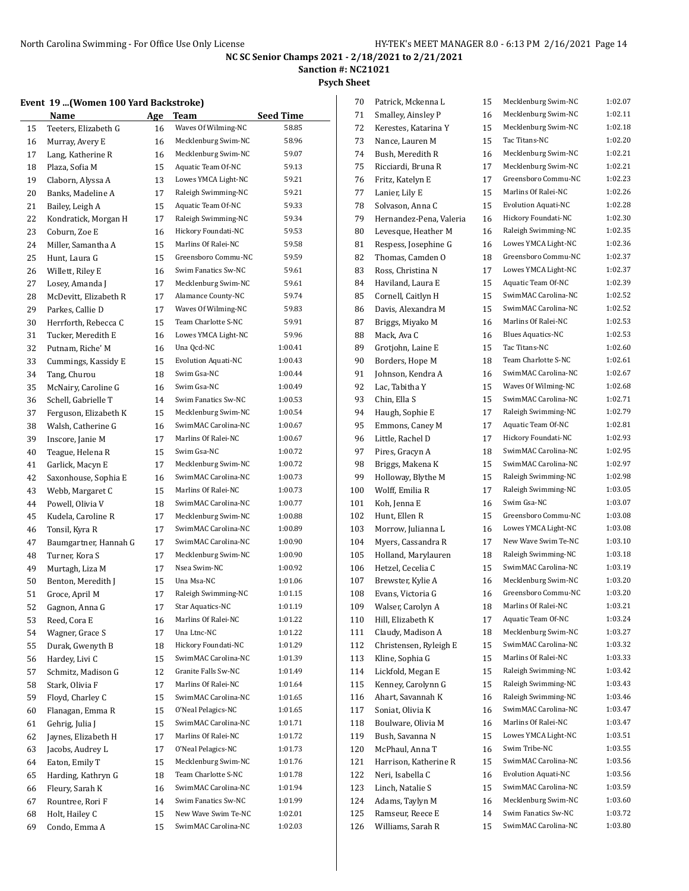**Sanction #: NC21021**

**Psych Sheet**

## **Event 19 ...(Women 100 Yard Backstroke)**

|          | women 100 Turu buenstrone)<br>Name       | Age      | Team                                       | <b>Seed Time</b>   |
|----------|------------------------------------------|----------|--------------------------------------------|--------------------|
| 15       | Teeters, Elizabeth G                     | 16       | Waves Of Wilming-NC                        | 58.85              |
| 16       | Murray, Avery E                          | 16       | Mecklenburg Swim-NC                        | 58.96              |
| 17       | Lang, Katherine R                        | 16       | Mecklenburg Swim-NC                        | 59.07              |
| 18       | Plaza, Sofia M                           | 15       | Aquatic Team Of-NC                         | 59.13              |
| 19       | Claborn, Alyssa A                        | 13       | Lowes YMCA Light-NC                        | 59.21              |
| 20       | Banks, Madeline A                        | 17       | Raleigh Swimming-NC                        | 59.21              |
| 21       | Bailey, Leigh A                          | 15       | Aquatic Team Of-NC                         | 59.33              |
| 22       | Kondratick, Morgan H                     | 17       | Raleigh Swimming-NC                        | 59.34              |
| 23       | Coburn, Zoe E                            | 16       | Hickory Foundati-NC                        | 59.53              |
| 24       | Miller, Samantha A                       | 15       | Marlins Of Ralei-NC                        | 59.58              |
| 25       | Hunt. Laura G                            | 15       | Greensboro Commu-NC                        | 59.59              |
| 26       | Willett, Riley E                         | 16       | Swim Fanatics Sw-NC                        | 59.61              |
|          |                                          |          | Mecklenburg Swim-NC                        | 59.61              |
| 27       | Losey, Amanda J<br>McDevitt, Elizabeth R | 17<br>17 | Alamance County-NC                         | 59.74              |
| 28       |                                          |          | Waves Of Wilming-NC                        | 59.83              |
| 29       | Parkes, Callie D                         | 17       | Team Charlotte S-NC                        | 59.91              |
| 30       | Herrforth, Rebecca C                     | 15       | Lowes YMCA Light-NC                        | 59.96              |
| 31       | Tucker, Meredith E                       | 16       | Una Qcd-NC                                 | 1:00.41            |
| 32       | Putnam, Riche' M                         | 16       | <b>Evolution Aquati-NC</b>                 | 1:00.43            |
| 33       | Cummings, Kassidy E                      | 15       | Swim Gsa-NC                                | 1:00.44            |
| 34       | Tang, Churou                             | 18       | Swim Gsa-NC                                | 1:00.49            |
| 35       | McNairy, Caroline G                      | 16       | Swim Fanatics Sw-NC                        | 1:00.53            |
| 36       | Schell, Gabrielle T                      | 14       | Mecklenburg Swim-NC                        | 1:00.54            |
| 37       | Ferguson, Elizabeth K                    | 15       | SwimMAC Carolina-NC                        | 1:00.67            |
| 38       | Walsh, Catherine G                       | 16       | Marlins Of Ralei-NC                        |                    |
| 39       | Inscore, Janie M                         | 17       | Swim Gsa-NC                                | 1:00.67            |
| 40       | Teague, Helena R                         | 15       |                                            | 1:00.72            |
| 41       | Garlick, Macyn E                         | 17       | Mecklenburg Swim-NC<br>SwimMAC Carolina-NC | 1:00.72<br>1:00.73 |
| 42       | Saxonhouse, Sophia E                     | 16       | Marlins Of Ralei-NC                        |                    |
| 43       | Webb, Margaret C                         | 15       | SwimMAC Carolina-NC                        | 1:00.73<br>1:00.77 |
| 44       | Powell, Olivia V                         | 18       | Mecklenburg Swim-NC                        | 1:00.88            |
| 45       | Kudela, Caroline R                       | 17       | SwimMAC Carolina-NC                        | 1:00.89            |
| 46<br>47 | Tonsil, Kyra R<br>Baumgartner, Hannah G  | 17<br>17 | SwimMAC Carolina-NC                        | 1:00.90            |
|          | Turner, Kora S                           | 17       | Mecklenburg Swim-NC                        | 1:00.90            |
| 48<br>49 | Murtagh, Liza M                          | 17       | Nsea Swim-NC                               | 1:00.92            |
| 50       | Benton, Meredith J                       | 15       | Una Msa-NC                                 | 1:01.06            |
| 51       | Groce, April M                           | 17       | Raleigh Swimming-NC                        | 1:01.15            |
| 52       |                                          |          | Star Aquatics-NC                           | 1:01.19            |
| 53       | Gagnon, Anna G                           | 17<br>16 | Marlins Of Ralei-NC                        | 1:01.22            |
| 54       | Reed, Cora E<br>Wagner, Grace S          | 17       | Una Ltnc-NC                                | 1:01.22            |
| 55       | Durak, Gwenyth B                         | 18       | Hickory Foundati-NC                        | 1:01.29            |
| 56       | Hardey, Livi C                           | 15       | SwimMAC Carolina-NC                        | 1:01.39            |
| 57       | Schmitz, Madison G                       | 12       | Granite Falls Sw-NC                        | 1:01.49            |
|          | Stark, Olivia F                          | 17       | Marlins Of Ralei-NC                        | 1:01.64            |
| 58<br>59 | Floyd, Charley C                         | 15       | SwimMAC Carolina-NC                        | 1:01.65            |
|          |                                          |          | O'Neal Pelagics-NC                         | 1:01.65            |
| 60       | Flanagan, Emma R                         | 15       | SwimMAC Carolina-NC                        | 1:01.71            |
| 61<br>62 | Gehrig, Julia J<br>Jaynes, Elizabeth H   | 15<br>17 | Marlins Of Ralei-NC                        | 1:01.72            |
| 63       | Jacobs, Audrey L                         | 17       | O'Neal Pelagics-NC                         | 1:01.73            |
|          | Eaton, Emily T                           |          | Mecklenburg Swim-NC                        | 1:01.76            |
| 64<br>65 | Harding, Kathryn G                       | 15<br>18 | Team Charlotte S-NC                        | 1:01.78            |
| 66       | Fleury, Sarah K                          | 16       | SwimMAC Carolina-NC                        | 1:01.94            |
| 67       | Rountree, Rori F                         | 14       | Swim Fanatics Sw-NC                        | 1:01.99            |
| 68       | Holt, Hailey C                           | 15       | New Wave Swim Te-NC                        | 1:02.01            |
| 69       | Condo, Emma A                            | 15       | SwimMAC Carolina-NC                        | 1:02.03            |
|          |                                          |          |                                            |                    |

| 70  | Patrick, Mckenna L      | 15 | Mecklenburg Swim-NC        | 1:02.07 |
|-----|-------------------------|----|----------------------------|---------|
| 71  | Smalley, Ainsley P      | 16 | Mecklenburg Swim-NC        | 1:02.11 |
| 72  | Kerestes, Katarina Y    | 15 | Mecklenburg Swim-NC        | 1:02.18 |
| 73  | Nance, Lauren M         | 15 | Tac Titans-NC              | 1:02.20 |
| 74  | Bush, Meredith R        | 16 | Mecklenburg Swim-NC        | 1:02.21 |
| 75  | Ricciardi, Bruna R      | 17 | Mecklenburg Swim-NC        | 1:02.21 |
| 76  | Fritz, Katelyn E        | 17 | Greensboro Commu-NC        | 1:02.23 |
| 77  | Lanier, Lily E          | 15 | Marlins Of Ralei-NC        | 1:02.26 |
| 78  | Solvason, Anna C        | 15 | <b>Evolution Aquati-NC</b> | 1:02.28 |
| 79  | Hernandez-Pena, Valeria | 16 | Hickory Foundati-NC        | 1:02.30 |
| 80  | Levesque, Heather M     | 16 | Raleigh Swimming-NC        | 1:02.35 |
| 81  | Respess, Josephine G    | 16 | Lowes YMCA Light-NC        | 1:02.36 |
| 82  | Thomas, Camden O        | 18 | Greensboro Commu-NC        | 1:02.37 |
| 83  | Ross, Christina N       | 17 | Lowes YMCA Light-NC        | 1:02.37 |
| 84  | Haviland, Laura E       | 15 | Aquatic Team Of-NC         | 1:02.39 |
| 85  | Cornell, Caitlyn H      | 15 | SwimMAC Carolina-NC        | 1:02.52 |
| 86  | Davis, Alexandra M      | 15 | SwimMAC Carolina-NC        | 1:02.52 |
| 87  | Briggs, Miyako M        | 16 | Marlins Of Ralei-NC        | 1:02.53 |
| 88  | Mack, Ava C             | 16 | <b>Blues Aquatics-NC</b>   | 1:02.53 |
| 89  | Grotjohn, Laine E       | 15 | Tac Titans-NC              | 1:02.60 |
| 90  | Borders, Hope M         | 18 | Team Charlotte S-NC        | 1:02.61 |
| 91  | Johnson, Kendra A       | 16 | SwimMAC Carolina-NC        | 1:02.67 |
| 92  |                         | 15 | Waves Of Wilming-NC        | 1:02.68 |
|     | Lac, Tabitha Y          |    | SwimMAC Carolina-NC        | 1:02.71 |
| 93  | Chin, Ella S            | 15 | Raleigh Swimming-NC        | 1:02.79 |
| 94  | Haugh, Sophie E         | 17 |                            | 1:02.81 |
| 95  | Emmons, Caney M         | 17 | Aquatic Team Of-NC         | 1:02.93 |
| 96  | Little, Rachel D        | 17 | Hickory Foundati-NC        |         |
| 97  | Pires, Gracyn A         | 18 | SwimMAC Carolina-NC        | 1:02.95 |
| 98  | Briggs, Makena K        | 15 | SwimMAC Carolina-NC        | 1:02.97 |
| 99  | Holloway, Blythe M      | 15 | Raleigh Swimming-NC        | 1:02.98 |
| 100 | Wolff, Emilia R         | 17 | Raleigh Swimming-NC        | 1:03.05 |
| 101 | Koh, Jenna E            | 16 | Swim Gsa-NC                | 1:03.07 |
| 102 | Hunt, Ellen R           | 15 | Greensboro Commu-NC        | 1:03.08 |
| 103 | Morrow, Julianna L      | 16 | Lowes YMCA Light-NC        | 1:03.08 |
| 104 | Myers, Cassandra R      | 17 | New Wave Swim Te-NC        | 1:03.10 |
| 105 | Holland, Marylauren     | 18 | Raleigh Swimming-NC        | 1:03.18 |
| 106 | Hetzel, Cecelia C       | 15 | SwimMAC Carolina-NC        | 1:03.19 |
| 107 | Brewster, Kylie A       | 16 | Mecklenburg Swim-NC        | 1:03.20 |
| 108 | Evans, Victoria G       | 16 | Greensboro Commu-NC        | 1:03.20 |
| 109 | Walser, Carolyn A       | 18 | Marlins Of Ralei-NC        | 1:03.21 |
| 110 | Hill, Elizabeth K       | 17 | Aquatic Team Of-NC         | 1:03.24 |
| 111 | Claudy, Madison A       | 18 | Mecklenburg Swim-NC        | 1:03.27 |
| 112 | Christensen, Ryleigh E  | 15 | SwimMAC Carolina-NC        | 1:03.32 |
| 113 | Kline, Sophia G         | 15 | Marlins Of Ralei-NC        | 1:03.33 |
| 114 | Lickfold, Megan E       | 15 | Raleigh Swimming-NC        | 1:03.42 |
| 115 | Kenney, Carolynn G      | 15 | Raleigh Swimming-NC        | 1:03.43 |
| 116 | Ahart, Savannah K       | 16 | Raleigh Swimming-NC        | 1:03.46 |
| 117 | Soniat, Olivia K        | 16 | SwimMAC Carolina-NC        | 1:03.47 |
| 118 | Boulware, Olivia M      | 16 | Marlins Of Ralei-NC        | 1:03.47 |
| 119 | Bush, Savanna N         | 15 | Lowes YMCA Light-NC        | 1:03.51 |
| 120 | McPhaul, Anna T         | 16 | Swim Tribe-NC              | 1:03.55 |
| 121 | Harrison, Katherine R   | 15 | SwimMAC Carolina-NC        | 1:03.56 |
| 122 | Neri, Isabella C        | 16 | <b>Evolution Aquati-NC</b> | 1:03.56 |
| 123 | Linch, Natalie S        | 15 | SwimMAC Carolina-NC        | 1:03.59 |
| 124 | Adams, Taylyn M         | 16 | Mecklenburg Swim-NC        | 1:03.60 |
| 125 | Ramseur, Reece E        | 14 | Swim Fanatics Sw-NC        | 1:03.72 |
| 126 | Williams, Sarah R       | 15 | SwimMAC Carolina-NC        | 1:03.80 |
|     |                         |    |                            |         |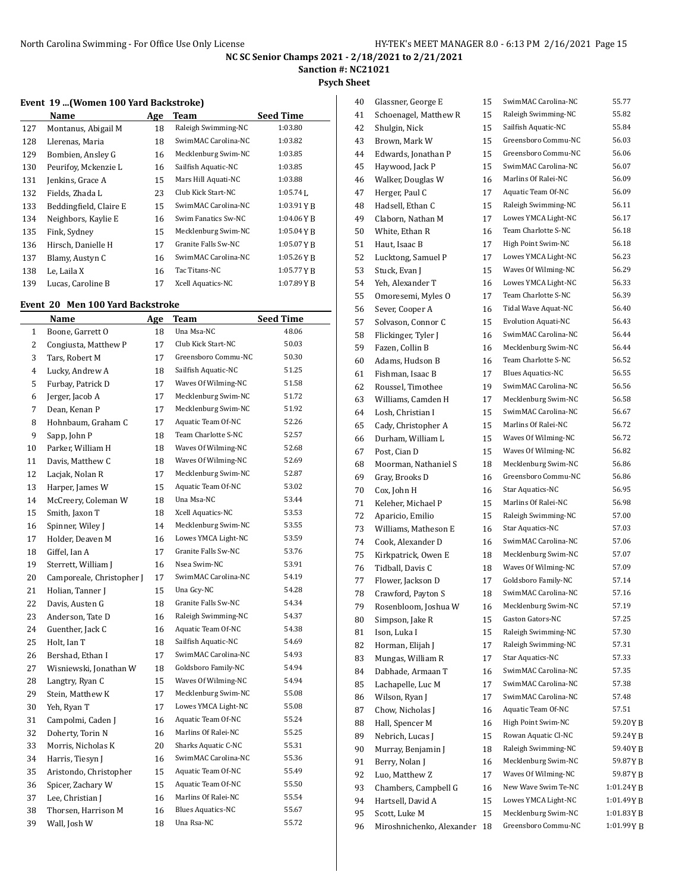**Sanction #: NC21021**

**Psych Sheet**

### **Event 19 ...(Women 100 Yard Backstroke)**

|     | Name                   | Age | Team                     | <b>Seed Time</b> |
|-----|------------------------|-----|--------------------------|------------------|
| 127 | Montanus, Abigail M    | 18  | Raleigh Swimming-NC      | 1:03.80          |
| 128 | Llerenas, Maria        | 18  | SwimMAC Carolina-NC      | 1:03.82          |
| 129 | Bombien, Ansley G      | 16  | Mecklenburg Swim-NC      | 1:03.85          |
| 130 | Peurifoy, Mckenzie L   | 16  | Sailfish Aquatic-NC      | 1:03.85          |
| 131 | Jenkins, Grace A       | 15  | Mars Hill Aquati-NC      | 1:03.88          |
| 132 | Fields, Zhada L        | 23  | Club Kick Start-NC       | $1:05.74$ J.     |
| 133 | Beddingfield, Claire E | 15  | SwimMAC Carolina-NC      | 1:03.91YB        |
| 134 | Neighbors, Kaylie E    | 16  | Swim Fanatics Sw-NC      | $1:04.06$ YR     |
| 135 | Fink, Sydney           | 15  | Mecklenburg Swim-NC      | 1:05.04YB        |
| 136 | Hirsch, Danielle H     | 17  | Granite Falls Sw-NC      | 1:05.07YR        |
| 137 | Blamy, Austyn C        | 16  | SwimMAC Carolina-NC      | $1:05.26$ YR     |
| 138 | Le, Laila X            | 16  | Tac Titans-NC            | 1:05.77YB        |
| 139 | Lucas, Caroline B      | 17  | <b>Xcell Aquatics-NC</b> | 1:07.89YR        |

## **Event 20 Men 100 Yard Backstroke**

L

|              | Name                      | Age | Team                     | <b>Seed Time</b> |
|--------------|---------------------------|-----|--------------------------|------------------|
| $\mathbf{1}$ | Boone, Garrett O          | 18  | Una Msa-NC               | 48.06            |
| 2            | Congiusta, Matthew P      | 17  | Club Kick Start-NC       | 50.03            |
| 3            | Tars, Robert M            | 17  | Greensboro Commu-NC      | 50.30            |
| 4            | Lucky, Andrew A           | 18  | Sailfish Aquatic-NC      | 51.25            |
| 5            | Furbay. Patrick D         | 17  | Waves Of Wilming-NC      | 51.58            |
| 6            | Jerger, Jacob A           | 17  | Mecklenburg Swim-NC      | 51.72            |
| 7            | Dean, Kenan P             | 17  | Mecklenburg Swim-NC      | 51.92            |
| 8            | Hohnbaum, Graham C        | 17  | Aquatic Team Of-NC       | 52.26            |
| 9            | Sapp, John P              | 18  | Team Charlotte S-NC      | 52.57            |
| 10           | Parker, William H         | 18  | Waves Of Wilming-NC      | 52.68            |
| 11           | Davis, Matthew C          | 18  | Waves Of Wilming-NC      | 52.69            |
| 12           | Lacjak, Nolan R           | 17  | Mecklenburg Swim-NC      | 52.87            |
| 13           | Harper, James W           | 15  | Aquatic Team Of-NC       | 53.02            |
| 14           | McCreery, Coleman W       | 18  | Una Msa-NC               | 53.44            |
| 15           | Smith, Jaxon T            | 18  | Xcell Aquatics-NC        | 53.53            |
| 16           | Spinner, Wiley J          | 14  | Mecklenburg Swim-NC      | 53.55            |
| 17           | Holder, Deaven M          | 16  | Lowes YMCA Light-NC      | 53.59            |
| 18           | Giffel, Ian A             | 17  | Granite Falls Sw-NC      | 53.76            |
| 19           | Sterrett, William J       | 16  | Nsea Swim-NC             | 53.91            |
| 20           | Camporeale, Christopher J | 17  | SwimMAC Carolina-NC      | 54.19            |
| 21           | Holian, Tanner J          | 15  | Una Gcy-NC               | 54.28            |
| 22           | Davis, Austen G           | 18  | Granite Falls Sw-NC      | 54.34            |
| 23           | Anderson, Tate D          | 16  | Raleigh Swimming-NC      | 54.37            |
| 24           | Guenther, Jack C          | 16  | Aquatic Team Of-NC       | 54.38            |
| 25           | Holt, Ian T               | 18  | Sailfish Aquatic-NC      | 54.69            |
| 26           | Bershad, Ethan I          | 17  | SwimMAC Carolina-NC      | 54.93            |
| 27           | Wisniewski, Jonathan W    | 18  | Goldsboro Family-NC      | 54.94            |
| 28           | Langtry, Ryan C           | 15  | Waves Of Wilming-NC      | 54.94            |
| 29           | Stein, Matthew K          | 17  | Mecklenburg Swim-NC      | 55.08            |
| 30           | Yeh, Ryan T               | 17  | Lowes YMCA Light-NC      | 55.08            |
| 31           | Campolmi, Caden J         | 16  | Aquatic Team Of-NC       | 55.24            |
| 32           | Doherty, Torin N          | 16  | Marlins Of Ralei-NC      | 55.25            |
| 33           | Morris, Nicholas K        | 20  | Sharks Aquatic C-NC      | 55.31            |
| 34           | Harris, Tiesyn J          | 16  | SwimMAC Carolina-NC      | 55.36            |
| 35           | Aristondo, Christopher    | 15  | Aquatic Team Of-NC       | 55.49            |
| 36           | Spicer, Zachary W         | 15  | Aquatic Team Of-NC       | 55.50            |
| 37           | Lee, Christian J          | 16  | Marlins Of Ralei-NC      | 55.54            |
| 38           | Thorsen, Harrison M       | 16  | <b>Blues Aquatics-NC</b> | 55.67            |
| 39           | Wall, Josh W              | 18  | Una Rsa-NC               | 55.72            |

| 40 | Glassner, George E        | 15 | SwimMAC Carolina-NC        | 55.77     |
|----|---------------------------|----|----------------------------|-----------|
| 41 | Schoenagel, Matthew R     | 15 | Raleigh Swimming-NC        | 55.82     |
| 42 | Shulgin, Nick             | 15 | Sailfish Aquatic-NC        | 55.84     |
| 43 | Brown, Mark W             | 15 | Greensboro Commu-NC        | 56.03     |
| 44 | Edwards, Jonathan P       | 15 | Greensboro Commu-NC        | 56.06     |
| 45 | Haywood, Jack P           | 15 | SwimMAC Carolina-NC        | 56.07     |
| 46 | Walker, Douglas W         | 16 | Marlins Of Ralei-NC        | 56.09     |
| 47 | Herger, Paul C            | 17 | Aquatic Team Of-NC         | 56.09     |
| 48 | Hadsell, Ethan C          | 15 | Raleigh Swimming-NC        | 56.11     |
| 49 | Claborn, Nathan M         | 17 | Lowes YMCA Light-NC        | 56.17     |
| 50 | White, Ethan R            | 16 | Team Charlotte S-NC        | 56.18     |
| 51 | Haut, Isaac B             | 17 | High Point Swim-NC         | 56.18     |
| 52 | Lucktong, Samuel P        | 17 | Lowes YMCA Light-NC        | 56.23     |
| 53 | Stuck, Evan J             | 15 | Waves Of Wilming-NC        | 56.29     |
| 54 | Yeh, Alexander T          | 16 | Lowes YMCA Light-NC        | 56.33     |
| 55 | Omoresemi, Myles O        | 17 | Team Charlotte S-NC        | 56.39     |
| 56 | Sever, Cooper A           | 16 | Tidal Wave Aquat-NC        | 56.40     |
| 57 | Solvason, Connor C        | 15 | <b>Evolution Aquati-NC</b> | 56.43     |
|    | Flickinger, Tyler J       | 16 | SwimMAC Carolina-NC        | 56.44     |
| 58 |                           |    | Mecklenburg Swim-NC        | 56.44     |
| 59 | Fazen, Collin B           | 16 | Team Charlotte S-NC        |           |
| 60 | Adams, Hudson B           | 16 |                            | 56.52     |
| 61 | Fishman, Isaac B          | 17 | <b>Blues Aquatics-NC</b>   | 56.55     |
| 62 | Roussel. Timothee         | 19 | SwimMAC Carolina-NC        | 56.56     |
| 63 | Williams, Camden H        | 17 | Mecklenburg Swim-NC        | 56.58     |
| 64 | Losh, Christian I         | 15 | SwimMAC Carolina-NC        | 56.67     |
| 65 | Cady, Christopher A       | 15 | Marlins Of Ralei-NC        | 56.72     |
| 66 | Durham, William L         | 15 | Waves Of Wilming-NC        | 56.72     |
| 67 | Post, Cian D              | 15 | Waves Of Wilming-NC        | 56.82     |
| 68 | Moorman, Nathaniel S      | 18 | Mecklenburg Swim-NC        | 56.86     |
| 69 | Gray, Brooks D            | 16 | Greensboro Commu-NC        | 56.86     |
| 70 | Cox, John H               | 16 | Star Aquatics-NC           | 56.95     |
| 71 | Keleher, Michael P        | 15 | Marlins Of Ralei-NC        | 56.98     |
| 72 | Aparicio, Emilio          | 15 | Raleigh Swimming-NC        | 57.00     |
| 73 | Williams, Matheson E      | 16 | Star Aquatics-NC           | 57.03     |
| 74 | Cook, Alexander D         | 16 | SwimMAC Carolina-NC        | 57.06     |
| 75 | Kirkpatrick, Owen E       | 18 | Mecklenburg Swim-NC        | 57.07     |
| 76 | Tidball, Davis C          | 18 | Waves Of Wilming-NC        | 57.09     |
| 77 | Flower, Jackson D         | 17 | Goldsboro Family-NC        | 57.14     |
| 78 | Crawford, Payton S        | 18 | SwimMAC Carolina-NC        | 57.16     |
| 79 | Rosenbloom, Joshua W      | 16 | Mecklenburg Swim-NC        | 57.19     |
| 80 | Simpson, Jake R           | 15 | Gaston Gators-NC           | 57.25     |
| 81 | Ison. Luka I              | 15 | Raleigh Swimming-NC        | 57.30     |
| 82 | Horman, Elijah J          | 17 | Raleigh Swimming-NC        | 57.31     |
| 83 | Mungas, William R         | 17 | Star Aquatics-NC           | 57.33     |
| 84 | Dabhade, Armaan T         | 16 | SwimMAC Carolina-NC        | 57.35     |
| 85 | Lachapelle, Luc M         | 17 | SwimMAC Carolina-NC        | 57.38     |
| 86 | Wilson, Ryan J            | 17 | SwimMAC Carolina-NC        | 57.48     |
| 87 | Chow, Nicholas J          | 16 | Aquatic Team Of-NC         | 57.51     |
| 88 | Hall, Spencer M           | 16 | High Point Swim-NC         | 59.20YB   |
| 89 | Nebrich, Lucas J          | 15 | Rowan Aquatic Cl-NC        | 59.24YB   |
| 90 | Murray, Benjamin J        | 18 | Raleigh Swimming-NC        | 59.40YB   |
| 91 | Berry, Nolan J            | 16 | Mecklenburg Swim-NC        | 59.87YB   |
| 92 | Luo, Matthew Z            | 17 | Waves Of Wilming-NC        | 59.87YB   |
| 93 | Chambers, Campbell G      | 16 | New Wave Swim Te-NC        | 1:01.24YB |
| 94 | Hartsell, David A         | 15 | Lowes YMCA Light-NC        | 1:01.49YB |
| 95 | Scott, Luke M             | 15 | Mecklenburg Swim-NC        | 1:01.83YB |
| 96 | Miroshnichenko, Alexander | 18 | Greensboro Commu-NC        | 1:01.99YB |
|    |                           |    |                            |           |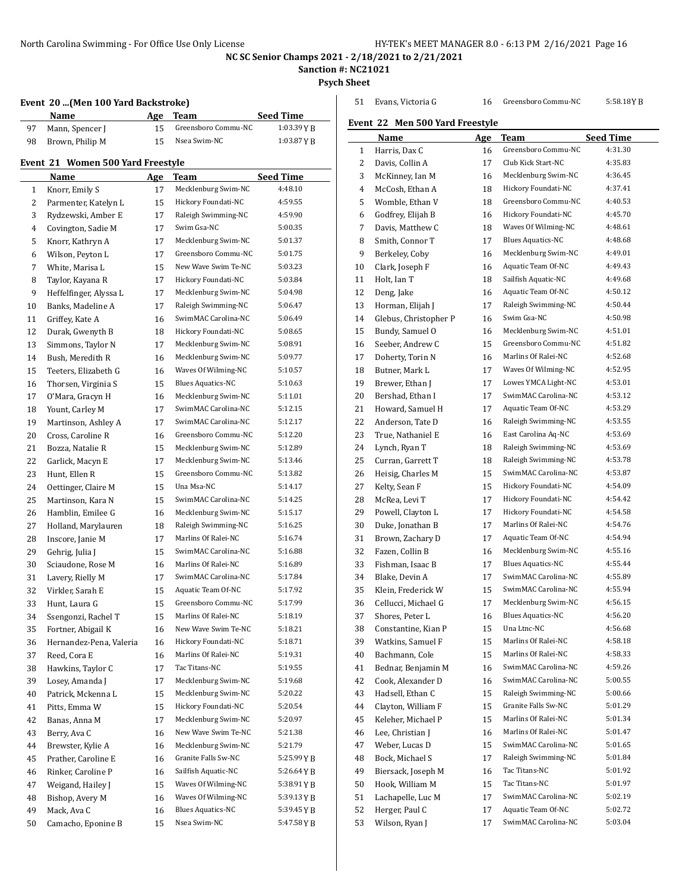Evans, Victoria G 16 Greensboro Commu-NC 5:58.18Y B

**NC SC Senior Champs 2021 - 2/18/2021 to 2/21/2021**

**Sanction #: NC21021**

**Psych Sheet**

|    | Name                              | Age      | Team                     | Seed Time        |
|----|-----------------------------------|----------|--------------------------|------------------|
| 97 | Mann, Spencer J                   | 15       | Greensboro Commu-NC      | 1:03.39YB        |
| 98 | Brown, Philip M                   | 15       | Nsea Swim-NC             | 1:03.87 Y B      |
|    | Event 21 Women 500 Yard Freestyle |          |                          |                  |
|    | Name                              | Age      | Team                     | <b>Seed Time</b> |
| 1  | Knorr, Emily S                    | 17       | Mecklenburg Swim-NC      | 4:48.10          |
| 2  | Parmenter, Katelyn L              | 15       | Hickory Foundati-NC      | 4:59.55          |
| 3  | Rydzewski, Amber E                | 17       | Raleigh Swimming-NC      | 4:59.90          |
| 4  | Covington, Sadie M                | 17       | Swim Gsa-NC              | 5:00.35          |
| 5  | Knorr, Kathryn A                  | 17       | Mecklenburg Swim-NC      | 5:01.37          |
| 6  |                                   | 17       | Greensboro Commu-NC      | 5:01.75          |
| 7  | Wilson, Peyton L                  |          | New Wave Swim Te-NC      | 5:03.23          |
|    | White, Marisa L                   | 15<br>17 | Hickory Foundati-NC      | 5:03.84          |
| 8  | Taylor, Kayana R                  |          | Mecklenburg Swim-NC      | 5:04.98          |
| 9  | Heffelfinger, Alyssa L            | 17       |                          |                  |
| 10 | Banks, Madeline A                 | 17       | Raleigh Swimming-NC      | 5:06.47          |
| 11 | Griffey, Kate A                   | 16       | SwimMAC Carolina-NC      | 5:06.49          |
| 12 | Durak, Gwenyth B                  | 18       | Hickory Foundati-NC      | 5:08.65          |
| 13 | Simmons, Taylor N                 | 17       | Mecklenburg Swim-NC      | 5:08.91          |
| 14 | Bush, Meredith R                  | 16       | Mecklenburg Swim-NC      | 5:09.77          |
| 15 | Teeters, Elizabeth G              | 16       | Waves Of Wilming-NC      | 5:10.57          |
| 16 | Thorsen, Virginia S               | 15       | <b>Blues Aquatics-NC</b> | 5:10.63          |
| 17 | O'Mara, Gracyn H                  | 16       | Mecklenburg Swim-NC      | 5:11.01          |
| 18 | Yount, Carley M                   | 17       | SwimMAC Carolina-NC      | 5:12.15          |
| 19 | Martinson, Ashley A               | 17       | SwimMAC Carolina-NC      | 5:12.17          |
| 20 | Cross, Caroline R                 | 16       | Greensboro Commu-NC      | 5:12.20          |
| 21 | Bozza, Natalie R                  | 15       | Mecklenburg Swim-NC      | 5:12.89          |
| 22 | Garlick, Macyn E                  | 17       | Mecklenburg Swim-NC      | 5:13.46          |
| 23 | Hunt, Ellen R                     | 15       | Greensboro Commu-NC      | 5:13.82          |
| 24 | Oettinger, Claire M               | 15       | Una Msa-NC               | 5:14.17          |
| 25 | Martinson, Kara N                 | 15       | SwimMAC Carolina-NC      | 5:14.25          |
| 26 | Hamblin, Emilee G                 | 16       | Mecklenburg Swim-NC      | 5:15.17          |
| 27 | Holland, Marylauren               | 18       | Raleigh Swimming-NC      | 5:16.25          |
| 28 | Inscore, Janie M                  | 17       | Marlins Of Ralei-NC      | 5:16.74          |
| 29 | Gehrig, Julia J                   | 15       | SwimMAC Carolina-NC      | 5:16.88          |
| 30 | Sciaudone, Rose M                 | 16       | Marlins Of Ralei-NC      | 5:16.89          |
| 31 | Lavery, Rielly M                  | 17       | SwimMAC Carolina-NC      | 5:17.84          |
| 32 | Virkler, Sarah E                  | 15       | Aquatic Team Of-NC       | 5:17.92          |
| 33 | Hunt, Laura G                     | 15       | Greensboro Commu-NC      | 5:17.99          |
| 34 | Ssengonzi, Rachel T               | 15       | Marlins Of Ralei-NC      | 5:18.19          |
| 35 | Fortner, Abigail K                | 16       | New Wave Swim Te-NC      | 5:18.21          |
| 36 | Hernandez-Pena, Valeria           | 16       | Hickory Foundati-NC      | 5:18.71          |
| 37 | Reed, Cora E                      | 16       | Marlins Of Ralei-NC      | 5:19.31          |
| 38 | Hawkins, Taylor C                 | 17       | Tac Titans-NC            | 5:19.55          |
| 39 | Losey, Amanda J                   | 17       | Mecklenburg Swim-NC      | 5:19.68          |
| 40 | Patrick, Mckenna L                | 15       | Mecklenburg Swim-NC      | 5:20.22          |
| 41 | Pitts, Emma W                     | 15       | Hickory Foundati-NC      | 5:20.54          |
| 42 | Banas, Anna M                     | 17       | Mecklenburg Swim-NC      | 5:20.97          |
| 43 | Berry, Ava C                      | 16       | New Wave Swim Te-NC      | 5:21.38          |
| 44 | Brewster, Kylie A                 | 16       | Mecklenburg Swim-NC      | 5:21.79          |
| 45 | Prather, Caroline E               | 16       | Granite Falls Sw-NC      | 5:25.99 Y B      |
| 46 | Rinker, Caroline P                | 16       | Sailfish Aquatic-NC      | 5:26.64 Y B      |
| 47 | Weigand, Hailey J                 | 15       | Waves Of Wilming-NC      | 5:38.91 Y B      |
| 48 | Bishop, Avery M                   | 16       | Waves Of Wilming-NC      | 5:39.13 Y B      |
| 49 | Mack, Ava C                       | 16       | <b>Blues Aquatics-NC</b> | 5:39.45 Y B      |
| 50 | Camacho, Eponine B                | 15       | Nsea Swim-NC             | 5:47.58 Y B      |

| Event 22 Men 500 Yard Freestyle |                       |          |                                            |                  |
|---------------------------------|-----------------------|----------|--------------------------------------------|------------------|
|                                 | Name                  | Age      | Team                                       | <b>Seed Time</b> |
| $\mathbf{1}$                    | Harris, Dax C         | 16       | Greensboro Commu-NC                        | 4:31.30          |
| 2                               | Davis, Collin A       | 17       | Club Kick Start-NC                         | 4:35.83          |
| 3                               | McKinney, Ian M       | 16       | Mecklenburg Swim-NC                        | 4:36.45          |
| 4                               | McCosh, Ethan A       | 18       | Hickory Foundati-NC                        | 4:37.41          |
| 5                               | Womble, Ethan V       | 18       | Greensboro Commu-NC                        | 4:40.53          |
| 6                               | Godfrey, Elijah B     | 16       | Hickory Foundati-NC                        | 4:45.70          |
| 7                               | Davis, Matthew C      | 18       | Waves Of Wilming-NC                        | 4:48.61          |
| 8                               | Smith, Connor T       | 17       | <b>Blues Aquatics-NC</b>                   | 4:48.68          |
| 9                               | Berkeley, Coby        | 16       | Mecklenburg Swim-NC                        | 4:49.01          |
| 10                              | Clark, Joseph F       | 16       | Aquatic Team Of-NC                         | 4:49.43          |
| 11                              | Holt, Ian T           | 18       | Sailfish Aquatic-NC                        | 4:49.68          |
| 12                              | Deng, Jake            | 16       | Aquatic Team Of-NC                         | 4:50.12          |
| 13                              | Horman, Elijah J      | 17       | Raleigh Swimming-NC                        | 4:50.44          |
| 14                              | Glebus, Christopher P | 16       | Swim Gsa-NC                                | 4:50.98          |
| 15                              | Bundy, Samuel O       | 16       | Mecklenburg Swim-NC                        | 4:51.01          |
| 16                              | Seeber, Andrew C      | 15       | Greensboro Commu-NC                        | 4:51.82          |
| 17                              | Doherty, Torin N      | 16       | Marlins Of Ralei-NC                        | 4:52.68          |
| 18                              | Butner, Mark L        | 17       | Waves Of Wilming-NC                        | 4:52.95          |
| 19                              | Brewer, Ethan J       | 17       | Lowes YMCA Light-NC                        | 4:53.01          |
| 20                              | Bershad, Ethan I      | 17       | SwimMAC Carolina-NC                        | 4:53.12          |
| 21                              | Howard, Samuel H      | 17       | Aquatic Team Of-NC                         | 4:53.29          |
| 22                              | Anderson, Tate D      | 16       | Raleigh Swimming-NC                        | 4:53.55          |
| 23                              | True, Nathaniel E     | 16       | East Carolina Aq-NC                        | 4:53.69          |
| 24                              | Lynch, Ryan T         | 18       | Raleigh Swimming-NC                        | 4:53.69          |
| 25                              | Curran, Garrett T     | 18       | Raleigh Swimming-NC                        | 4:53.78          |
| 26                              | Heisig, Charles M     | 15       | SwimMAC Carolina-NC                        | 4:53.87          |
| 27                              | Kelty, Sean F         | 15       | Hickory Foundati-NC                        | 4:54.09          |
| 28                              | McRea, Levi T         | 17       | Hickory Foundati-NC                        | 4:54.42          |
| 29                              | Powell, Clayton L     | 17       | Hickory Foundati-NC                        | 4:54.58          |
| 30                              |                       |          | Marlins Of Ralei-NC                        | 4:54.76          |
|                                 | Duke, Jonathan B      | 17<br>17 | Aquatic Team Of-NC                         | 4:54.94          |
| 31                              | Brown, Zachary D      |          | Mecklenburg Swim-NC                        | 4:55.16          |
| 32                              | Fazen, Collin B       | 16       | <b>Blues Aquatics-NC</b>                   | 4:55.44          |
| 33                              | Fishman, Isaac B      | 17<br>17 | SwimMAC Carolina-NC                        | 4:55.89          |
| 34                              | Blake, Devin A        |          | SwimMAC Carolina-NC                        | 4:55.94          |
| 35                              | Klein, Frederick W    | 15       | Mecklenburg Swim-NC                        | 4:56.15          |
| 36                              | Cellucci, Michael G   | 17       |                                            |                  |
| 37                              | Shores, Peter L       | 16       | <b>Blues Aquatics-NC</b>                   | 4:56.20          |
| 38                              | Constantine, Kian P   | 15       | Una Ltnc-NC                                | 4:56.68          |
| 39                              | Watkins, Samuel F     | 15       | Marlins Of Ralei-NC<br>Marlins Of Ralei-NC | 4:58.18          |
| 40                              | Bachmann, Cole        | 15       |                                            | 4:58.33          |
| 41                              | Bednar, Benjamin M    | 16       | SwimMAC Carolina-NC                        | 4:59.26          |
| 42                              | Cook, Alexander D     | 16       | SwimMAC Carolina-NC                        | 5:00.55          |
| 43                              | Hadsell, Ethan C      | 15       | Raleigh Swimming-NC                        | 5:00.66          |
| 44                              | Clayton, William F    | 15       | Granite Falls Sw-NC                        | 5:01.29          |
| 45                              | Keleher, Michael P    | 15       | Marlins Of Ralei-NC                        | 5:01.34          |
| 46                              | Lee, Christian J      | 16       | Marlins Of Ralei-NC                        | 5:01.47          |
| 47                              | Weber, Lucas D        | 15       | SwimMAC Carolina-NC                        | 5:01.65          |
| 48                              | Bock, Michael S       | 17       | Raleigh Swimming-NC                        | 5:01.84          |
| 49                              | Biersack, Joseph M    | 16       | Tac Titans-NC                              | 5:01.92          |
| 50                              | Hook, William M       | 15       | Tac Titans-NC                              | 5:01.97          |
| 51                              | Lachapelle, Luc M     | 17       | SwimMAC Carolina-NC                        | 5:02.19          |
| 52                              | Herger, Paul C        | 17       | Aquatic Team Of-NC                         | 5:02.72          |
| 53                              | Wilson, Ryan J        | 17       | SwimMAC Carolina-NC                        | 5:03.04          |
|                                 |                       |          |                                            |                  |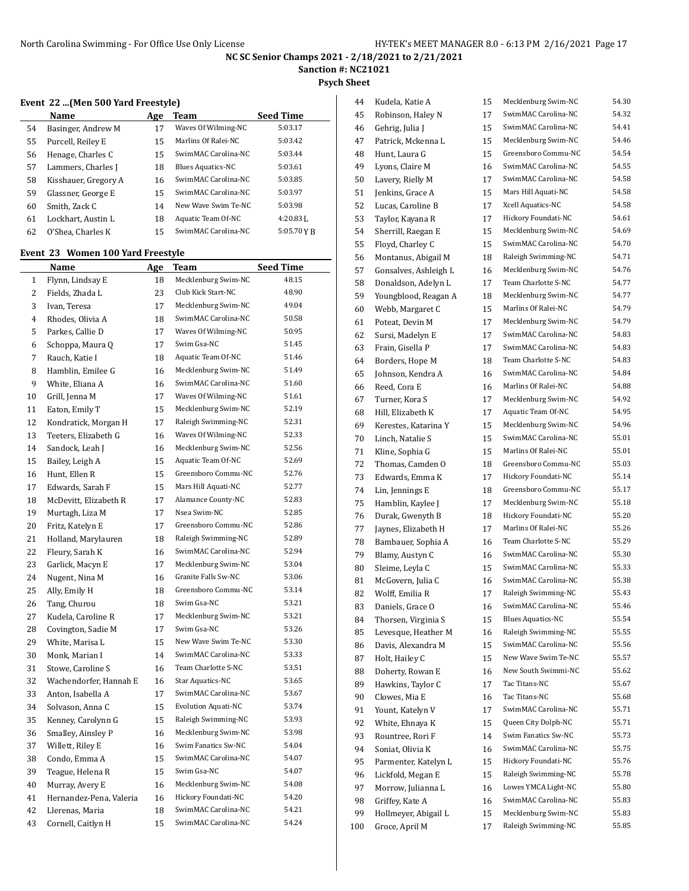**Sanction #: NC21021**

**Psych Sheet**

#### **Event 22 ...(Men 500 Yard Freestyle)**

|    | Name                 | Age | Team                     | <b>Seed Time</b> |
|----|----------------------|-----|--------------------------|------------------|
| 54 | Basinger, Andrew M   | 17  | Waves Of Wilming-NC      | 5:03.17          |
| 55 | Purcell, Reiley E    | 15  | Marlins Of Ralei-NC      | 5:03.42          |
| 56 | Henage, Charles C    | 15  | SwimMAC Carolina-NC      | 5:03.44          |
| 57 | Lammers, Charles J   | 18  | <b>Blues Aquatics-NC</b> | 5:03.61          |
| 58 | Kisshauer, Gregory A | 16  | SwimMAC Carolina-NC      | 5:03.85          |
| 59 | Glassner, George E   | 15  | SwimMAC Carolina-NC      | 5:03.97          |
| 60 | Smith, Zack C        | 14  | New Wave Swim Te-NC      | 5:03.98          |
| 61 | Lockhart, Austin L   | 18  | Aquatic Team Of-NC       | $4:20.83$ J.     |
| 62 | O'Shea, Charles K    | 15  | SwimMAC Carolina-NC      | 5:05.70 Y B      |

## **Event 23 Women 100 Yard Freestyle**

|                | Name                    | <u>Age</u> | Team                       | <b>Seed Time</b> |
|----------------|-------------------------|------------|----------------------------|------------------|
| $\mathbf{1}$   | Flynn, Lindsay E        | 18         | Mecklenburg Swim-NC        | 48.15            |
| 2              | Fields, Zhada L         | 23         | Club Kick Start-NC         | 48.90            |
| 3              | Ivan, Teresa            | 17         | Mecklenburg Swim-NC        | 49.04            |
| $\overline{4}$ | Rhodes, Olivia A        | 18         | SwimMAC Carolina-NC        | 50.58            |
| 5              | Parkes, Callie D        | 17         | Waves Of Wilming-NC        | 50.95            |
| 6              | Schoppa, Maura Q        | 17         | Swim Gsa-NC                | 51.45            |
| 7              | Rauch, Katie I          | 18         | Aquatic Team Of-NC         | 51.46            |
| 8              | Hamblin, Emilee G       | 16         | Mecklenburg Swim-NC        | 51.49            |
| 9              | White, Eliana A         | 16         | SwimMAC Carolina-NC        | 51.60            |
| 10             | Grill, Jenna M          | 17         | Waves Of Wilming-NC        | 51.61            |
| 11             | Eaton, Emily T          | 15         | Mecklenburg Swim-NC        | 52.19            |
| 12             | Kondratick, Morgan H    | 17         | Raleigh Swimming-NC        | 52.31            |
| 13             | Teeters, Elizabeth G    | 16         | Waves Of Wilming-NC        | 52.33            |
| 14             | Sandock, Leah J         | 16         | Mecklenburg Swim-NC        | 52.56            |
| 15             | Bailey, Leigh A         | 15         | Aquatic Team Of-NC         | 52.69            |
| 16             | Hunt, Ellen R           | 15         | Greensboro Commu-NC        | 52.76            |
| 17             | Edwards, Sarah F        | 15         | Mars Hill Aquati-NC        | 52.77            |
| 18             | McDevitt, Elizabeth R   | 17         | Alamance County-NC         | 52.83            |
| 19             | Murtagh, Liza M         | 17         | Nsea Swim-NC               | 52.85            |
| 20             | Fritz, Katelyn E        | 17         | Greensboro Commu-NC        | 52.86            |
| 21             | Holland, Marylauren     | 18         | Raleigh Swimming-NC        | 52.89            |
| 22             | Fleury, Sarah K         | 16         | SwimMAC Carolina-NC        | 52.94            |
| 23             | Garlick, Macyn E        | 17         | Mecklenburg Swim-NC        | 53.04            |
| 24             | Nugent, Nina M          | 16         | Granite Falls Sw-NC        | 53.06            |
| 25             | Ally, Emily H           | 18         | Greensboro Commu-NC        | 53.14            |
| 26             | Tang, Churou            | 18         | Swim Gsa-NC                | 53.21            |
| 27             | Kudela, Caroline R      | 17         | Mecklenburg Swim-NC        | 53.21            |
| 28             | Covington, Sadie M      | 17         | Swim Gsa-NC                | 53.26            |
| 29             | White, Marisa L         | 15         | New Wave Swim Te-NC        | 53.30            |
| 30             | Monk, Marian I          | 14         | SwimMAC Carolina-NC        | 53.33            |
| 31             | Stowe, Caroline S       | 16         | Team Charlotte S-NC        | 53.51            |
| 32             | Wachendorfer, Hannah E  | 16         | Star Aquatics-NC           | 53.65            |
| 33             | Anton, Isabella A       | 17         | SwimMAC Carolina-NC        | 53.67            |
| 34             | Solvason, Anna C        | 15         | <b>Evolution Aquati-NC</b> | 53.74            |
| 35             | Kenney, Carolynn G      | 15         | Raleigh Swimming-NC        | 53.93            |
| 36             | Smalley, Ainsley P      | 16         | Mecklenburg Swim-NC        | 53.98            |
| 37             | Willett, Riley E        | 16         | Swim Fanatics Sw-NC        | 54.04            |
| 38             | Condo, Emma A           | 15         | SwimMAC Carolina-NC        | 54.07            |
| 39             | Teague, Helena R        | 15         | Swim Gsa-NC                | 54.07            |
| 40             | Murray, Avery E         | 16         | Mecklenburg Swim-NC        | 54.08            |
| 41             | Hernandez-Pena, Valeria | 16         | Hickory Foundati-NC        | 54.20            |
| 42             | Llerenas, Maria         | 18         | SwimMAC Carolina-NC        | 54.21            |
| 43             | Cornell, Caitlyn H      | 15         | SwimMAC Carolina-NC        | 54.24            |

| 44  | Kudela, Katie A       | 15 | Mecklenburg Swim-NC      | 54.30 |
|-----|-----------------------|----|--------------------------|-------|
| 45  | Robinson, Haley N     | 17 | SwimMAC Carolina-NC      | 54.32 |
| 46  | Gehrig, Julia J       | 15 | SwimMAC Carolina-NC      | 54.41 |
| 47  | Patrick, Mckenna L    | 15 | Mecklenburg Swim-NC      | 54.46 |
| 48  | Hunt, Laura G         | 15 | Greensboro Commu-NC      | 54.54 |
| 49  | Lyons, Claire M       | 16 | SwimMAC Carolina-NC      | 54.55 |
| 50  | Lavery, Rielly M      | 17 | SwimMAC Carolina-NC      | 54.58 |
| 51  | Jenkins, Grace A      | 15 | Mars Hill Aquati-NC      | 54.58 |
| 52  | Lucas, Caroline B     | 17 | Xcell Aquatics-NC        | 54.58 |
| 53  | Taylor, Kayana R      | 17 | Hickory Foundati-NC      | 54.61 |
| 54  | Sherrill, Raegan E    | 15 | Mecklenburg Swim-NC      | 54.69 |
| 55  | Floyd, Charley C      | 15 | SwimMAC Carolina-NC      | 54.70 |
| 56  | Montanus, Abigail M   | 18 | Raleigh Swimming-NC      | 54.71 |
| 57  | Gonsalves, Ashleigh L | 16 | Mecklenburg Swim-NC      | 54.76 |
| 58  | Donaldson, Adelyn L   | 17 | Team Charlotte S-NC      | 54.77 |
| 59  | Youngblood, Reagan A  | 18 | Mecklenburg Swim-NC      | 54.77 |
| 60  | Webb, Margaret C      | 15 | Marlins Of Ralei-NC      | 54.79 |
| 61  | Poteat, Devin M       | 17 | Mecklenburg Swim-NC      | 54.79 |
| 62  | Sursi, Madelyn E      | 17 | SwimMAC Carolina-NC      | 54.83 |
| 63  | Frain, Gisella P      | 17 | SwimMAC Carolina-NC      | 54.83 |
| 64  | Borders, Hope M       | 18 | Team Charlotte S-NC      | 54.83 |
| 65  | Johnson, Kendra A     | 16 | SwimMAC Carolina-NC      | 54.84 |
| 66  | Reed, Cora E          | 16 | Marlins Of Ralei-NC      | 54.88 |
| 67  | Turner, Kora S        | 17 | Mecklenburg Swim-NC      | 54.92 |
| 68  | Hill, Elizabeth K     | 17 | Aquatic Team Of-NC       | 54.95 |
| 69  | Kerestes, Katarina Y  | 15 | Mecklenburg Swim-NC      | 54.96 |
| 70  | Linch, Natalie S      | 15 | SwimMAC Carolina-NC      | 55.01 |
| 71  | Kline, Sophia G       | 15 | Marlins Of Ralei-NC      | 55.01 |
| 72  | Thomas, Camden O      | 18 | Greensboro Commu-NC      | 55.03 |
| 73  | Edwards, Emma K       | 17 | Hickory Foundati-NC      | 55.14 |
| 74  | Lin, Jennings E       | 18 | Greensboro Commu-NC      | 55.17 |
| 75  | Hamblin, Kaylee J     | 17 | Mecklenburg Swim-NC      | 55.18 |
| 76  | Durak, Gwenyth B      | 18 | Hickory Foundati-NC      | 55.20 |
| 77  | Jaynes, Elizabeth H   | 17 | Marlins Of Ralei-NC      | 55.26 |
| 78  | Bambauer, Sophia A    | 16 | Team Charlotte S-NC      | 55.29 |
| 79  | Blamy, Austyn C       | 16 | SwimMAC Carolina-NC      | 55.30 |
| 80  | Sleime, Leyla C       | 15 | SwimMAC Carolina-NC      | 55.33 |
| 81  | McGovern, Julia C     | 16 | SwimMAC Carolina-NC      | 55.38 |
| 82  | Wolff, Emilia R       | 17 | Raleigh Swimming-NC      | 55.43 |
| 83  | Daniels, Grace O      | 16 | SwimMAC Carolina-NC      | 55.46 |
| 84  | Thorsen, Virginia S   | 15 | <b>Blues Aquatics-NC</b> | 55.54 |
| 85  | Levesque, Heather M   | 16 | Raleigh Swimming-NC      | 55.55 |
| 86  | Davis, Alexandra M    | 15 | SwimMAC Carolina-NC      | 55.56 |
| 87  | Holt, Hailey C        | 15 | New Wave Swim Te-NC      | 55.57 |
| 88  | Doherty, Rowan E      | 16 | New South Swimmi-NC      | 55.62 |
| 89  | Hawkins, Taylor C     | 17 | Tac Titans-NC            | 55.67 |
| 90  | Clowes, Mia E         | 16 | Tac Titans-NC            | 55.68 |
| 91  | Yount, Katelyn V      | 17 | SwimMAC Carolina-NC      | 55.71 |
| 92  | White, Ehnaya K       | 15 | Queen City Dolph-NC      | 55.71 |
| 93  | Rountree, Rori F      | 14 | Swim Fanatics Sw-NC      | 55.73 |
| 94  | Soniat, Olivia K      | 16 | SwimMAC Carolina-NC      | 55.75 |
| 95  | Parmenter, Katelyn L  | 15 | Hickory Foundati-NC      | 55.76 |
| 96  | Lickfold, Megan E     | 15 | Raleigh Swimming-NC      | 55.78 |
| 97  | Morrow, Julianna L    | 16 | Lowes YMCA Light-NC      | 55.80 |
| 98  | Griffey, Kate A       | 16 | SwimMAC Carolina-NC      | 55.83 |
| 99  | Hollmeyer, Abigail L  | 15 | Mecklenburg Swim-NC      | 55.83 |
| 100 | Groce, April M        | 17 | Raleigh Swimming-NC      | 55.85 |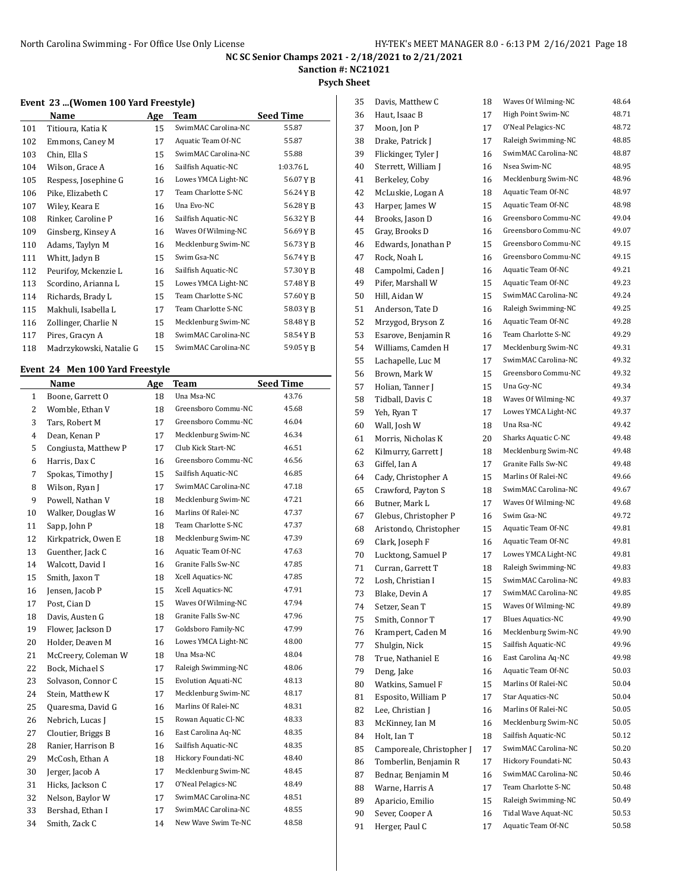**Sanction #: NC21021**

#### **Psych Sheet**

#### **Event 23 ...(Women 100 Yard Freestyle)**

|     | Name                    | Age | Team                | <b>Seed Time</b> |
|-----|-------------------------|-----|---------------------|------------------|
| 101 | Titioura, Katia K       | 15  | SwimMAC Carolina-NC | 55.87            |
| 102 | Emmons, Caney M         | 17  | Aquatic Team Of-NC  | 55.87            |
| 103 | Chin, Ella S            | 15  | SwimMAC Carolina-NC | 55.88            |
| 104 | Wilson, Grace A         | 16  | Sailfish Aquatic-NC | $1:03.76$ J.     |
| 105 | Respess, Josephine G    | 16  | Lowes YMCA Light-NC | 56.07 Y B        |
| 106 | Pike, Elizabeth C       | 17  | Team Charlotte S-NC | 56.24YB          |
| 107 | Wiley, Keara E          | 16  | Una Evo-NC          | 56.28YB          |
| 108 | Rinker, Caroline P      | 16  | Sailfish Aquatic-NC | 56.32YB          |
| 109 | Ginsberg, Kinsey A      | 16  | Waves Of Wilming-NC | 56.69YB          |
| 110 | Adams, Taylyn M         | 16  | Mecklenburg Swim-NC | 56.73YB          |
| 111 | Whitt, Jadyn B          | 15  | Swim Gsa-NC         | 56.74YB          |
| 112 | Peurifoy, Mckenzie L    | 16  | Sailfish Aquatic-NC | 57.30YB          |
| 113 | Scordino, Arianna L     | 15  | Lowes YMCA Light-NC | 57.48YB          |
| 114 | Richards, Brady L       | 15  | Team Charlotte S-NC | 57.60YB          |
| 115 | Makhuli, Isabella L     | 17  | Team Charlotte S-NC | 58.03YB          |
| 116 | Zollinger, Charlie N    | 15  | Mecklenburg Swim-NC | 58.48YB          |
| 117 | Pires, Gracyn A         | 18  | SwimMAC Carolina-NC | 58.54YB          |
| 118 | Madrzykowski, Natalie G | 15  | SwimMAC Carolina-NC | 59.05YB          |

## **Event 24 Men 100 Yard Freestyle**

|              | Name                 | Age | <b>Team</b>         | <b>Seed Time</b> |
|--------------|----------------------|-----|---------------------|------------------|
| $\mathbf{1}$ | Boone, Garrett O     | 18  | Una Msa-NC          | 43.76            |
| 2            | Womble, Ethan V      | 18  | Greensboro Commu-NC | 45.68            |
| 3            | Tars, Robert M       | 17  | Greensboro Commu-NC | 46.04            |
| 4            | Dean, Kenan P        | 17  | Mecklenburg Swim-NC | 46.34            |
| 5            | Congiusta, Matthew P | 17  | Club Kick Start-NC  | 46.51            |
| 6            | Harris, Dax C        | 16  | Greensboro Commu-NC | 46.56            |
| 7            | Spokas, Timothy J    | 15  | Sailfish Aquatic-NC | 46.85            |
| 8            | Wilson, Ryan J       | 17  | SwimMAC Carolina-NC | 47.18            |
| 9            | Powell, Nathan V     | 18  | Mecklenburg Swim-NC | 47.21            |
| 10           | Walker, Douglas W    | 16  | Marlins Of Ralei-NC | 47.37            |
| 11           | Sapp, John P         | 18  | Team Charlotte S-NC | 47.37            |
| 12           | Kirkpatrick, Owen E  | 18  | Mecklenburg Swim-NC | 47.39            |
| 13           | Guenther, Jack C     | 16  | Aquatic Team Of-NC  | 47.63            |
| 14           | Walcott, David I     | 16  | Granite Falls Sw-NC | 47.85            |
| 15           | Smith, Jaxon T       | 18  | Xcell Aquatics-NC   | 47.85            |
| 16           | Jensen, Jacob P      | 15  | Xcell Aquatics-NC   | 47.91            |
| 17           | Post, Cian D         | 15  | Waves Of Wilming-NC | 47.94            |
| 18           | Davis, Austen G      | 18  | Granite Falls Sw-NC | 47.96            |
| 19           | Flower, Jackson D    | 17  | Goldsboro Family-NC | 47.99            |
| 20           | Holder, Deaven M     | 16  | Lowes YMCA Light-NC | 48.00            |
| 21           | McCreery, Coleman W  | 18  | Una Msa-NC          | 48.04            |
| 22           | Bock, Michael S      | 17  | Raleigh Swimming-NC | 48.06            |
| 23           | Solvason, Connor C   | 15  | Evolution Aquati-NC | 48.13            |
| 24           | Stein, Matthew K     | 17  | Mecklenburg Swim-NC | 48.17            |
| 25           | Quaresma, David G    | 16  | Marlins Of Ralei-NC | 48.31            |
| 26           | Nebrich, Lucas J     | 15  | Rowan Aquatic Cl-NC | 48.33            |
| 27           | Cloutier, Briggs B   | 16  | East Carolina Aq-NC | 48.35            |
| 28           | Ranier, Harrison B   | 16  | Sailfish Aquatic-NC | 48.35            |
| 29           | McCosh, Ethan A      | 18  | Hickory Foundati-NC | 48.40            |
| 30           | Jerger, Jacob A      | 17  | Mecklenburg Swim-NC | 48.45            |
| 31           | Hicks, Jackson C     | 17  | O'Neal Pelagics-NC  | 48.49            |
| 32           | Nelson, Baylor W     | 17  | SwimMAC Carolina-NC | 48.51            |
| 33           | Bershad, Ethan I     | 17  | SwimMAC Carolina-NC | 48.55            |
| 34           | Smith, Zack C        | 14  | New Wave Swim Te-NC | 48.58            |

| 35 | Davis, Matthew C          | 18 | Waves Of Wilming-NC      | 48.64 |
|----|---------------------------|----|--------------------------|-------|
| 36 | Haut, Isaac B             | 17 | High Point Swim-NC       | 48.71 |
| 37 | Moon, Jon P               | 17 | O'Neal Pelagics-NC       | 48.72 |
| 38 | Drake, Patrick J          | 17 | Raleigh Swimming-NC      | 48.85 |
| 39 | Flickinger, Tyler J       | 16 | SwimMAC Carolina-NC      | 48.87 |
| 40 | Sterrett, William J       | 16 | Nsea Swim-NC             | 48.95 |
| 41 | Berkeley, Coby            | 16 | Mecklenburg Swim-NC      | 48.96 |
| 42 | McLuskie, Logan A         | 18 | Aquatic Team Of-NC       | 48.97 |
| 43 | Harper, James W           | 15 | Aquatic Team Of-NC       | 48.98 |
| 44 | Brooks, Jason D           | 16 | Greensboro Commu-NC      | 49.04 |
| 45 | Gray, Brooks D            | 16 | Greensboro Commu-NC      | 49.07 |
| 46 | Edwards, Jonathan P       | 15 | Greensboro Commu-NC      | 49.15 |
| 47 | Rock, Noah L              | 16 | Greensboro Commu-NC      | 49.15 |
| 48 | Campolmi, Caden J         | 16 | Aquatic Team Of-NC       | 49.21 |
| 49 | Pifer, Marshall W         | 15 | Aquatic Team Of-NC       | 49.23 |
| 50 | Hill, Aidan W             | 15 | SwimMAC Carolina-NC      | 49.24 |
| 51 | Anderson, Tate D          | 16 | Raleigh Swimming-NC      | 49.25 |
| 52 | Mrzygod, Bryson Z         | 16 | Aquatic Team Of-NC       | 49.28 |
| 53 | Esarove, Benjamin R       | 16 | Team Charlotte S-NC      | 49.29 |
| 54 | Williams, Camden H        | 17 | Mecklenburg Swim-NC      | 49.31 |
|    |                           |    | SwimMAC Carolina-NC      | 49.32 |
| 55 | Lachapelle, Luc M         | 17 | Greensboro Commu-NC      | 49.32 |
| 56 | Brown, Mark W             | 15 |                          |       |
| 57 | Holian, Tanner J          | 15 | Una Gcy-NC               | 49.34 |
| 58 | Tidball, Davis C          | 18 | Waves Of Wilming-NC      | 49.37 |
| 59 | Yeh, Ryan T               | 17 | Lowes YMCA Light-NC      | 49.37 |
| 60 | Wall, Josh W              | 18 | Una Rsa-NC               | 49.42 |
| 61 | Morris, Nicholas K        | 20 | Sharks Aquatic C-NC      | 49.48 |
| 62 | Kilmurry, Garrett J       | 18 | Mecklenburg Swim-NC      | 49.48 |
| 63 | Giffel, Ian A             | 17 | Granite Falls Sw-NC      | 49.48 |
| 64 | Cady, Christopher A       | 15 | Marlins Of Ralei-NC      | 49.66 |
| 65 | Crawford, Payton S        | 18 | SwimMAC Carolina-NC      | 49.67 |
| 66 | Butner, Mark L            | 17 | Waves Of Wilming-NC      | 49.68 |
| 67 | Glebus, Christopher P     | 16 | Swim Gsa-NC              | 49.72 |
| 68 | Aristondo, Christopher    | 15 | Aquatic Team Of-NC       | 49.81 |
| 69 | Clark, Joseph F           | 16 | Aquatic Team Of-NC       | 49.81 |
| 70 | Lucktong, Samuel P        | 17 | Lowes YMCA Light-NC      | 49.81 |
| 71 | Curran, Garrett T         | 18 | Raleigh Swimming-NC      | 49.83 |
| 72 | Losh, Christian I         | 15 | SwimMAC Carolina-NC      | 49.83 |
| 73 | Blake, Devin A            | 17 | SwimMAC Carolina-NC      | 49.85 |
| 74 | Setzer, Sean T            | 15 | Waves Of Wilming-NC      | 49.89 |
| 75 | Smith, Connor T           | 17 | <b>Blues Aquatics-NC</b> | 49.90 |
| 76 | Krampert, Caden M         | 16 | Mecklenburg Swim-NC      | 49.90 |
| 77 | Shulgin, Nick             | 15 | Sailfish Aquatic-NC      | 49.96 |
| 78 | True, Nathaniel E         | 16 | East Carolina Aq-NC      | 49.98 |
| 79 | Deng, Jake                | 16 | Aquatic Team Of-NC       | 50.03 |
| 80 | Watkins, Samuel F         | 15 | Marlins Of Ralei-NC      | 50.04 |
| 81 | Esposito, William P       | 17 | Star Aquatics-NC         | 50.04 |
| 82 | Lee, Christian J          | 16 | Marlins Of Ralei-NC      | 50.05 |
| 83 | McKinney, Ian M           | 16 | Mecklenburg Swim-NC      | 50.05 |
| 84 | Holt, Ian T               | 18 | Sailfish Aquatic-NC      | 50.12 |
| 85 | Camporeale, Christopher J | 17 | SwimMAC Carolina-NC      | 50.20 |
| 86 | Tomberlin, Benjamin R     | 17 | Hickory Foundati-NC      | 50.43 |
| 87 | Bednar, Benjamin M        | 16 | SwimMAC Carolina-NC      | 50.46 |
| 88 | Warne, Harris A           | 17 | Team Charlotte S-NC      | 50.48 |
| 89 | Aparicio, Emilio          | 15 | Raleigh Swimming-NC      | 50.49 |
| 90 | Sever, Cooper A           | 16 | Tidal Wave Aquat-NC      | 50.53 |
| 91 | Herger, Paul C            | 17 | Aquatic Team Of-NC       | 50.58 |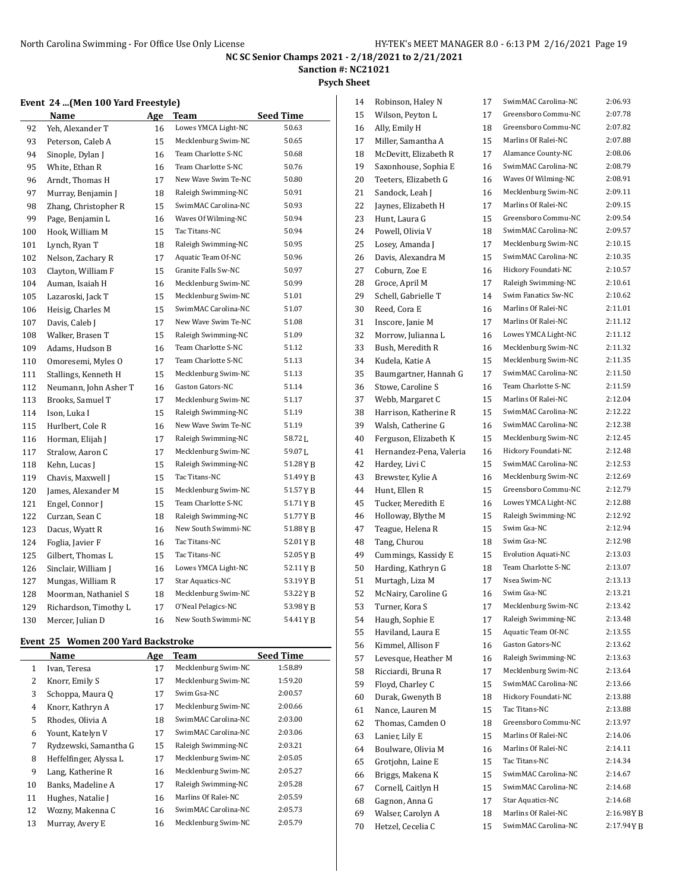**Sanction #: NC21021**

**Psych Sheet**

### **Event 24 ...(Men 100 Yard Freestyle)**

|     | Name                  | Age | <b>Team</b>         | <b>Seed Time</b>   |
|-----|-----------------------|-----|---------------------|--------------------|
| 92  | Yeh, Alexander T      | 16  | Lowes YMCA Light-NC | 50.63              |
| 93  | Peterson, Caleb A     | 15  | Mecklenburg Swim-NC | 50.65              |
| 94  | Sinople, Dylan J      | 16  | Team Charlotte S-NC | 50.68              |
| 95  | White, Ethan R        | 16  | Team Charlotte S-NC | 50.76              |
| 96  | Arndt, Thomas H       | 17  | New Wave Swim Te-NC | 50.80              |
| 97  | Murray, Benjamin J    | 18  | Raleigh Swimming-NC | 50.91              |
| 98  | Zhang, Christopher R  | 15  | SwimMAC Carolina-NC | 50.93              |
| 99  | Page, Benjamin L      | 16  | Waves Of Wilming-NC | 50.94              |
| 100 | Hook, William M       | 15  | Tac Titans-NC       | 50.94              |
| 101 | Lynch, Ryan T         | 18  | Raleigh Swimming-NC | 50.95              |
| 102 | Nelson, Zachary R     | 17  | Aquatic Team Of-NC  | 50.96              |
| 103 | Clayton, William F    | 15  | Granite Falls Sw-NC | 50.97              |
| 104 | Auman, Isaiah H       | 16  | Mecklenburg Swim-NC | 50.99              |
| 105 | Lazaroski, Jack T     | 15  | Mecklenburg Swim-NC | 51.01              |
| 106 | Heisig, Charles M     | 15  | SwimMAC Carolina-NC | 51.07              |
| 107 | Davis, Caleb J        | 17  | New Wave Swim Te-NC | 51.08              |
| 108 | Walker, Brasen T      | 15  | Raleigh Swimming-NC | 51.09              |
| 109 | Adams, Hudson B       | 16  | Team Charlotte S-NC | 51.12              |
| 110 | Omoresemi, Myles O    | 17  | Team Charlotte S-NC | 51.13              |
| 111 | Stallings, Kenneth H  | 15  | Mecklenburg Swim-NC | 51.13              |
| 112 | Neumann, John Asher T | 16  | Gaston Gators-NC    | 51.14              |
| 113 | Brooks, Samuel T      | 17  | Mecklenburg Swim-NC | 51.17              |
| 114 | Ison, Luka I          | 15  | Raleigh Swimming-NC | 51.19              |
| 115 | Hurlbert, Cole R      | 16  | New Wave Swim Te-NC | 51.19              |
| 116 | Horman, Elijah J      | 17  | Raleigh Swimming-NC | 58.72 <sub>L</sub> |
| 117 | Stralow. Aaron C      | 17  | Mecklenburg Swim-NC | 59.07 <sub>L</sub> |
| 118 | Kehn, Lucas J         | 15  | Raleigh Swimming-NC | 51.28 Y B          |
| 119 | Chavis, Maxwell J     | 15  | Tac Titans-NC       | 51.49 Y B          |
| 120 | James, Alexander M    | 15  | Mecklenburg Swim-NC | 51.57YB            |
| 121 | Engel, Connor J       | 15  | Team Charlotte S-NC | 51.71YB            |
| 122 | Curzan, Sean C        | 18  | Raleigh Swimming-NC | 51.77 Y B          |
| 123 | Dacus, Wyatt R        | 16  | New South Swimmi-NC | 51.88Y B           |
| 124 | Foglia, Javier F      | 16  | Tac Titans-NC       | 52.01YB            |
| 125 | Gilbert, Thomas L     | 15  | Tac Titans-NC       | 52.05 Y B          |
| 126 | Sinclair, William J   | 16  | Lowes YMCA Light-NC | 52.11 Y B          |
| 127 | Mungas, William R     | 17  | Star Aquatics-NC    | 53.19Y B           |
| 128 | Moorman, Nathaniel S  | 18  | Mecklenburg Swim-NC | 53.22 Y B          |
| 129 | Richardson, Timothy L | 17  | O'Neal Pelagics-NC  | 53.98 Y B          |
| 130 | Mercer, Julian D      | 16  | New South Swimmi-NC | 54.41YB            |
|     |                       |     |                     |                    |

### **Event 25 Women 200 Yard Backstroke**

|    | Name                   | Age | Team                | <b>Seed Time</b> |
|----|------------------------|-----|---------------------|------------------|
| 1  | Ivan, Teresa           | 17  | Mecklenburg Swim-NC | 1:58.89          |
| 2  | Knorr, Emily S         | 17  | Mecklenburg Swim-NC | 1:59.20          |
| 3  | Schoppa, Maura Q       | 17  | Swim Gsa-NC         | 2:00.57          |
| 4  | Knorr, Kathryn A       | 17  | Mecklenburg Swim-NC | 2:00.66          |
| 5  | Rhodes, Olivia A       | 18  | SwimMAC Carolina-NC | 2:03.00          |
| 6  | Yount, Katelyn V       | 17  | SwimMAC Carolina-NC | 2:03.06          |
| 7  | Rydzewski, Samantha G  | 15  | Raleigh Swimming-NC | 2:03.21          |
| 8  | Heffelfinger, Alyssa L | 17  | Mecklenburg Swim-NC | 2:05.05          |
| 9  | Lang, Katherine R      | 16  | Mecklenburg Swim-NC | 2:05.27          |
| 10 | Banks, Madeline A      | 17  | Raleigh Swimming-NC | 2:05.28          |
| 11 | Hughes, Natalie J      | 16  | Marlins Of Ralei-NC | 2:05.59          |
| 12 | Wozny, Makenna C       | 16  | SwimMAC Carolina-NC | 2:05.73          |
| 13 | Murray, Avery E        | 16  | Mecklenburg Swim-NC | 2:05.79          |

| 14 | Robinson, Haley N       | 17 | SwimMAC Carolina-NC        | 2:06.93     |
|----|-------------------------|----|----------------------------|-------------|
| 15 | Wilson, Peyton L        | 17 | Greensboro Commu-NC        | 2:07.78     |
| 16 | Ally, Emily H           | 18 | Greensboro Commu-NC        | 2:07.82     |
| 17 | Miller, Samantha A      | 15 | Marlins Of Ralei-NC        | 2:07.88     |
| 18 | McDevitt, Elizabeth R   | 17 | Alamance County-NC         | 2:08.06     |
| 19 | Saxonhouse, Sophia E    | 16 | SwimMAC Carolina-NC        | 2:08.79     |
| 20 | Teeters, Elizabeth G    | 16 | Waves Of Wilming-NC        | 2:08.91     |
| 21 | Sandock, Leah J         | 16 | Mecklenburg Swim-NC        | 2:09.11     |
| 22 | Jaynes, Elizabeth H     | 17 | Marlins Of Ralei-NC        | 2:09.15     |
| 23 | Hunt, Laura G           | 15 | Greensboro Commu-NC        | 2:09.54     |
| 24 | Powell, Olivia V        | 18 | SwimMAC Carolina-NC        | 2:09.57     |
| 25 | Losey, Amanda J         | 17 | Mecklenburg Swim-NC        | 2:10.15     |
| 26 | Davis, Alexandra M      | 15 | SwimMAC Carolina-NC        | 2:10.35     |
| 27 | Coburn, Zoe E           | 16 | Hickory Foundati-NC        | 2:10.57     |
| 28 | Groce, April M          | 17 | Raleigh Swimming-NC        | 2:10.61     |
| 29 | Schell, Gabrielle T     | 14 | Swim Fanatics Sw-NC        | 2:10.62     |
| 30 | Reed, Cora E            | 16 | Marlins Of Ralei-NC        | 2:11.01     |
| 31 | Inscore, Janie M        | 17 | Marlins Of Ralei-NC        | 2:11.12     |
| 32 | Morrow, Julianna L      | 16 | Lowes YMCA Light-NC        | 2:11.12     |
| 33 | Bush. Meredith R        | 16 | Mecklenburg Swim-NC        | 2:11.32     |
| 34 | Kudela, Katie A         | 15 | Mecklenburg Swim-NC        | 2:11.35     |
| 35 | Baumgartner, Hannah G   | 17 | SwimMAC Carolina-NC        | 2:11.50     |
| 36 | Stowe, Caroline S       | 16 | Team Charlotte S-NC        | 2:11.59     |
| 37 | Webb, Margaret C        | 15 | Marlins Of Ralei-NC        | 2:12.04     |
| 38 | Harrison, Katherine R   | 15 | SwimMAC Carolina-NC        | 2:12.22     |
| 39 | Walsh, Catherine G      | 16 | SwimMAC Carolina-NC        | 2:12.38     |
| 40 | Ferguson, Elizabeth K   | 15 | Mecklenburg Swim-NC        | 2:12.45     |
| 41 | Hernandez-Pena, Valeria | 16 | Hickory Foundati-NC        | 2:12.48     |
| 42 | Hardey, Livi C          | 15 | SwimMAC Carolina-NC        | 2:12.53     |
| 43 | Brewster, Kylie A       | 16 | Mecklenburg Swim-NC        | 2:12.69     |
| 44 | Hunt, Ellen R           | 15 | Greensboro Commu-NC        | 2:12.79     |
| 45 | Tucker, Meredith E      | 16 | Lowes YMCA Light-NC        | 2:12.88     |
| 46 | Holloway, Blythe M      | 15 | Raleigh Swimming-NC        | 2:12.92     |
| 47 | Teague, Helena R        | 15 | Swim Gsa-NC                | 2:12.94     |
| 48 | Tang, Churou            | 18 | Swim Gsa-NC                | 2:12.98     |
| 49 | Cummings, Kassidy E     | 15 | <b>Evolution Aquati-NC</b> | 2:13.03     |
| 50 | Harding, Kathryn G      | 18 | Team Charlotte S-NC        | 2:13.07     |
| 51 | Murtagh, Liza M         | 17 | Nsea Swim-NC               | 2:13.13     |
| 52 | McNairy, Caroline G     | 16 | Swim Gsa-NC                | 2:13.21     |
| 53 | Turner, Kora S          | 17 | Mecklenburg Swim-NC        | 2:13.42     |
| 54 | Haugh, Sophie E         | 17 | Raleigh Swimming-NC        | 2:13.48     |
| 55 | Haviland, Laura E       | 15 | Aquatic Team Of-NC         | 2:13.55     |
| 56 | Kimmel, Allison F       | 16 | Gaston Gators-NC           | 2:13.62     |
| 57 | Levesque, Heather M     | 16 | Raleigh Swimming-NC        | 2:13.63     |
| 58 | Ricciardi, Bruna R      | 17 | Mecklenburg Swim-NC        | 2:13.64     |
| 59 | Floyd, Charley C        | 15 | SwimMAC Carolina-NC        | 2:13.66     |
| 60 | Durak, Gwenyth B        | 18 | Hickory Foundati-NC        | 2:13.88     |
| 61 | Nance, Lauren M         | 15 | Tac Titans-NC              | 2:13.88     |
| 62 | Thomas, Camden O        | 18 | Greensboro Commu-NC        | 2:13.97     |
| 63 | Lanier, Lily E          | 15 | Marlins Of Ralei-NC        | 2:14.06     |
| 64 | Boulware, Olivia M      | 16 | Marlins Of Ralei-NC        | 2:14.11     |
| 65 | Grotjohn, Laine E       | 15 | Tac Titans-NC              | 2:14.34     |
| 66 | Briggs, Makena K        | 15 | SwimMAC Carolina-NC        | 2:14.67     |
| 67 | Cornell, Caitlyn H      | 15 | SwimMAC Carolina-NC        | 2:14.68     |
| 68 | Gagnon, Anna G          | 17 | Star Aquatics-NC           | 2:14.68     |
| 69 | Walser, Carolyn A       | 18 | Marlins Of Ralei-NC        | 2:16.98YB   |
| 70 | Hetzel, Cecelia C       | 15 | SwimMAC Carolina-NC        | 2:17.94 Y B |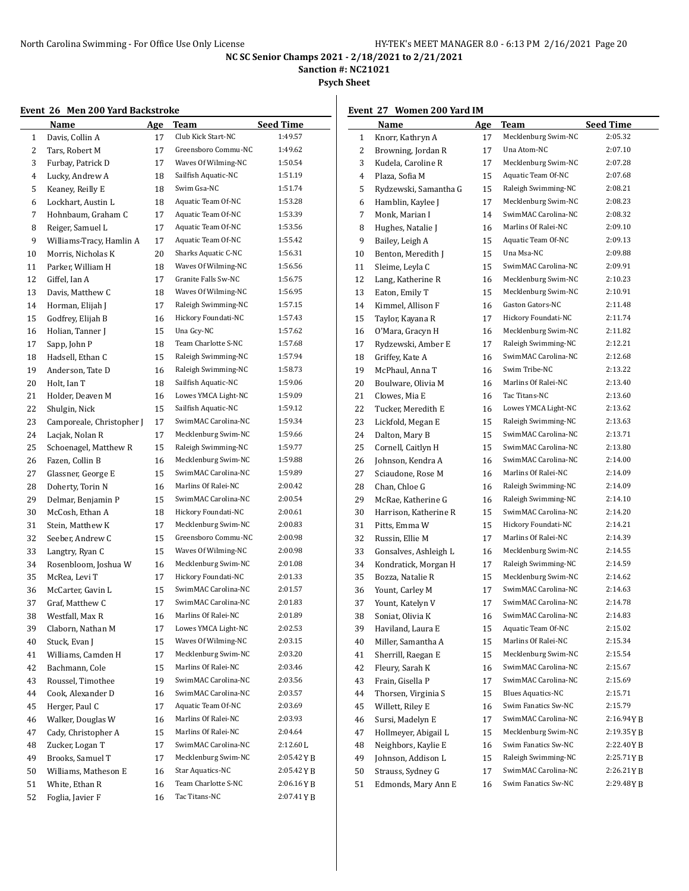**Sanction #: NC21021**

**Psych Sheet**

# **Event 26 Men 200 Yard Backstroke**

| ------ | <b>Men 200 Tara Backstrone</b><br>Name | <u>Age</u> | Team                              | <b>Seed Time</b> |
|--------|----------------------------------------|------------|-----------------------------------|------------------|
| 1      | Davis, Collin A                        | 17         | Club Kick Start-NC                | 1:49.57          |
| 2      | Tars, Robert M                         | 17         | Greensboro Commu-NC               | 1:49.62          |
| 3      | Furbay, Patrick D                      | 17         | Waves Of Wilming-NC               | 1:50.54          |
| 4      | Lucky, Andrew A                        | 18         | Sailfish Aquatic-NC               | 1:51.19          |
| 5      | Keaney, Reilly E                       | 18         | Swim Gsa-NC                       | 1:51.74          |
| 6      | Lockhart, Austin L                     | 18         | Aquatic Team Of-NC                | 1:53.28          |
| 7      | Hohnbaum, Graham C                     | 17         | Aquatic Team Of-NC                | 1:53.39          |
| 8      | Reiger, Samuel L                       | 17         | Aquatic Team Of-NC                | 1:53.56          |
| 9      | Williams-Tracy, Hamlin A               | 17         | Aquatic Team Of-NC                | 1:55.42          |
| 10     | Morris, Nicholas K                     | 20         | Sharks Aquatic C-NC               | 1:56.31          |
| 11     | Parker, William H                      | 18         | Waves Of Wilming-NC               | 1:56.56          |
| 12     |                                        |            | Granite Falls Sw-NC               | 1:56.75          |
|        | Giffel, Ian A                          | 17         | Waves Of Wilming-NC               | 1:56.95          |
| 13     | Davis, Matthew C                       | 18         | Raleigh Swimming-NC               | 1:57.15          |
| 14     | Horman, Elijah J                       | 17         | Hickory Foundati-NC               | 1:57.43          |
| 15     | Godfrey, Elijah B                      | 16         |                                   |                  |
| 16     | Holian, Tanner J                       | 15         | Una Gcy-NC<br>Team Charlotte S-NC | 1:57.62          |
| 17     | Sapp, John P                           | 18         |                                   | 1:57.68          |
| 18     | Hadsell, Ethan C                       | 15         | Raleigh Swimming-NC               | 1:57.94          |
| 19     | Anderson, Tate D                       | 16         | Raleigh Swimming-NC               | 1:58.73          |
| 20     | Holt, Ian T                            | 18         | Sailfish Aquatic-NC               | 1:59.06          |
| 21     | Holder, Deaven M                       | 16         | Lowes YMCA Light-NC               | 1:59.09          |
| 22     | Shulgin, Nick                          | 15         | Sailfish Aquatic-NC               | 1:59.12          |
| 23     | Camporeale, Christopher J              | 17         | SwimMAC Carolina-NC               | 1:59.34          |
| 24     | Lacjak, Nolan R                        | 17         | Mecklenburg Swim-NC               | 1:59.66          |
| 25     | Schoenagel, Matthew R                  | 15         | Raleigh Swimming-NC               | 1:59.77          |
| 26     | Fazen, Collin B                        | 16         | Mecklenburg Swim-NC               | 1:59.88          |
| 27     | Glassner, George E                     | 15         | SwimMAC Carolina-NC               | 1:59.89          |
| 28     | Doherty, Torin N                       | 16         | Marlins Of Ralei-NC               | 2:00.42          |
| 29     | Delmar, Benjamin P                     | 15         | SwimMAC Carolina-NC               | 2:00.54          |
| 30     | McCosh, Ethan A                        | 18         | Hickory Foundati-NC               | 2:00.61          |
| 31     | Stein, Matthew K                       | 17         | Mecklenburg Swim-NC               | 2:00.83          |
| 32     | Seeber, Andrew C                       | 15         | Greensboro Commu-NC               | 2:00.98          |
| 33     | Langtry, Ryan C                        | 15         | Waves Of Wilming-NC               | 2:00.98          |
| 34     | Rosenbloom, Joshua W                   | 16         | Mecklenburg Swim-NC               | 2:01.08          |
| 35     | McRea, Levi T                          | 17         | Hickory Foundati-NC               | 2:01.33          |
| 36     | McCarter, Gavin L                      | 15         | SwimMAC Carolina-NC               | 2:01.57          |
| 37     | Graf, Matthew C                        | 17         | SwimMAC Carolina-NC               | 2:01.83          |
| 38     | Westfall, Max R                        | 16         | Marlins Of Ralei-NC               | 2:01.89          |
| 39     | Claborn, Nathan M                      | 17         | Lowes YMCA Light-NC               | 2:02.53          |
| 40     | Stuck, Evan J                          | 15         | Waves Of Wilming-NC               | 2:03.15          |
| 41     | Williams, Camden H                     | 17         | Mecklenburg Swim-NC               | 2:03.20          |
| 42     | Bachmann, Cole                         | 15         | Marlins Of Ralei-NC               | 2:03.46          |
| 43     | Roussel, Timothee                      | 19         | SwimMAC Carolina-NC               | 2:03.56          |
| 44     | Cook, Alexander D                      | 16         | SwimMAC Carolina-NC               | 2:03.57          |
| 45     | Herger, Paul C                         | 17         | Aquatic Team Of-NC                | 2:03.69          |
| 46     | Walker, Douglas W                      | 16         | Marlins Of Ralei-NC               | 2:03.93          |
| 47     | Cady, Christopher A                    | 15         | Marlins Of Ralei-NC               | 2:04.64          |
| 48     | Zucker, Logan T                        | 17         | SwimMAC Carolina-NC               | 2:12.60 L        |
| 49     | Brooks, Samuel T                       | 17         | Mecklenburg Swim-NC               | 2:05.42 Y B      |
| 50     | Williams, Matheson E                   | 16         | Star Aquatics-NC                  | 2:05.42 Y B      |
| 51     | White, Ethan R                         | 16         | Team Charlotte S-NC               | 2:06.16YB        |
| 52     | Foglia, Javier F                       | 16         | Tac Titans-NC                     | 2:07.41YB        |

## **Event 27 Women 200 Yard IM**

|    | <b>Name</b>           | <b>Age</b> | Team                     | <b>Seed Time</b> |
|----|-----------------------|------------|--------------------------|------------------|
| 1  | Knorr, Kathryn A      | 17         | Mecklenburg Swim-NC      | 2:05.32          |
| 2  | Browning, Jordan R    | 17         | Una Atom-NC              | 2:07.10          |
| 3  | Kudela, Caroline R    | 17         | Mecklenburg Swim-NC      | 2:07.28          |
| 4  | Plaza, Sofia M        | 15         | Aquatic Team Of-NC       | 2:07.68          |
| 5  | Rydzewski, Samantha G | 15         | Raleigh Swimming-NC      | 2:08.21          |
| 6  | Hamblin, Kaylee J     | 17         | Mecklenburg Swim-NC      | 2:08.23          |
| 7  | Monk, Marian I        | 14         | SwimMAC Carolina-NC      | 2:08.32          |
| 8  | Hughes, Natalie J     | 16         | Marlins Of Ralei-NC      | 2:09.10          |
| 9  | Bailey, Leigh A       | 15         | Aquatic Team Of-NC       | 2:09.13          |
| 10 | Benton, Meredith J    | 15         | Una Msa-NC               | 2:09.88          |
| 11 | Sleime, Leyla C       | 15         | SwimMAC Carolina-NC      | 2:09.91          |
| 12 | Lang, Katherine R     | 16         | Mecklenburg Swim-NC      | 2:10.23          |
| 13 | Eaton, Emily T        | 15         | Mecklenburg Swim-NC      | 2:10.91          |
| 14 | Kimmel, Allison F     | 16         | Gaston Gators-NC         | 2:11.48          |
| 15 | Taylor, Kayana R      | 17         | Hickory Foundati-NC      | 2:11.74          |
| 16 | O'Mara, Gracyn H      | 16         | Mecklenburg Swim-NC      | 2:11.82          |
| 17 | Rydzewski, Amber E    | 17         | Raleigh Swimming-NC      | 2:12.21          |
| 18 | Griffey, Kate A       | 16         | SwimMAC Carolina-NC      | 2:12.68          |
| 19 | McPhaul, Anna T       | 16         | Swim Tribe-NC            | 2:13.22          |
| 20 | Boulware, Olivia M    | 16         | Marlins Of Ralei-NC      | 2:13.40          |
| 21 | Clowes, Mia E         | 16         | Tac Titans-NC            | 2:13.60          |
| 22 | Tucker, Meredith E    | 16         | Lowes YMCA Light-NC      | 2:13.62          |
| 23 | Lickfold, Megan E     | 15         | Raleigh Swimming-NC      | 2:13.63          |
| 24 | Dalton, Mary B        | 15         | SwimMAC Carolina-NC      | 2:13.71          |
| 25 | Cornell, Caitlyn H    | 15         | SwimMAC Carolina-NC      | 2:13.80          |
| 26 | Johnson, Kendra A     | 16         | SwimMAC Carolina-NC      | 2:14.00          |
| 27 | Sciaudone, Rose M     | 16         | Marlins Of Ralei-NC      | 2:14.09          |
| 28 | Chan, Chloe G         | 16         | Raleigh Swimming-NC      | 2:14.09          |
| 29 | McRae, Katherine G    | 16         | Raleigh Swimming-NC      | 2:14.10          |
| 30 | Harrison, Katherine R | 15         | SwimMAC Carolina-NC      | 2:14.20          |
| 31 | Pitts, Emma W         | 15         | Hickory Foundati-NC      | 2:14.21          |
| 32 | Russin, Ellie M       | 17         | Marlins Of Ralei-NC      | 2:14.39          |
| 33 | Gonsalves, Ashleigh L | 16         | Mecklenburg Swim-NC      | 2:14.55          |
| 34 | Kondratick, Morgan H  | 17         | Raleigh Swimming-NC      | 2:14.59          |
| 35 | Bozza, Natalie R      | 15         | Mecklenburg Swim-NC      | 2:14.62          |
| 36 | Yount, Carley M       | 17         | SwimMAC Carolina-NC      | 2:14.63          |
| 37 | Yount, Katelyn V      | 17         | SwimMAC Carolina-NC      | 2:14.78          |
| 38 | Soniat, Olivia K      | 16         | SwimMAC Carolina-NC      | 2:14.83          |
| 39 | Haviland, Laura E     | 15         | Aquatic Team Of-NC       | 2:15.02          |
| 40 | Miller, Samantha A    | 15         | Marlins Of Ralei-NC      | 2:15.34          |
| 41 | Sherrill, Raegan E    | 15         | Mecklenburg Swim-NC      | 2:15.54          |
| 42 | Fleury, Sarah K       | 16         | SwimMAC Carolina-NC      | 2:15.67          |
| 43 | Frain, Gisella P      | 17         | SwimMAC Carolina-NC      | 2:15.69          |
| 44 | Thorsen, Virginia S   | 15         | <b>Blues Aquatics-NC</b> | 2:15.71          |
| 45 | Willett, Riley E      | 16         | Swim Fanatics Sw-NC      | 2:15.79          |
| 46 | Sursi, Madelyn E      | 17         | SwimMAC Carolina-NC      | 2:16.94 Y B      |
| 47 | Hollmeyer, Abigail L  | 15         | Mecklenburg Swim-NC      | 2:19.35YB        |
| 48 | Neighbors, Kaylie E   | 16         | Swim Fanatics Sw-NC      | 2:22.40YB        |
| 49 | Johnson, Addison L    | 15         | Raleigh Swimming-NC      | 2:25.71 Y B      |
| 50 | Strauss, Sydney G     | 17         | SwimMAC Carolina-NC      | 2:26.21YB        |
| 51 | Edmonds, Mary Ann E   | 16         | Swim Fanatics Sw-NC      | 2:29.48YB        |
|    |                       |            |                          |                  |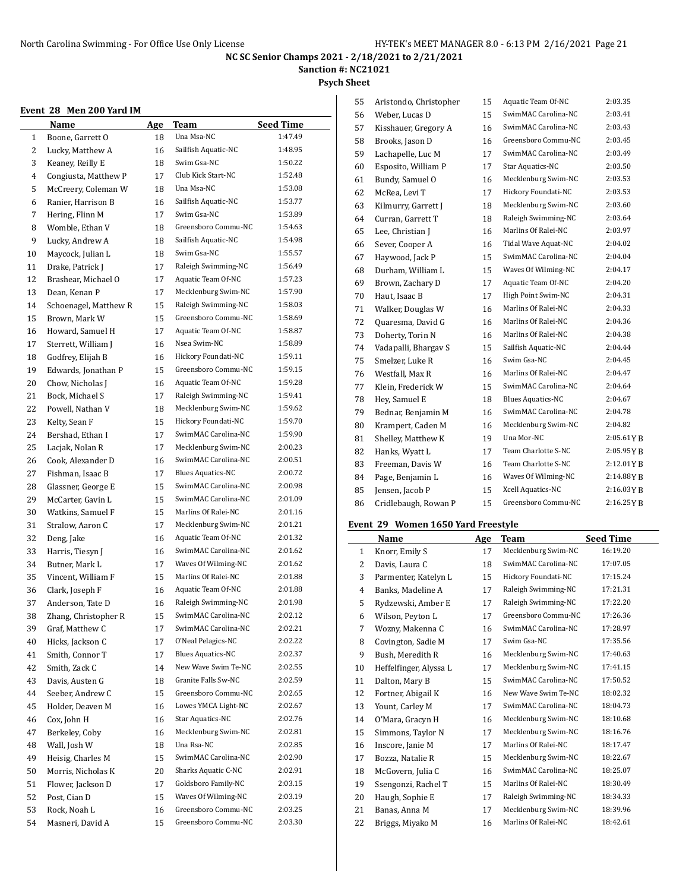**Sanction #: NC21021**

## **Psych Sheet**

#### **Event 28 Men 200 Yard IM**

| Event 28     | Men 200 Yard IM       |     |                          |                  |
|--------------|-----------------------|-----|--------------------------|------------------|
|              | Name                  | Age | Team                     | <b>Seed Time</b> |
| $\mathbf{1}$ | Boone, Garrett O      | 18  | Una Msa-NC               | 1:47.49          |
| 2            | Lucky, Matthew A      | 16  | Sailfish Aquatic-NC      | 1:48.95          |
| 3            | Keaney, Reilly E      | 18  | Swim Gsa-NC              | 1:50.22          |
| 4            | Congiusta, Matthew P  | 17  | Club Kick Start-NC       | 1:52.48          |
| 5            | McCreery, Coleman W   | 18  | Una Msa-NC               | 1:53.08          |
| 6            | Ranier, Harrison B    | 16  | Sailfish Aquatic-NC      | 1:53.77          |
| 7            | Hering, Flinn M       | 17  | Swim Gsa-NC              | 1:53.89          |
| 8            | Womble, Ethan V       | 18  | Greensboro Commu-NC      | 1:54.63          |
| 9            | Lucky, Andrew A       | 18  | Sailfish Aquatic-NC      | 1:54.98          |
| 10           | Maycock, Julian L     | 18  | Swim Gsa-NC              | 1:55.57          |
| 11           | Drake, Patrick J      | 17  | Raleigh Swimming-NC      | 1:56.49          |
| 12           | Brashear, Michael O   | 17  | Aquatic Team Of-NC       | 1:57.23          |
| 13           | Dean, Kenan P         | 17  | Mecklenburg Swim-NC      | 1:57.90          |
| 14           | Schoenagel, Matthew R | 15  | Raleigh Swimming-NC      | 1:58.03          |
| 15           | Brown, Mark W         | 15  | Greensboro Commu-NC      | 1:58.69          |
| 16           | Howard, Samuel H      | 17  | Aquatic Team Of-NC       | 1:58.87          |
| 17           | Sterrett, William J   | 16  | Nsea Swim-NC             | 1:58.89          |
| 18           | Godfrey, Elijah B     | 16  | Hickory Foundati-NC      | 1:59.11          |
| 19           | Edwards, Jonathan P   | 15  | Greensboro Commu-NC      | 1:59.15          |
| 20           | Chow, Nicholas J      | 16  | Aquatic Team Of-NC       | 1:59.28          |
| 21           | Bock, Michael S       | 17  | Raleigh Swimming-NC      | 1:59.41          |
| 22           | Powell, Nathan V      | 18  | Mecklenburg Swim-NC      | 1:59.62          |
| 23           | Kelty, Sean F         | 15  | Hickory Foundati-NC      | 1:59.70          |
| 24           | Bershad, Ethan I      | 17  | SwimMAC Carolina-NC      | 1:59.90          |
| 25           | Lacjak, Nolan R       | 17  | Mecklenburg Swim-NC      | 2:00.23          |
| 26           | Cook, Alexander D     | 16  | SwimMAC Carolina-NC      | 2:00.51          |
| 27           | Fishman, Isaac B      | 17  | <b>Blues Aquatics-NC</b> | 2:00.72          |
| 28           | Glassner, George E    | 15  | SwimMAC Carolina-NC      | 2:00.98          |
| 29           | McCarter, Gavin L     | 15  | SwimMAC Carolina-NC      | 2:01.09          |
| 30           | Watkins, Samuel F     | 15  | Marlins Of Ralei-NC      | 2:01.16          |
| 31           | Stralow, Aaron C      | 17  | Mecklenburg Swim-NC      | 2:01.21          |
| 32           | Deng, Jake            | 16  | Aquatic Team Of-NC       | 2:01.32          |
| 33           | Harris, Tiesyn J      | 16  | SwimMAC Carolina-NC      | 2:01.62          |
| 34           | Butner, Mark L        | 17  | Waves Of Wilming-NC      | 2:01.62          |
| 35           | Vincent, William F    | 15  | Marlins Of Ralei-NC      | 2:01.88          |
| 36           | Clark, Joseph F       | 16  | Aquatic Team Of-NC       | 2:01.88          |
| 37           | Anderson. Tate D      | 16  | Raleigh Swimming-NC      | 2:01.98          |
| 38           | Zhang, Christopher R  | 15  | SwimMAC Carolina-NC      | 2:02.12          |
| 39           | Graf, Matthew C       | 17  | SwimMAC Carolina-NC      | 2:02.21          |
| 40           | Hicks, Jackson C      | 17  | O'Neal Pelagics-NC       | 2:02.22          |
| 41           | Smith, Connor T       | 17  | <b>Blues Aquatics-NC</b> | 2:02.37          |
| 42           | Smith, Zack C         | 14  | New Wave Swim Te-NC      | 2:02.55          |
| 43           | Davis, Austen G       | 18  | Granite Falls Sw-NC      | 2:02.59          |
| 44           | Seeber, Andrew C      | 15  | Greensboro Commu-NC      | 2:02.65          |
| 45           | Holder, Deaven M      | 16  | Lowes YMCA Light-NC      | 2:02.67          |
| 46           | Cox, John H           | 16  | Star Aquatics-NC         | 2:02.76          |
| 47           | Berkeley, Coby        | 16  | Mecklenburg Swim-NC      | 2:02.81          |
| 48           | Wall, Josh W          | 18  | Una Rsa-NC               | 2:02.85          |
| 49           | Heisig, Charles M     | 15  | SwimMAC Carolina-NC      | 2:02.90          |
| 50           | Morris, Nicholas K    | 20  | Sharks Aquatic C-NC      | 2:02.91          |
| 51           | Flower, Jackson D     | 17  | Goldsboro Family-NC      | 2:03.15          |
| 52           | Post, Cian D          | 15  | Waves Of Wilming-NC      | 2:03.19          |
| 53           | Rock, Noah L          | 16  | Greensboro Commu-NC      | 2:03.25          |
| 54           | Masneri, David A      | 15  | Greensboro Commu-NC      | 2:03.30          |
|              |                       |     |                          |                  |

| 55 | Aristondo, Christopher | 15 | Aquatic Team Of-NC       | 2:03.35   |
|----|------------------------|----|--------------------------|-----------|
| 56 | Weber, Lucas D         | 15 | SwimMAC Carolina-NC      | 2:03.41   |
| 57 | Kisshauer, Gregory A   | 16 | SwimMAC Carolina-NC      | 2:03.43   |
| 58 | Brooks, Jason D        | 16 | Greensboro Commu-NC      | 2:03.45   |
| 59 | Lachapelle, Luc M      | 17 | SwimMAC Carolina-NC      | 2:03.49   |
| 60 | Esposito, William P    | 17 | Star Aquatics-NC         | 2:03.50   |
| 61 | Bundy, Samuel O        | 16 | Mecklenburg Swim-NC      | 2:03.53   |
| 62 | McRea, Levi T          | 17 | Hickory Foundati-NC      | 2:03.53   |
| 63 | Kilmurry, Garrett J    | 18 | Mecklenburg Swim-NC      | 2:03.60   |
| 64 | Curran, Garrett T      | 18 | Raleigh Swimming-NC      | 2:03.64   |
| 65 | Lee, Christian J       | 16 | Marlins Of Ralei-NC      | 2:03.97   |
| 66 | Sever, Cooper A        | 16 | Tidal Wave Aquat-NC      | 2:04.02   |
| 67 | Haywood, Jack P        | 15 | SwimMAC Carolina-NC      | 2:04.04   |
| 68 | Durham, William L      | 15 | Waves Of Wilming-NC      | 2:04.17   |
| 69 | Brown, Zachary D       | 17 | Aquatic Team Of-NC       | 2:04.20   |
| 70 | Haut, Isaac B          | 17 | High Point Swim-NC       | 2:04.31   |
| 71 | Walker, Douglas W      | 16 | Marlins Of Ralei-NC      | 2:04.33   |
| 72 | Quaresma, David G      | 16 | Marlins Of Ralei-NC      | 2:04.36   |
| 73 | Doherty, Torin N       | 16 | Marlins Of Ralei-NC      | 2:04.38   |
| 74 | Vadapalli, Bhargav S   | 15 | Sailfish Aquatic-NC      | 2:04.44   |
| 75 | Smelzer, Luke R        | 16 | Swim Gsa-NC              | 2:04.45   |
| 76 | Westfall, Max R        | 16 | Marlins Of Ralei-NC      | 2:04.47   |
| 77 | Klein, Frederick W     | 15 | SwimMAC Carolina-NC      | 2:04.64   |
| 78 | Hev, Samuel E          | 18 | <b>Blues Aquatics-NC</b> | 2:04.67   |
| 79 | Bednar, Benjamin M     | 16 | SwimMAC Carolina-NC      | 2:04.78   |
| 80 | Krampert, Caden M      | 16 | Mecklenburg Swim-NC      | 2:04.82   |
| 81 | Shelley, Matthew K     | 19 | Una Mor-NC               | 2:05.61YB |
| 82 | Hanks, Wyatt L         | 17 | Team Charlotte S-NC      | 2:05.95YB |
| 83 | Freeman, Davis W       | 16 | Team Charlotte S-NC      | 2:12.01YB |
| 84 | Page, Benjamin L       | 16 | Waves Of Wilming-NC      | 2:14.88YB |
| 85 | Jensen, Jacob P        | 15 | Xcell Aquatics-NC        | 2:16.03YB |
| 86 | Cridlebaugh, Rowan P   | 15 | Greensboro Commu-NC      | 2:16.25YB |
|    |                        |    |                          |           |

## **Event 29 Women 1650 Yard Freestyle**

|    | Name                   | Age | Team                | <b>Seed Time</b> |
|----|------------------------|-----|---------------------|------------------|
| 1  | Knorr, Emily S         | 17  | Mecklenburg Swim-NC | 16:19.20         |
| 2  | Davis, Laura C         | 18  | SwimMAC Carolina-NC | 17:07.05         |
| 3  | Parmenter, Katelyn L   | 15  | Hickory Foundati-NC | 17:15.24         |
| 4  | Banks, Madeline A      | 17  | Raleigh Swimming-NC | 17:21.31         |
| 5  | Rydzewski, Amber E     | 17  | Raleigh Swimming-NC | 17:22.20         |
| 6  | Wilson, Peyton L       | 17  | Greensboro Commu-NC | 17:26.36         |
| 7  | Wozny, Makenna C       | 16  | SwimMAC Carolina-NC | 17:28.97         |
| 8  | Covington, Sadie M     | 17  | Swim Gsa-NC         | 17:35.56         |
| 9  | Bush, Meredith R       | 16  | Mecklenburg Swim-NC | 17:40.63         |
| 10 | Heffelfinger, Alyssa L | 17  | Mecklenburg Swim-NC | 17:41.15         |
| 11 | Dalton, Mary B         | 15  | SwimMAC Carolina-NC | 17:50.52         |
| 12 | Fortner, Abigail K     | 16  | New Wave Swim Te-NC | 18:02.32         |
| 13 | Yount, Carley M        | 17  | SwimMAC Carolina-NC | 18:04.73         |
| 14 | O'Mara, Gracyn H       | 16  | Mecklenburg Swim-NC | 18:10.68         |
| 15 | Simmons, Taylor N      | 17  | Mecklenburg Swim-NC | 18:16.76         |
| 16 | Inscore, Janie M       | 17  | Marlins Of Ralei-NC | 18:17.47         |
| 17 | Bozza, Natalie R       | 15  | Mecklenburg Swim-NC | 18:22.67         |
| 18 | McGovern, Julia C      | 16  | SwimMAC Carolina-NC | 18:25.07         |
| 19 | Ssengonzi, Rachel T    | 15  | Marlins Of Ralei-NC | 18:30.49         |
| 20 | Haugh, Sophie E        | 17  | Raleigh Swimming-NC | 18:34.33         |
| 21 | Banas, Anna M          | 17  | Mecklenburg Swim-NC | 18:39.96         |
| 22 | Briggs, Miyako M       | 16  | Marlins Of Ralei-NC | 18:42.61         |